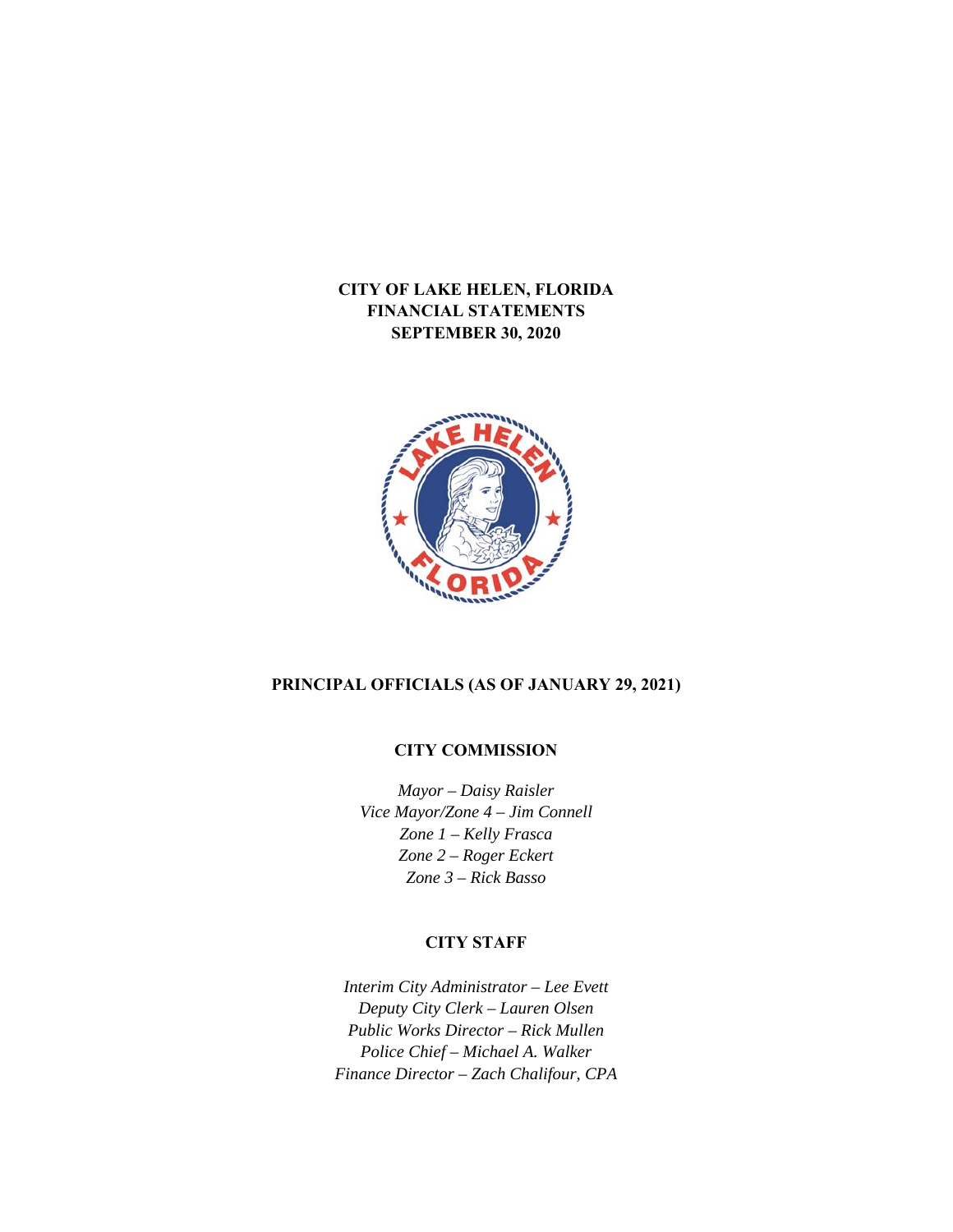

# **PRINCIPAL OFFICIALS (AS OF JANUARY 29, 2021)**

#### **CITY COMMISSION**

*Mayor – Daisy Raisler Vice Mayor/Zone 4 – Jim Connell Zone 1 – Kelly Frasca Zone 2 – Roger Eckert Zone 3 – Rick Basso* 

### **CITY STAFF**

*Interim City Administrator – Lee Evett Deputy City Clerk – Lauren Olsen Public Works Director – Rick Mullen Police Chief – Michael A. Walker Finance Director – Zach Chalifour, CPA*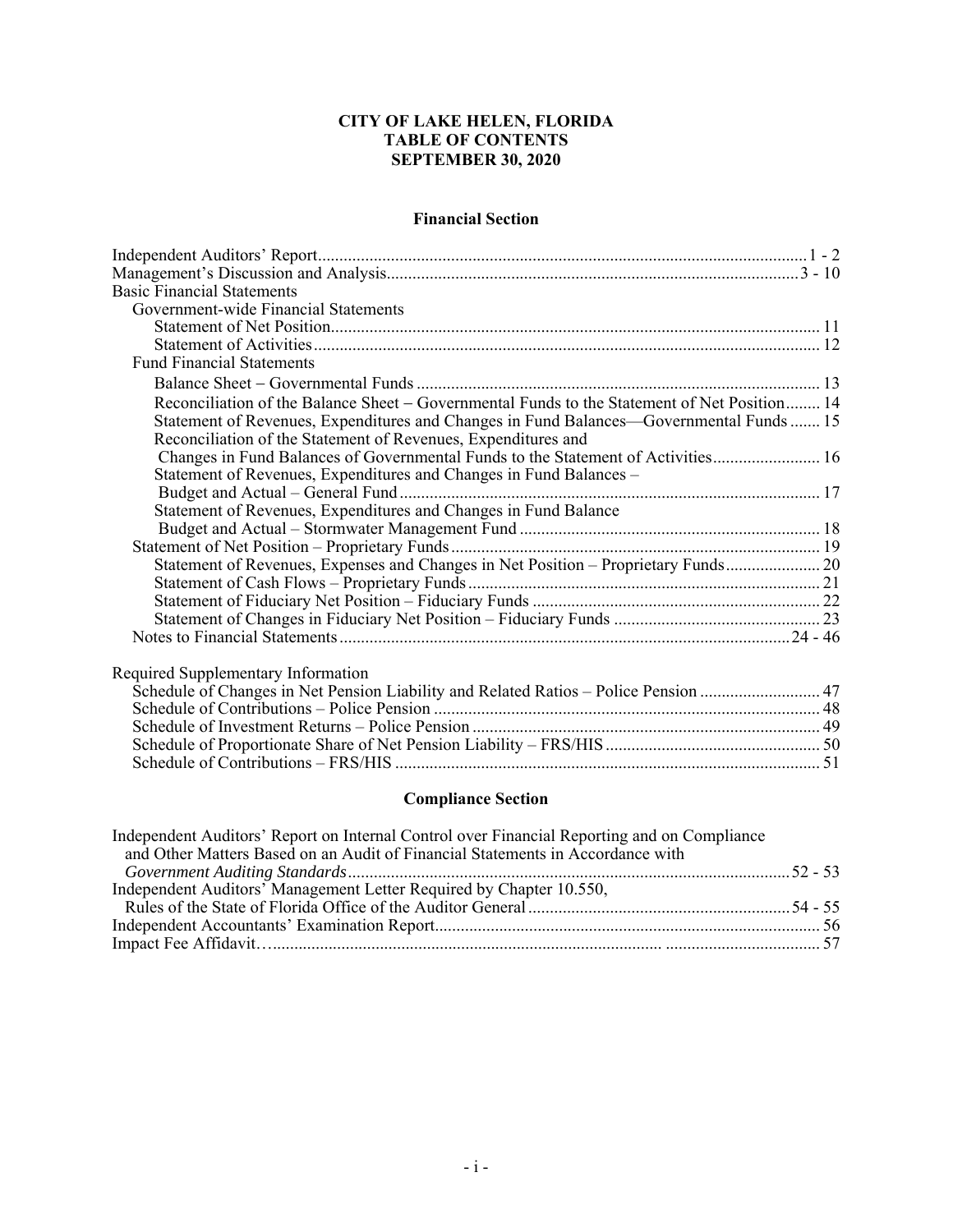### **CITY OF LAKE HELEN, FLORIDA TABLE OF CONTENTS SEPTEMBER 30, 2020**

#### **Financial Section**

| <b>Basic Financial Statements</b>                                                            |  |
|----------------------------------------------------------------------------------------------|--|
| Government-wide Financial Statements                                                         |  |
|                                                                                              |  |
|                                                                                              |  |
| <b>Fund Financial Statements</b>                                                             |  |
|                                                                                              |  |
| Reconciliation of the Balance Sheet – Governmental Funds to the Statement of Net Position 14 |  |
| Statement of Revenues, Expenditures and Changes in Fund Balances—Governmental Funds  15      |  |
| Reconciliation of the Statement of Revenues, Expenditures and                                |  |
| Changes in Fund Balances of Governmental Funds to the Statement of Activities 16             |  |
| Statement of Revenues, Expenditures and Changes in Fund Balances -                           |  |
|                                                                                              |  |
| Statement of Revenues, Expenditures and Changes in Fund Balance                              |  |
|                                                                                              |  |
|                                                                                              |  |
| Statement of Revenues, Expenses and Changes in Net Position - Proprietary Funds 20           |  |
|                                                                                              |  |
|                                                                                              |  |
|                                                                                              |  |
|                                                                                              |  |
|                                                                                              |  |
| Required Supplementary Information                                                           |  |
| Schedule of Changes in Net Pension Liability and Related Ratios - Police Pension  47         |  |
|                                                                                              |  |
|                                                                                              |  |

#### **Compliance Section**

 Schedule of Proportionate Share of Net Pension Liability – FRS/HIS .................................................. 50 Schedule of Contributions – FRS/HIS ................................................................................................... 51

| Independent Auditors' Report on Internal Control over Financial Reporting and on Compliance |  |
|---------------------------------------------------------------------------------------------|--|
| and Other Matters Based on an Audit of Financial Statements in Accordance with              |  |
|                                                                                             |  |
| Independent Auditors' Management Letter Required by Chapter 10.550,                         |  |
|                                                                                             |  |
|                                                                                             |  |
|                                                                                             |  |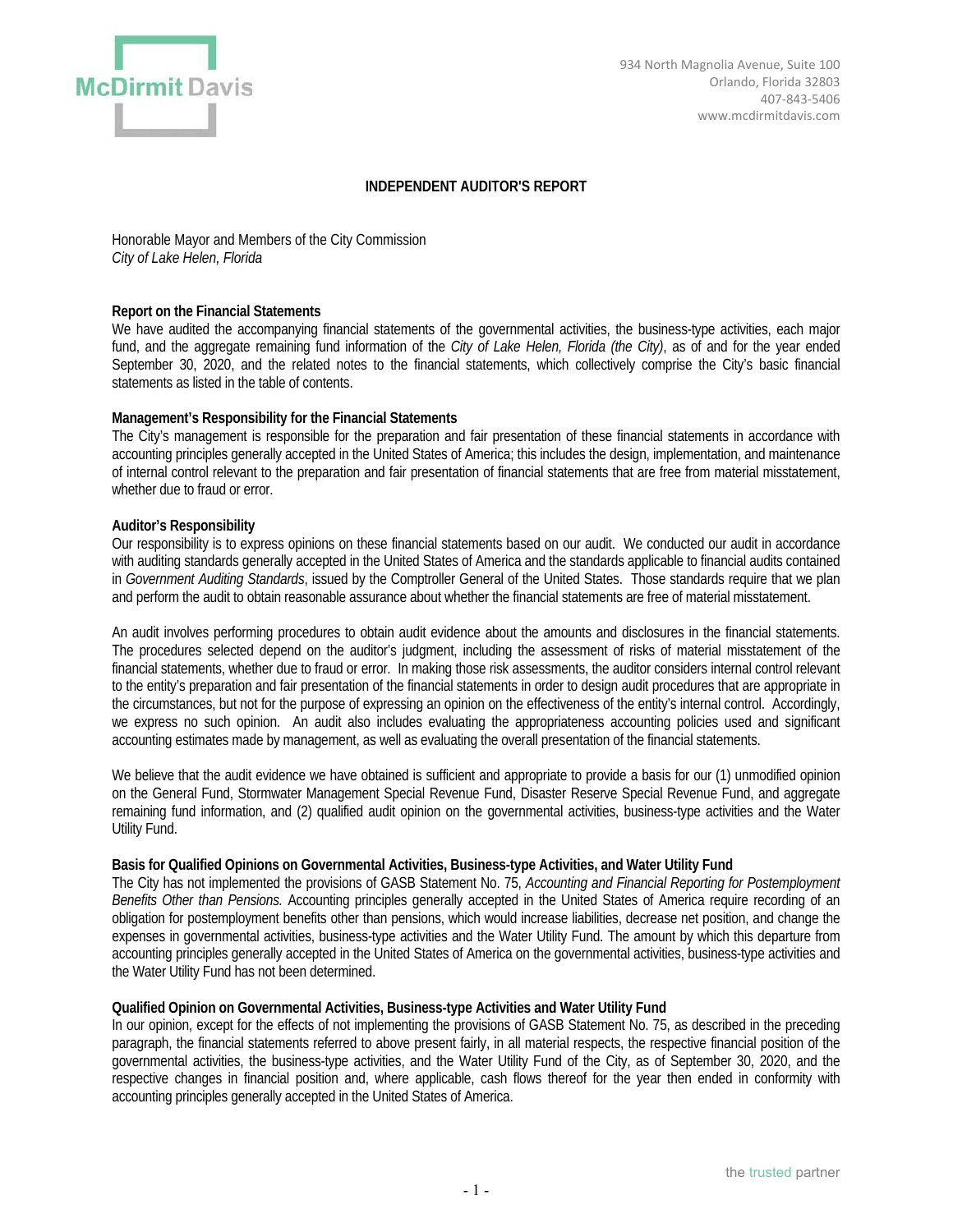

#### **INDEPENDENT AUDITOR'S REPORT**

Honorable Mayor and Members of the City Commission *City of Lake Helen, Florida* 

#### **Report on the Financial Statements**

We have audited the accompanying financial statements of the governmental activities, the business-type activities, each major fund, and the aggregate remaining fund information of the *City of Lake Helen, Florida (the City)*, as of and for the year ended September 30, 2020, and the related notes to the financial statements, which collectively comprise the City's basic financial statements as listed in the table of contents.

#### **Management's Responsibility for the Financial Statements**

The City's management is responsible for the preparation and fair presentation of these financial statements in accordance with accounting principles generally accepted in the United States of America; this includes the design, implementation, and maintenance of internal control relevant to the preparation and fair presentation of financial statements that are free from material misstatement, whether due to fraud or error.

#### **Auditor's Responsibility**

Our responsibility is to express opinions on these financial statements based on our audit. We conducted our audit in accordance with auditing standards generally accepted in the United States of America and the standards applicable to financial audits contained in *Government Auditing Standards*, issued by the Comptroller General of the United States. Those standards require that we plan and perform the audit to obtain reasonable assurance about whether the financial statements are free of material misstatement.

An audit involves performing procedures to obtain audit evidence about the amounts and disclosures in the financial statements. The procedures selected depend on the auditor's judgment, including the assessment of risks of material misstatement of the financial statements, whether due to fraud or error. In making those risk assessments, the auditor considers internal control relevant to the entity's preparation and fair presentation of the financial statements in order to design audit procedures that are appropriate in the circumstances, but not for the purpose of expressing an opinion on the effectiveness of the entity's internal control. Accordingly, we express no such opinion. An audit also includes evaluating the appropriateness accounting policies used and significant accounting estimates made by management, as well as evaluating the overall presentation of the financial statements.

We believe that the audit evidence we have obtained is sufficient and appropriate to provide a basis for our (1) unmodified opinion on the General Fund, Stormwater Management Special Revenue Fund, Disaster Reserve Special Revenue Fund, and aggregate remaining fund information, and (2) qualified audit opinion on the governmental activities, business-type activities and the Water Utility Fund.

#### **Basis for Qualified Opinions on Governmental Activities, Business-type Activities, and Water Utility Fund**

The City has not implemented the provisions of GASB Statement No. 75, *Accounting and Financial Reporting for Postemployment Benefits Other than Pensions.* Accounting principles generally accepted in the United States of America require recording of an obligation for postemployment benefits other than pensions, which would increase liabilities, decrease net position, and change the expenses in governmental activities, business-type activities and the Water Utility Fund. The amount by which this departure from accounting principles generally accepted in the United States of America on the governmental activities, business-type activities and the Water Utility Fund has not been determined.

#### **Qualified Opinion on Governmental Activities, Business-type Activities and Water Utility Fund**

In our opinion, except for the effects of not implementing the provisions of GASB Statement No. 75, as described in the preceding paragraph, the financial statements referred to above present fairly, in all material respects, the respective financial position of the governmental activities, the business-type activities, and the Water Utility Fund of the City, as of September 30, 2020, and the respective changes in financial position and, where applicable, cash flows thereof for the year then ended in conformity with accounting principles generally accepted in the United States of America.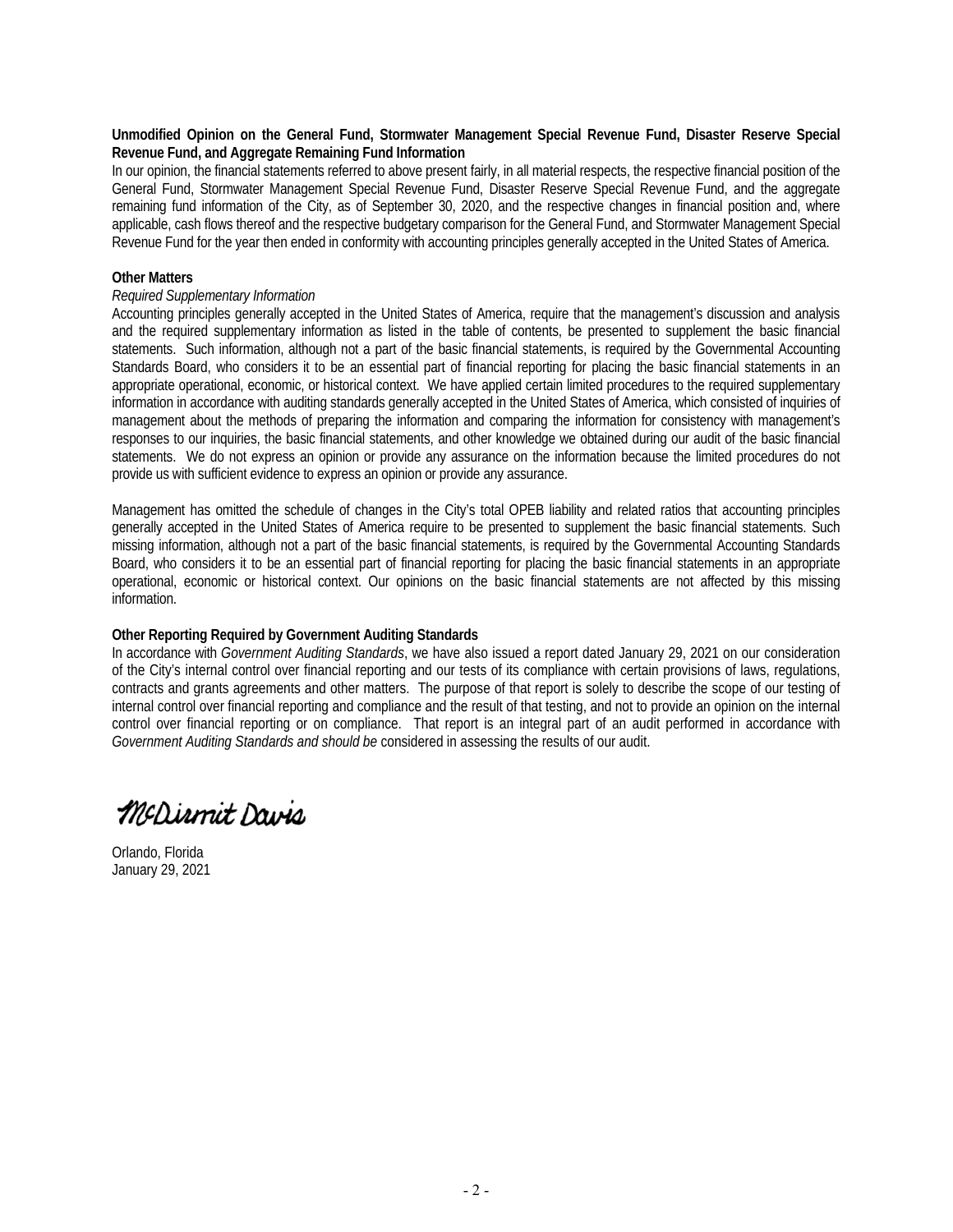#### **Unmodified Opinion on the General Fund, Stormwater Management Special Revenue Fund, Disaster Reserve Special Revenue Fund, and Aggregate Remaining Fund Information**

In our opinion, the financial statements referred to above present fairly, in all material respects, the respective financial position of the General Fund, Stormwater Management Special Revenue Fund, Disaster Reserve Special Revenue Fund, and the aggregate remaining fund information of the City, as of September 30, 2020, and the respective changes in financial position and, where applicable, cash flows thereof and the respective budgetary comparison for the General Fund, and Stormwater Management Special Revenue Fund for the year then ended in conformity with accounting principles generally accepted in the United States of America.

#### **Other Matters**

#### *Required Supplementary Information*

Accounting principles generally accepted in the United States of America, require that the management's discussion and analysis and the required supplementary information as listed in the table of contents, be presented to supplement the basic financial statements. Such information, although not a part of the basic financial statements, is required by the Governmental Accounting Standards Board, who considers it to be an essential part of financial reporting for placing the basic financial statements in an appropriate operational, economic, or historical context. We have applied certain limited procedures to the required supplementary information in accordance with auditing standards generally accepted in the United States of America, which consisted of inquiries of management about the methods of preparing the information and comparing the information for consistency with management's responses to our inquiries, the basic financial statements, and other knowledge we obtained during our audit of the basic financial statements. We do not express an opinion or provide any assurance on the information because the limited procedures do not provide us with sufficient evidence to express an opinion or provide any assurance.

Management has omitted the schedule of changes in the City's total OPEB liability and related ratios that accounting principles generally accepted in the United States of America require to be presented to supplement the basic financial statements. Such missing information, although not a part of the basic financial statements, is required by the Governmental Accounting Standards Board, who considers it to be an essential part of financial reporting for placing the basic financial statements in an appropriate operational, economic or historical context. Our opinions on the basic financial statements are not affected by this missing information.

#### **Other Reporting Required by Government Auditing Standards**

In accordance with *Government Auditing Standards*, we have also issued a report dated January 29, 2021 on our consideration of the City's internal control over financial reporting and our tests of its compliance with certain provisions of laws, regulations, contracts and grants agreements and other matters. The purpose of that report is solely to describe the scope of our testing of internal control over financial reporting and compliance and the result of that testing, and not to provide an opinion on the internal control over financial reporting or on compliance. That report is an integral part of an audit performed in accordance with *Government Auditing Standards and should be* considered in assessing the results of our audit.

McDirmit Davis

Orlando, Florida January 29, 2021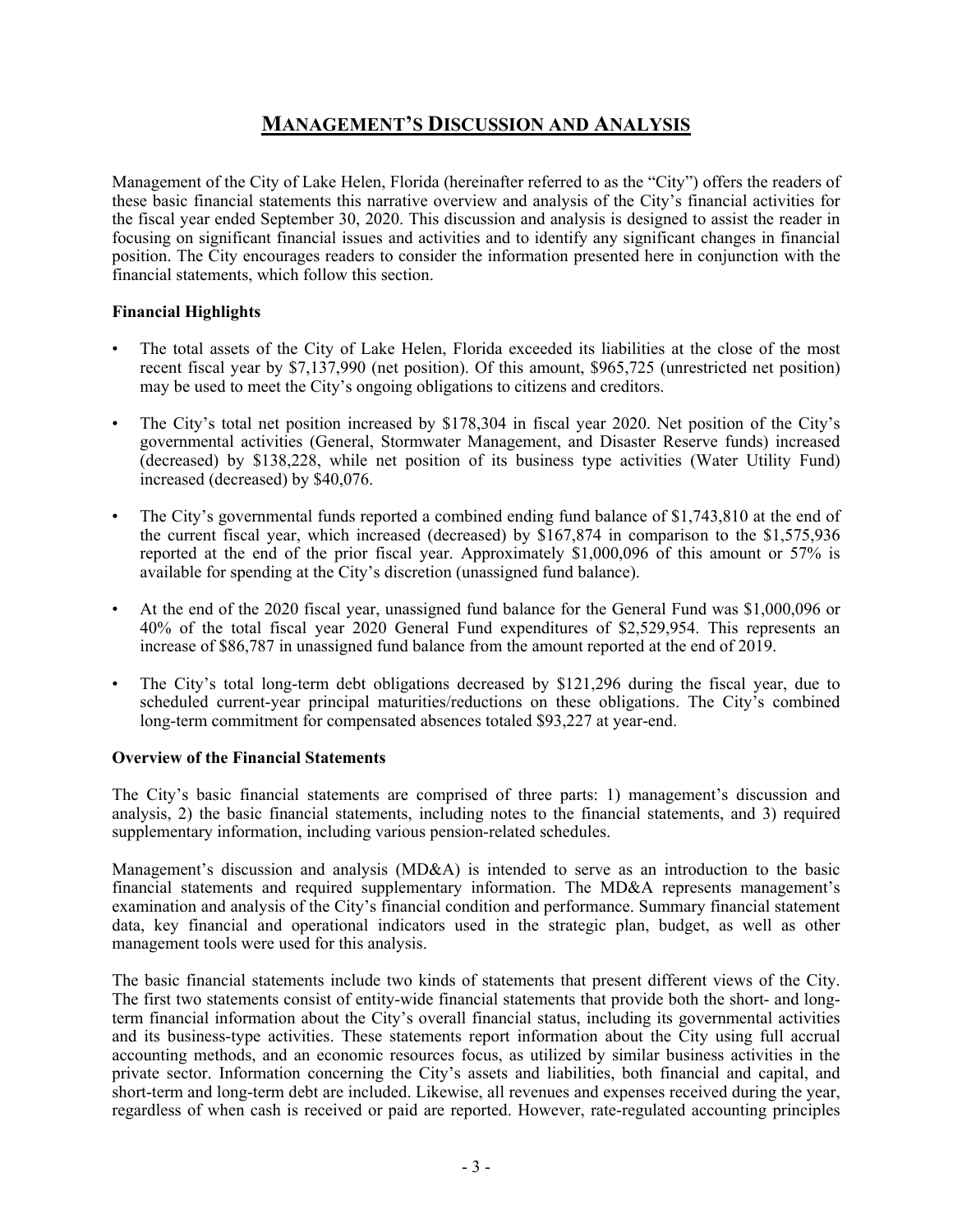# **MANAGEMENT'S DISCUSSION AND ANALYSIS**

Management of the City of Lake Helen, Florida (hereinafter referred to as the "City") offers the readers of these basic financial statements this narrative overview and analysis of the City's financial activities for the fiscal year ended September 30, 2020. This discussion and analysis is designed to assist the reader in focusing on significant financial issues and activities and to identify any significant changes in financial position. The City encourages readers to consider the information presented here in conjunction with the financial statements, which follow this section.

## **Financial Highlights**

- The total assets of the City of Lake Helen, Florida exceeded its liabilities at the close of the most recent fiscal year by \$7,137,990 (net position). Of this amount, \$965,725 (unrestricted net position) may be used to meet the City's ongoing obligations to citizens and creditors.
- The City's total net position increased by \$178,304 in fiscal year 2020. Net position of the City's governmental activities (General, Stormwater Management, and Disaster Reserve funds) increased (decreased) by \$138,228, while net position of its business type activities (Water Utility Fund) increased (decreased) by \$40,076.
- The City's governmental funds reported a combined ending fund balance of \$1,743,810 at the end of the current fiscal year, which increased (decreased) by \$167,874 in comparison to the \$1,575,936 reported at the end of the prior fiscal year. Approximately \$1,000,096 of this amount or 57% is available for spending at the City's discretion (unassigned fund balance).
- At the end of the 2020 fiscal year, unassigned fund balance for the General Fund was \$1,000,096 or 40% of the total fiscal year 2020 General Fund expenditures of \$2,529,954. This represents an increase of \$86,787 in unassigned fund balance from the amount reported at the end of 2019.
- The City's total long-term debt obligations decreased by \$121,296 during the fiscal year, due to scheduled current-year principal maturities/reductions on these obligations. The City's combined long-term commitment for compensated absences totaled \$93,227 at year-end.

### **Overview of the Financial Statements**

The City's basic financial statements are comprised of three parts: 1) management's discussion and analysis, 2) the basic financial statements, including notes to the financial statements, and 3) required supplementary information, including various pension-related schedules.

Management's discussion and analysis (MD&A) is intended to serve as an introduction to the basic financial statements and required supplementary information. The MD&A represents management's examination and analysis of the City's financial condition and performance. Summary financial statement data, key financial and operational indicators used in the strategic plan, budget, as well as other management tools were used for this analysis.

The basic financial statements include two kinds of statements that present different views of the City. The first two statements consist of entity-wide financial statements that provide both the short- and longterm financial information about the City's overall financial status, including its governmental activities and its business-type activities. These statements report information about the City using full accrual accounting methods, and an economic resources focus, as utilized by similar business activities in the private sector. Information concerning the City's assets and liabilities, both financial and capital, and short-term and long-term debt are included. Likewise, all revenues and expenses received during the year, regardless of when cash is received or paid are reported. However, rate-regulated accounting principles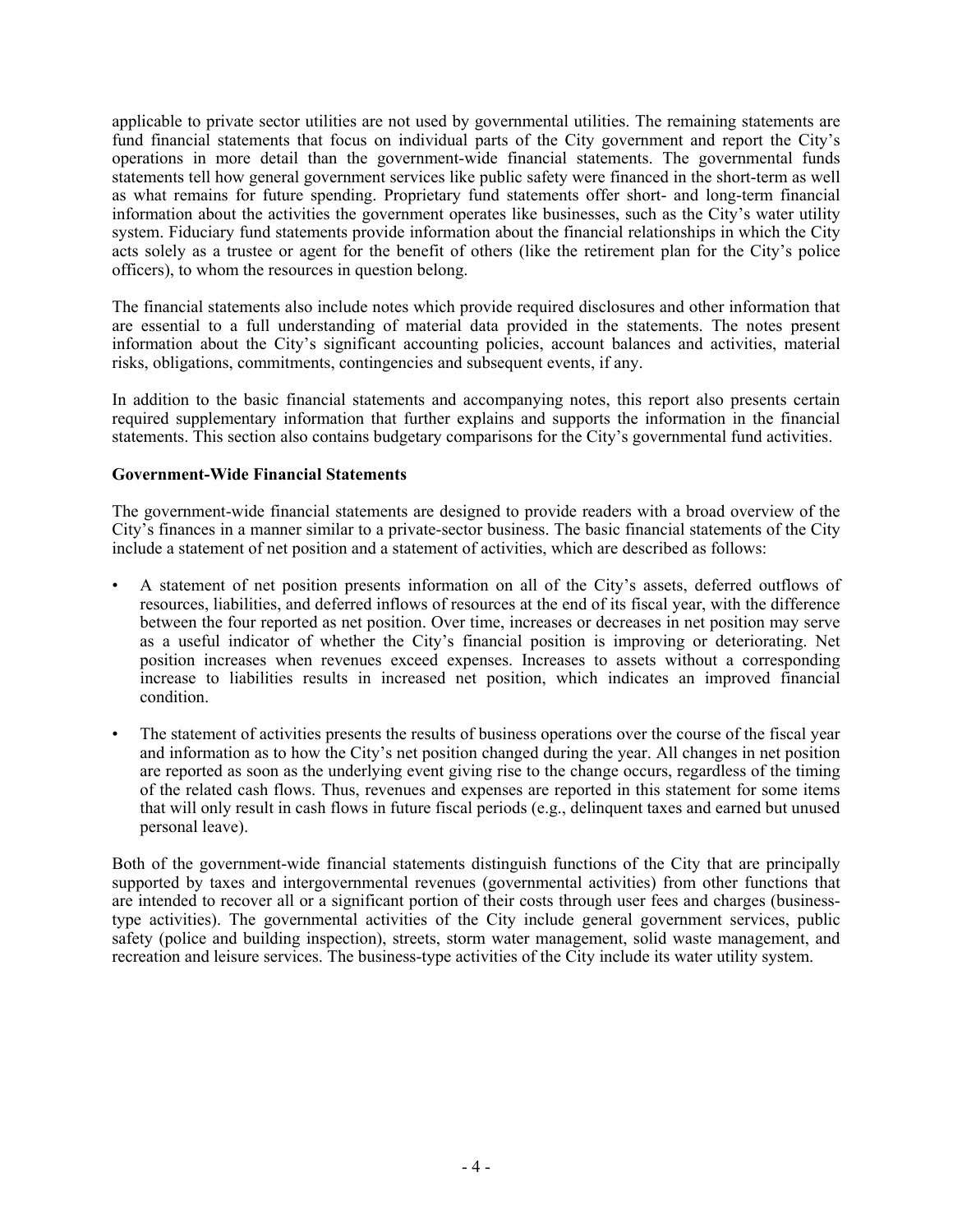applicable to private sector utilities are not used by governmental utilities. The remaining statements are fund financial statements that focus on individual parts of the City government and report the City's operations in more detail than the government-wide financial statements. The governmental funds statements tell how general government services like public safety were financed in the short-term as well as what remains for future spending. Proprietary fund statements offer short- and long-term financial information about the activities the government operates like businesses, such as the City's water utility system. Fiduciary fund statements provide information about the financial relationships in which the City acts solely as a trustee or agent for the benefit of others (like the retirement plan for the City's police officers), to whom the resources in question belong.

The financial statements also include notes which provide required disclosures and other information that are essential to a full understanding of material data provided in the statements. The notes present information about the City's significant accounting policies, account balances and activities, material risks, obligations, commitments, contingencies and subsequent events, if any.

In addition to the basic financial statements and accompanying notes, this report also presents certain required supplementary information that further explains and supports the information in the financial statements. This section also contains budgetary comparisons for the City's governmental fund activities.

### **Government-Wide Financial Statements**

The government-wide financial statements are designed to provide readers with a broad overview of the City's finances in a manner similar to a private-sector business. The basic financial statements of the City include a statement of net position and a statement of activities, which are described as follows:

- A statement of net position presents information on all of the City's assets, deferred outflows of resources, liabilities, and deferred inflows of resources at the end of its fiscal year, with the difference between the four reported as net position. Over time, increases or decreases in net position may serve as a useful indicator of whether the City's financial position is improving or deteriorating. Net position increases when revenues exceed expenses. Increases to assets without a corresponding increase to liabilities results in increased net position, which indicates an improved financial condition.
- The statement of activities presents the results of business operations over the course of the fiscal year and information as to how the City's net position changed during the year. All changes in net position are reported as soon as the underlying event giving rise to the change occurs, regardless of the timing of the related cash flows. Thus, revenues and expenses are reported in this statement for some items that will only result in cash flows in future fiscal periods (e.g., delinquent taxes and earned but unused personal leave).

Both of the government-wide financial statements distinguish functions of the City that are principally supported by taxes and intergovernmental revenues (governmental activities) from other functions that are intended to recover all or a significant portion of their costs through user fees and charges (businesstype activities). The governmental activities of the City include general government services, public safety (police and building inspection), streets, storm water management, solid waste management, and recreation and leisure services. The business-type activities of the City include its water utility system.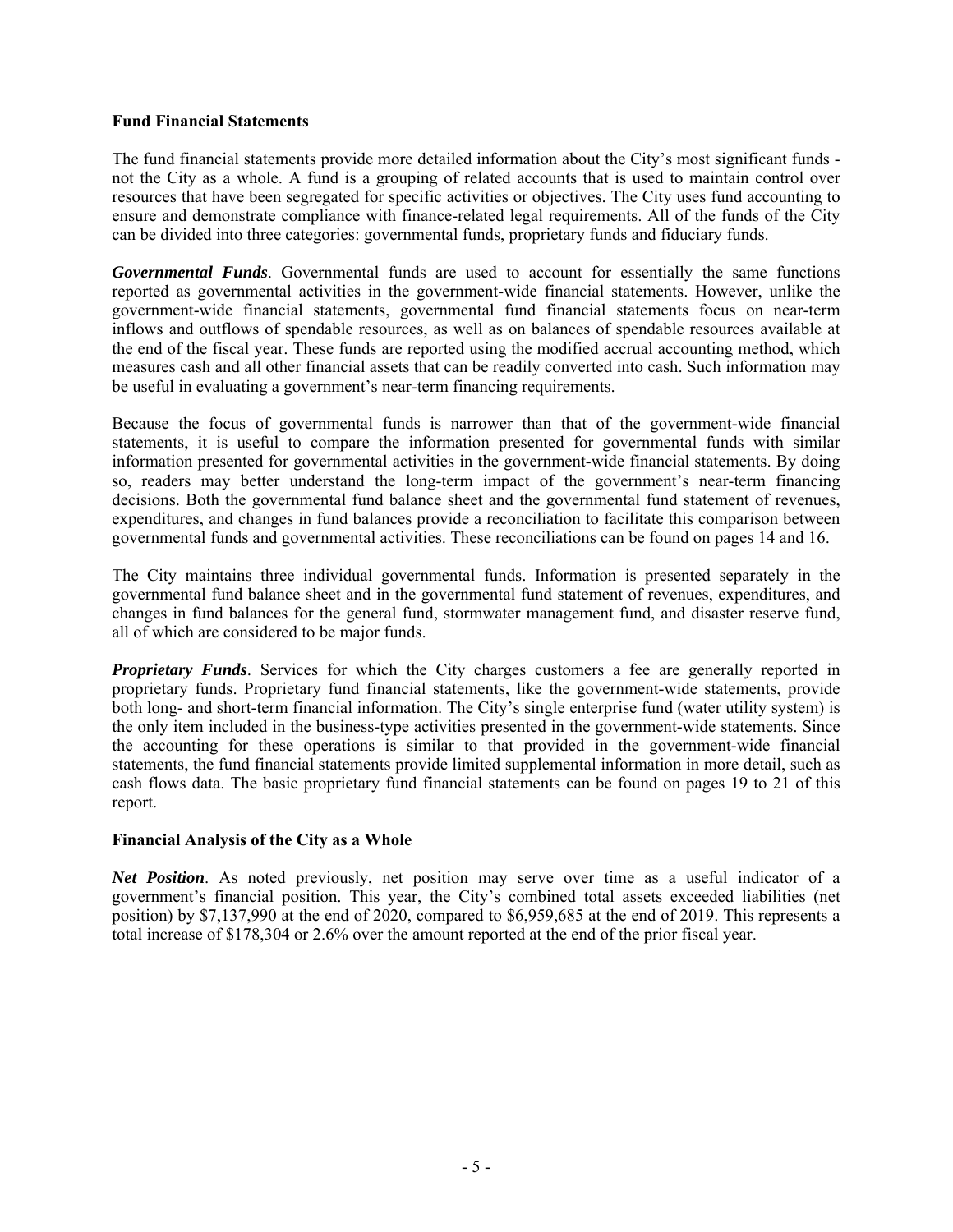#### **Fund Financial Statements**

The fund financial statements provide more detailed information about the City's most significant funds not the City as a whole. A fund is a grouping of related accounts that is used to maintain control over resources that have been segregated for specific activities or objectives. The City uses fund accounting to ensure and demonstrate compliance with finance-related legal requirements. All of the funds of the City can be divided into three categories: governmental funds, proprietary funds and fiduciary funds.

*Governmental Funds*. Governmental funds are used to account for essentially the same functions reported as governmental activities in the government-wide financial statements. However, unlike the government-wide financial statements, governmental fund financial statements focus on near-term inflows and outflows of spendable resources, as well as on balances of spendable resources available at the end of the fiscal year. These funds are reported using the modified accrual accounting method, which measures cash and all other financial assets that can be readily converted into cash. Such information may be useful in evaluating a government's near-term financing requirements.

Because the focus of governmental funds is narrower than that of the government-wide financial statements, it is useful to compare the information presented for governmental funds with similar information presented for governmental activities in the government-wide financial statements. By doing so, readers may better understand the long-term impact of the government's near-term financing decisions. Both the governmental fund balance sheet and the governmental fund statement of revenues, expenditures, and changes in fund balances provide a reconciliation to facilitate this comparison between governmental funds and governmental activities. These reconciliations can be found on pages 14 and 16.

The City maintains three individual governmental funds. Information is presented separately in the governmental fund balance sheet and in the governmental fund statement of revenues, expenditures, and changes in fund balances for the general fund, stormwater management fund, and disaster reserve fund, all of which are considered to be major funds.

*Proprietary Funds*. Services for which the City charges customers a fee are generally reported in proprietary funds. Proprietary fund financial statements, like the government-wide statements, provide both long- and short-term financial information. The City's single enterprise fund (water utility system) is the only item included in the business-type activities presented in the government-wide statements. Since the accounting for these operations is similar to that provided in the government-wide financial statements, the fund financial statements provide limited supplemental information in more detail, such as cash flows data. The basic proprietary fund financial statements can be found on pages 19 to 21 of this report.

### **Financial Analysis of the City as a Whole**

*Net Position*. As noted previously, net position may serve over time as a useful indicator of a government's financial position. This year, the City's combined total assets exceeded liabilities (net position) by \$7,137,990 at the end of 2020, compared to \$6,959,685 at the end of 2019. This represents a total increase of \$178,304 or 2.6% over the amount reported at the end of the prior fiscal year.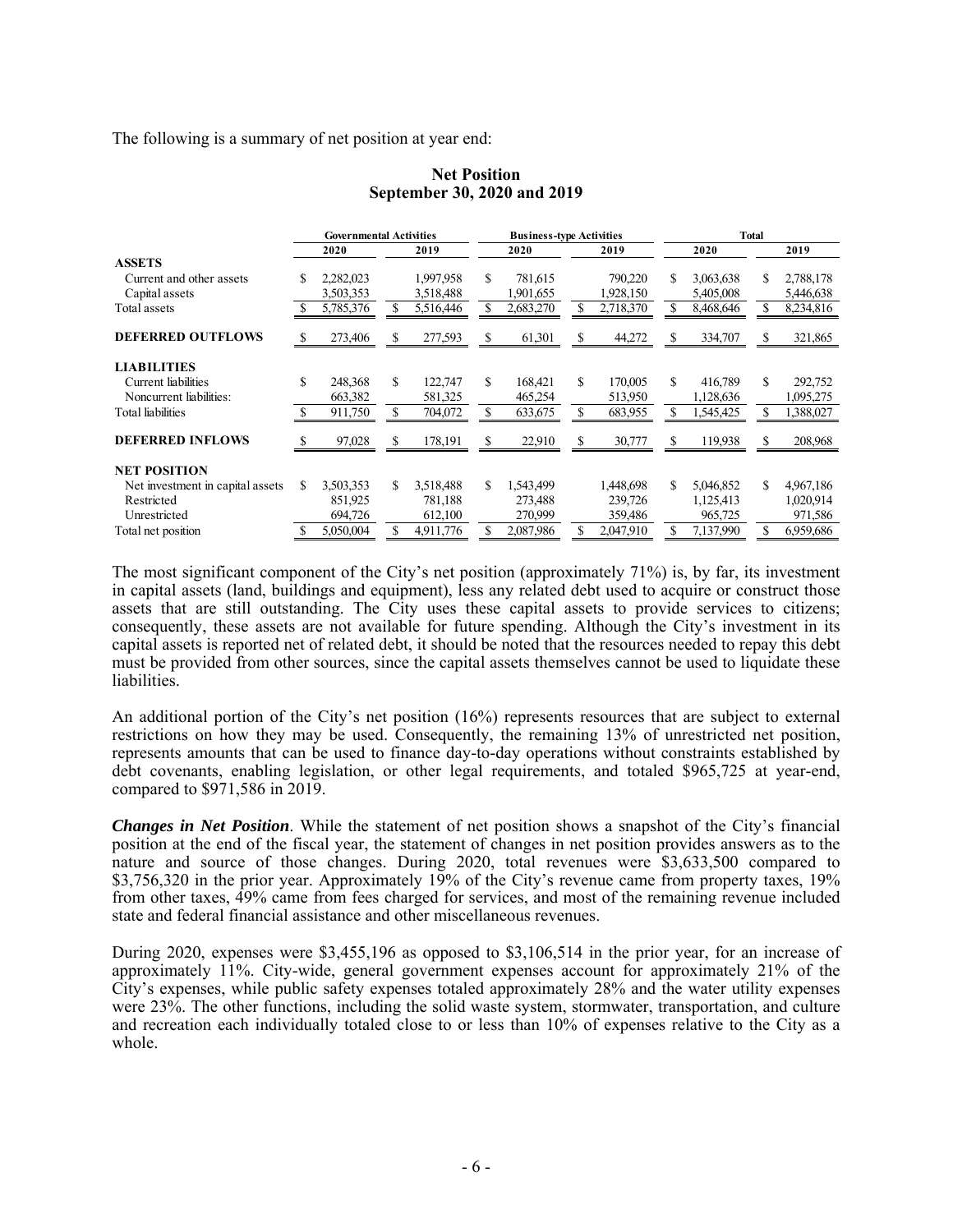The following is a summary of net position at year end:

|                                  | <b>Governmental Activities</b> |           |      |           | <b>Business-type Activities</b> |           |      |           |      | Total     |    |           |  |
|----------------------------------|--------------------------------|-----------|------|-----------|---------------------------------|-----------|------|-----------|------|-----------|----|-----------|--|
| 2020<br>2019                     |                                |           | 2020 |           | 2019                            |           | 2020 |           | 2019 |           |    |           |  |
| <b>ASSETS</b>                    |                                |           |      |           |                                 |           |      |           |      |           |    |           |  |
| Current and other assets         | S                              | 2,282,023 |      | 1,997,958 | \$                              | 781,615   |      | 790,220   | S    | 3,063,638 | \$ | 2,788,178 |  |
| Capital assets                   |                                | 3,503,353 |      | 3,518,488 |                                 | 1.901,655 |      | 1,928,150 |      | 5,405,008 |    | 5,446,638 |  |
| Total assets                     |                                | 5,785,376 |      | 5,516,446 | \$                              | 2,683,270 | \$   | 2,718,370 | S    | 8,468,646 | S. | 8,234,816 |  |
| <b>DEFERRED OUTFLOWS</b>         |                                | 273,406   |      | 277,593   | \$                              | 61,301    | S    | 44,272    | S    | 334,707   |    | 321,865   |  |
| <b>LIABILITIES</b>               |                                |           |      |           |                                 |           |      |           |      |           |    |           |  |
| Current liabilities              | S                              | 248,368   | \$.  | 122,747   | \$                              | 168,421   | S.   | 170,005   | \$   | 416,789   | \$ | 292,752   |  |
| Noncurrent liabilities:          |                                | 663,382   |      | 581,325   |                                 | 465,254   |      | 513,950   |      | 1,128,636 |    | 1,095,275 |  |
| Total liabilities                |                                | 911,750   |      | 704,072   | S                               | 633,675   | \$   | 683,955   |      | 1,545,425 |    | 1,388,027 |  |
| <b>DEFERRED INFLOWS</b>          |                                | 97,028    |      | 178,191   | S                               | 22,910    | S    | 30,777    |      | 119,938   |    | 208,968   |  |
| <b>NET POSITION</b>              |                                |           |      |           |                                 |           |      |           |      |           |    |           |  |
| Net investment in capital assets | S                              | 3,503,353 | S.   | 3,518,488 | \$.                             | 1,543,499 |      | 1,448,698 | S    | 5,046,852 | S. | 4,967,186 |  |
| Restricted                       |                                | 851,925   |      | 781,188   |                                 | 273,488   |      | 239,726   |      | 1,125,413 |    | 1,020,914 |  |
| Unrestricted                     |                                | 694,726   |      | 612,100   |                                 | 270,999   |      | 359,486   |      | 965,725   |    | 971,586   |  |
| Total net position               | S                              | 5,050,004 |      | 4,911,776 | \$                              | 2,087.986 |      | 2,047,910 |      | 7,137,990 |    | 6,959,686 |  |

#### **Net Position September 30, 2020 and 2019**

The most significant component of the City's net position (approximately 71%) is, by far, its investment in capital assets (land, buildings and equipment), less any related debt used to acquire or construct those assets that are still outstanding. The City uses these capital assets to provide services to citizens; consequently, these assets are not available for future spending. Although the City's investment in its capital assets is reported net of related debt, it should be noted that the resources needed to repay this debt must be provided from other sources, since the capital assets themselves cannot be used to liquidate these liabilities.

An additional portion of the City's net position (16%) represents resources that are subject to external restrictions on how they may be used. Consequently, the remaining 13% of unrestricted net position, represents amounts that can be used to finance day-to-day operations without constraints established by debt covenants, enabling legislation, or other legal requirements, and totaled \$965,725 at year-end, compared to \$971,586 in 2019.

*Changes in Net Position*. While the statement of net position shows a snapshot of the City's financial position at the end of the fiscal year, the statement of changes in net position provides answers as to the nature and source of those changes. During 2020, total revenues were \$3,633,500 compared to \$3,756,320 in the prior year. Approximately 19% of the City's revenue came from property taxes, 19% from other taxes, 49% came from fees charged for services, and most of the remaining revenue included state and federal financial assistance and other miscellaneous revenues.

During 2020, expenses were \$3,455,196 as opposed to \$3,106,514 in the prior year, for an increase of approximately 11%. City-wide, general government expenses account for approximately 21% of the City's expenses, while public safety expenses totaled approximately 28% and the water utility expenses were 23%. The other functions, including the solid waste system, stormwater, transportation, and culture and recreation each individually totaled close to or less than 10% of expenses relative to the City as a whole.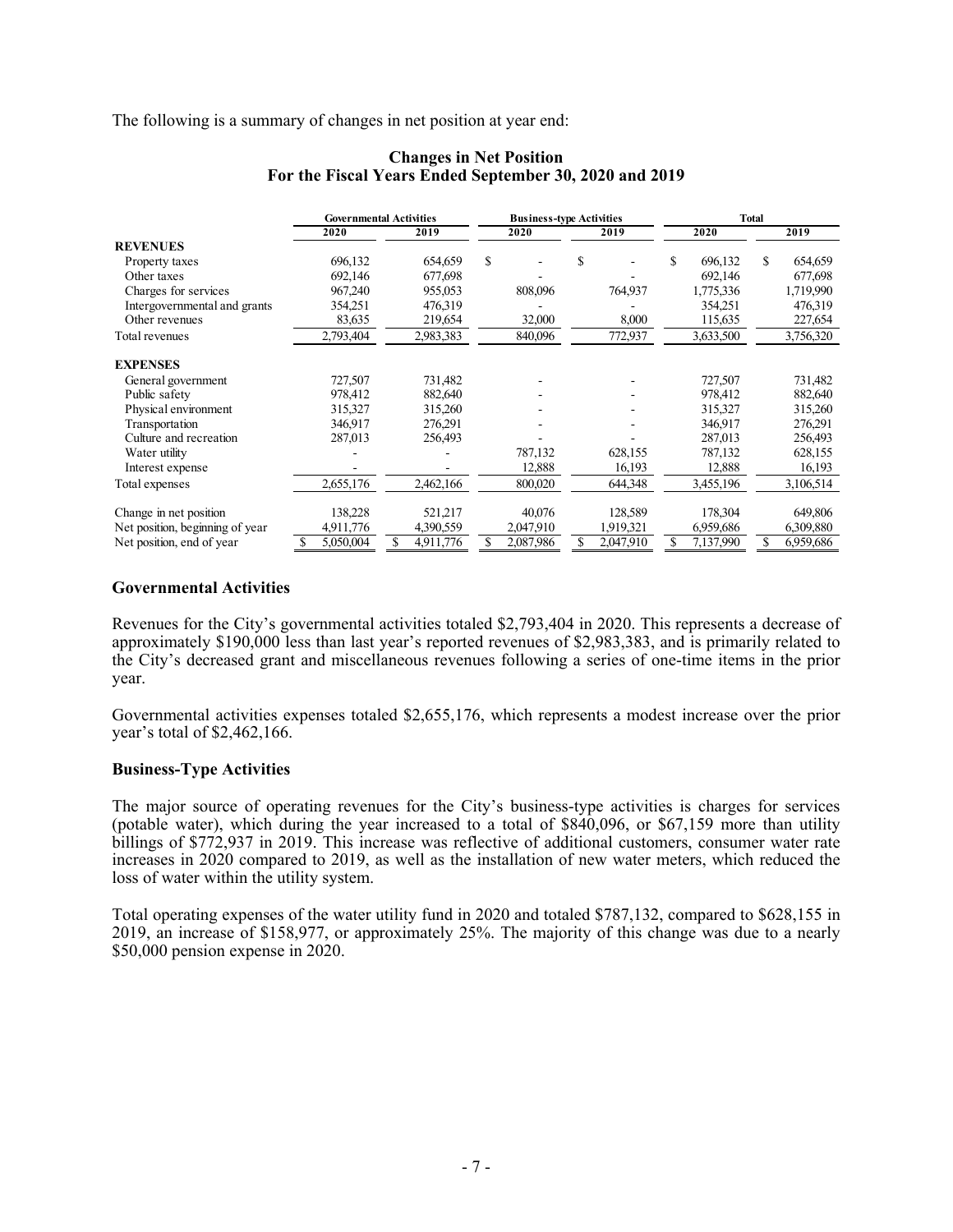#### The following is a summary of changes in net position at year end:

|                                 | <b>Governmental Activities</b> |                 |                 | <b>Business-type Activities</b> | <b>Total</b>    |                |  |  |
|---------------------------------|--------------------------------|-----------------|-----------------|---------------------------------|-----------------|----------------|--|--|
|                                 | 2020                           | 2019            | 2020            | 2019                            | 2020            | 2019           |  |  |
| <b>REVENUES</b>                 |                                |                 |                 |                                 |                 |                |  |  |
| Property taxes                  | 696,132                        | 654,659         | \$              | \$                              | S<br>696,132    | \$<br>654,659  |  |  |
| Other taxes                     | 692,146                        | 677,698         |                 |                                 | 692,146         | 677,698        |  |  |
| Charges for services            | 967,240                        | 955,053         | 808,096         | 764,937                         | 1,775,336       | 1,719,990      |  |  |
| Intergovernmental and grants    | 354,251                        | 476,319         |                 |                                 | 354,251         | 476,319        |  |  |
| Other revenues                  | 83,635                         | 219,654         | 32,000          | 8,000                           | 115,635         | 227,654        |  |  |
| Total revenues                  | 2,793,404                      | 2,983,383       | 840,096         | 772,937                         | 3,633,500       | 3,756,320      |  |  |
| <b>EXPENSES</b>                 |                                |                 |                 |                                 |                 |                |  |  |
| General government              | 727,507                        | 731,482         |                 |                                 | 727,507         | 731,482        |  |  |
| Public safety                   | 978,412                        | 882,640         |                 |                                 | 978,412         | 882,640        |  |  |
| Physical environment            | 315,327                        | 315,260         |                 |                                 | 315,327         | 315,260        |  |  |
| Transportation                  | 346,917                        | 276,291         |                 |                                 | 346,917         | 276,291        |  |  |
| Culture and recreation          | 287,013                        | 256,493         |                 |                                 | 287,013         | 256,493        |  |  |
| Water utility                   |                                |                 | 787,132         | 628,155                         | 787,132         | 628,155        |  |  |
| Interest expense                |                                |                 | 12,888          | 16,193                          | 12,888          | 16,193         |  |  |
| Total expenses                  | 2,655,176                      | 2,462,166       | 800,020         | 644,348                         | 3,455,196       | 3,106,514      |  |  |
| Change in net position          | 138,228                        | 521,217         | 40,076          | 128,589                         | 178,304         | 649,806        |  |  |
| Net position, beginning of year | 4,911,776                      | 4,390,559       | 2,047,910       | 1,919,321                       | 6,959,686       | 6,309,880      |  |  |
| Net position, end of year       | 5,050,004                      | 4,911,776<br>\$ | 2,087.986<br>\$ | 2,047,910<br>\$                 | 7,137,990<br>\$ | S<br>6,959,686 |  |  |

### **Changes in Net Position For the Fiscal Years Ended September 30, 2020 and 2019**

#### **Governmental Activities**

Revenues for the City's governmental activities totaled \$2,793,404 in 2020. This represents a decrease of approximately \$190,000 less than last year's reported revenues of \$2,983,383, and is primarily related to the City's decreased grant and miscellaneous revenues following a series of one-time items in the prior year.

Governmental activities expenses totaled \$2,655,176, which represents a modest increase over the prior year's total of \$2,462,166.

### **Business-Type Activities**

The major source of operating revenues for the City's business-type activities is charges for services (potable water), which during the year increased to a total of \$840,096, or \$67,159 more than utility billings of \$772,937 in 2019. This increase was reflective of additional customers, consumer water rate increases in 2020 compared to 2019, as well as the installation of new water meters, which reduced the loss of water within the utility system.

Total operating expenses of the water utility fund in 2020 and totaled \$787,132, compared to \$628,155 in 2019, an increase of \$158,977, or approximately 25%. The majority of this change was due to a nearly \$50,000 pension expense in 2020.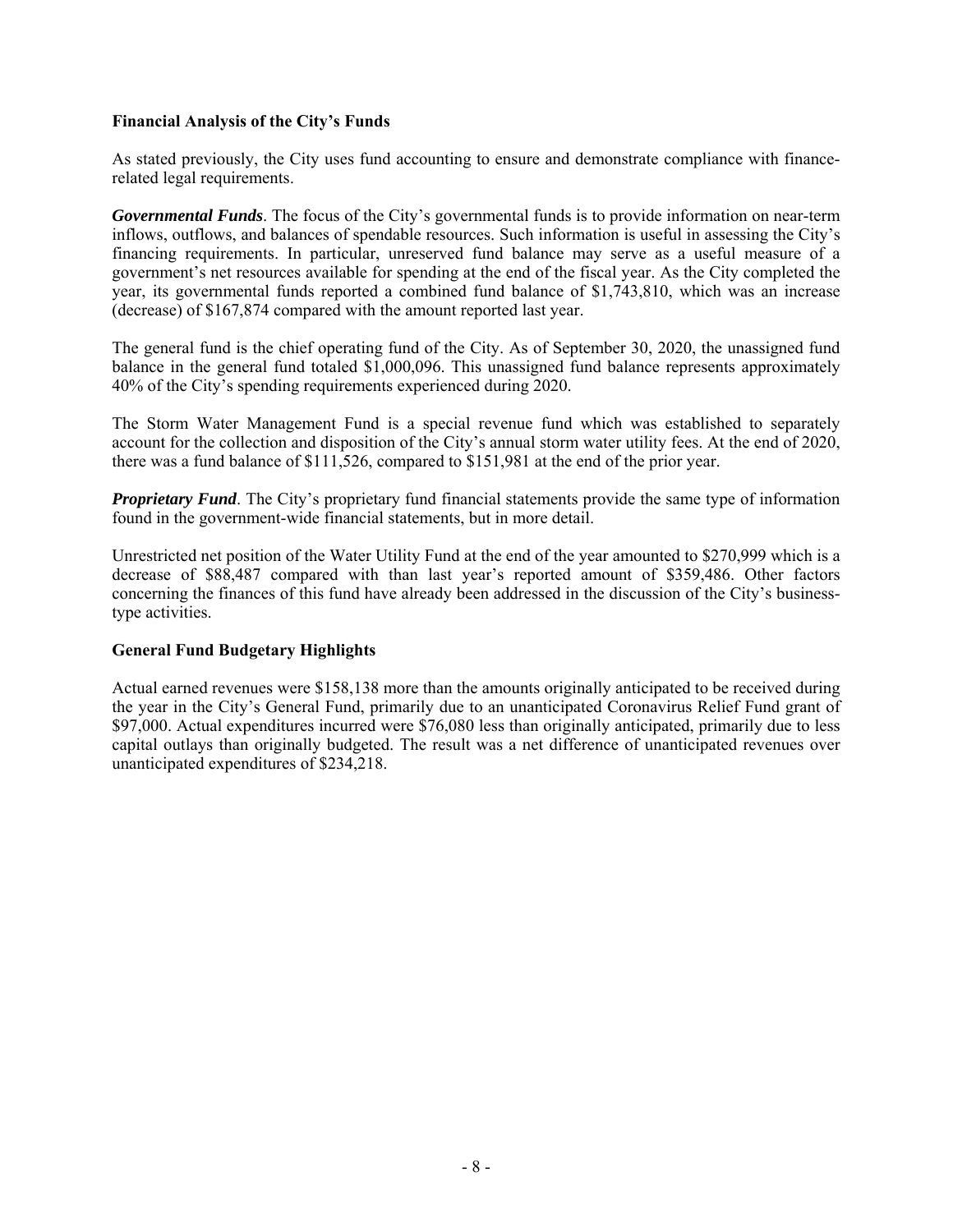### **Financial Analysis of the City's Funds**

As stated previously, the City uses fund accounting to ensure and demonstrate compliance with financerelated legal requirements.

*Governmental Funds*. The focus of the City's governmental funds is to provide information on near-term inflows, outflows, and balances of spendable resources. Such information is useful in assessing the City's financing requirements. In particular, unreserved fund balance may serve as a useful measure of a government's net resources available for spending at the end of the fiscal year. As the City completed the year, its governmental funds reported a combined fund balance of \$1,743,810, which was an increase (decrease) of \$167,874 compared with the amount reported last year.

The general fund is the chief operating fund of the City. As of September 30, 2020, the unassigned fund balance in the general fund totaled \$1,000,096. This unassigned fund balance represents approximately 40% of the City's spending requirements experienced during 2020.

The Storm Water Management Fund is a special revenue fund which was established to separately account for the collection and disposition of the City's annual storm water utility fees. At the end of 2020, there was a fund balance of \$111,526, compared to \$151,981 at the end of the prior year.

*Proprietary Fund*. The City's proprietary fund financial statements provide the same type of information found in the government-wide financial statements, but in more detail.

Unrestricted net position of the Water Utility Fund at the end of the year amounted to \$270,999 which is a decrease of \$88,487 compared with than last year's reported amount of \$359,486. Other factors concerning the finances of this fund have already been addressed in the discussion of the City's businesstype activities.

# **General Fund Budgetary Highlights**

Actual earned revenues were \$158,138 more than the amounts originally anticipated to be received during the year in the City's General Fund, primarily due to an unanticipated Coronavirus Relief Fund grant of \$97,000. Actual expenditures incurred were \$76,080 less than originally anticipated, primarily due to less capital outlays than originally budgeted. The result was a net difference of unanticipated revenues over unanticipated expenditures of \$234,218.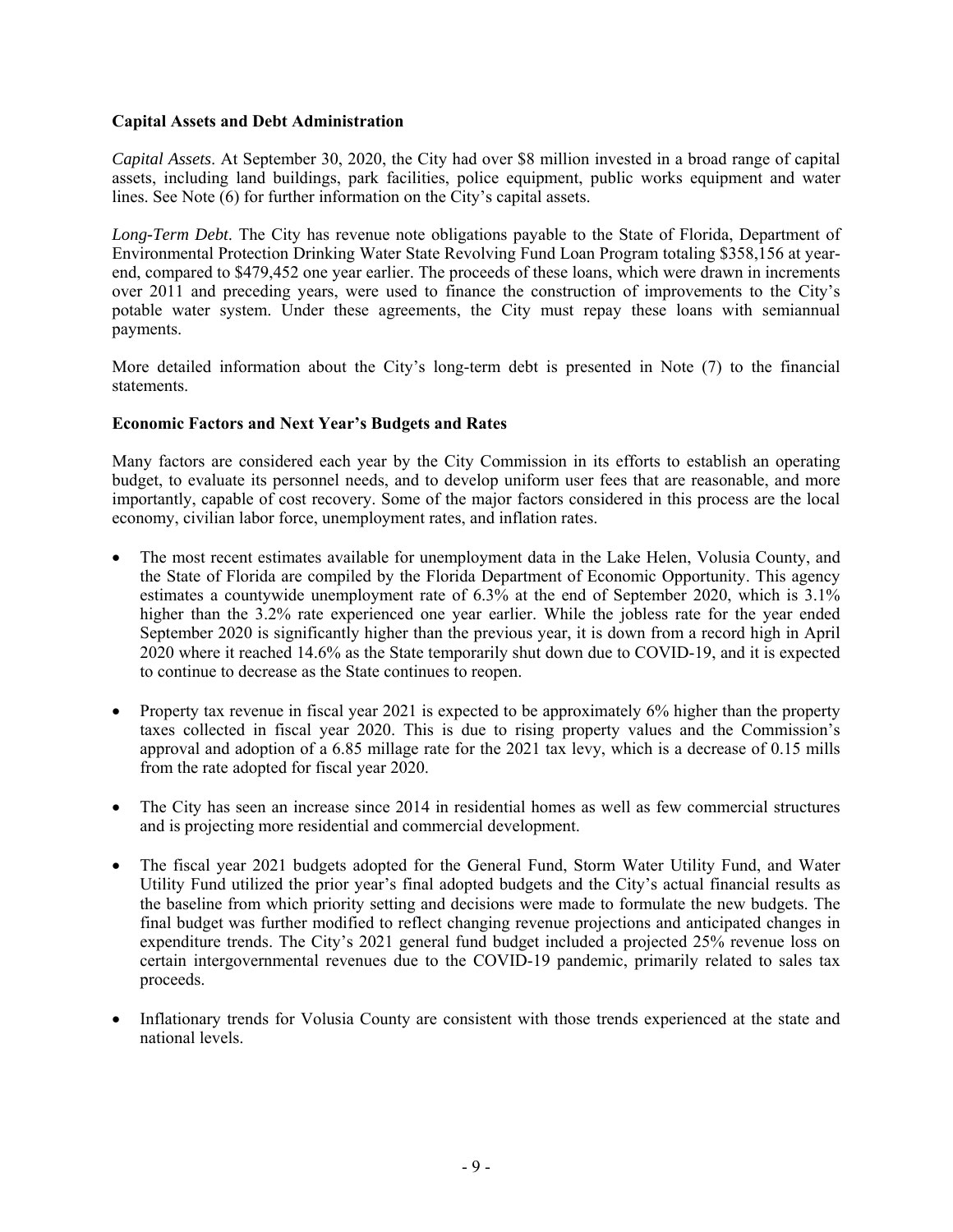### **Capital Assets and Debt Administration**

*Capital Assets*. At September 30, 2020, the City had over \$8 million invested in a broad range of capital assets, including land buildings, park facilities, police equipment, public works equipment and water lines. See Note (6) for further information on the City's capital assets.

*Long-Term Debt*. The City has revenue note obligations payable to the State of Florida, Department of Environmental Protection Drinking Water State Revolving Fund Loan Program totaling \$358,156 at yearend, compared to \$479,452 one year earlier. The proceeds of these loans, which were drawn in increments over 2011 and preceding years, were used to finance the construction of improvements to the City's potable water system. Under these agreements, the City must repay these loans with semiannual payments.

More detailed information about the City's long-term debt is presented in Note (7) to the financial statements.

### **Economic Factors and Next Year's Budgets and Rates**

Many factors are considered each year by the City Commission in its efforts to establish an operating budget, to evaluate its personnel needs, and to develop uniform user fees that are reasonable, and more importantly, capable of cost recovery. Some of the major factors considered in this process are the local economy, civilian labor force, unemployment rates, and inflation rates.

- The most recent estimates available for unemployment data in the Lake Helen, Volusia County, and the State of Florida are compiled by the Florida Department of Economic Opportunity. This agency estimates a countywide unemployment rate of 6.3% at the end of September 2020, which is 3.1% higher than the 3.2% rate experienced one year earlier. While the jobless rate for the year ended September 2020 is significantly higher than the previous year, it is down from a record high in April 2020 where it reached 14.6% as the State temporarily shut down due to COVID-19, and it is expected to continue to decrease as the State continues to reopen.
- Property tax revenue in fiscal year 2021 is expected to be approximately 6% higher than the property taxes collected in fiscal year 2020. This is due to rising property values and the Commission's approval and adoption of a 6.85 millage rate for the 2021 tax levy, which is a decrease of 0.15 mills from the rate adopted for fiscal year 2020.
- The City has seen an increase since 2014 in residential homes as well as few commercial structures and is projecting more residential and commercial development.
- The fiscal year 2021 budgets adopted for the General Fund, Storm Water Utility Fund, and Water Utility Fund utilized the prior year's final adopted budgets and the City's actual financial results as the baseline from which priority setting and decisions were made to formulate the new budgets. The final budget was further modified to reflect changing revenue projections and anticipated changes in expenditure trends. The City's 2021 general fund budget included a projected 25% revenue loss on certain intergovernmental revenues due to the COVID-19 pandemic, primarily related to sales tax proceeds.
- Inflationary trends for Volusia County are consistent with those trends experienced at the state and national levels.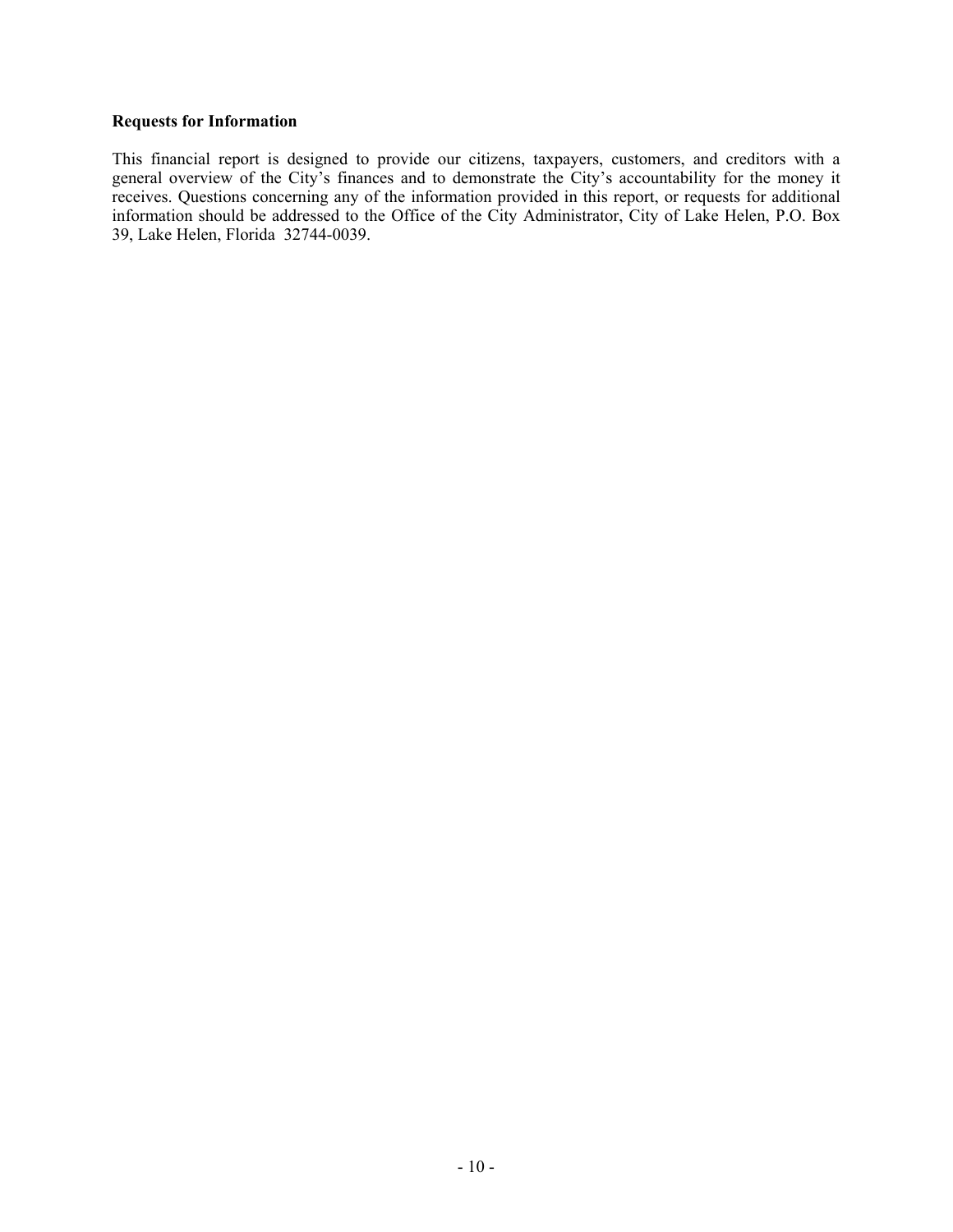#### **Requests for Information**

This financial report is designed to provide our citizens, taxpayers, customers, and creditors with a general overview of the City's finances and to demonstrate the City's accountability for the money it receives. Questions concerning any of the information provided in this report, or requests for additional information should be addressed to the Office of the City Administrator, City of Lake Helen, P.O. Box 39, Lake Helen, Florida 32744-0039.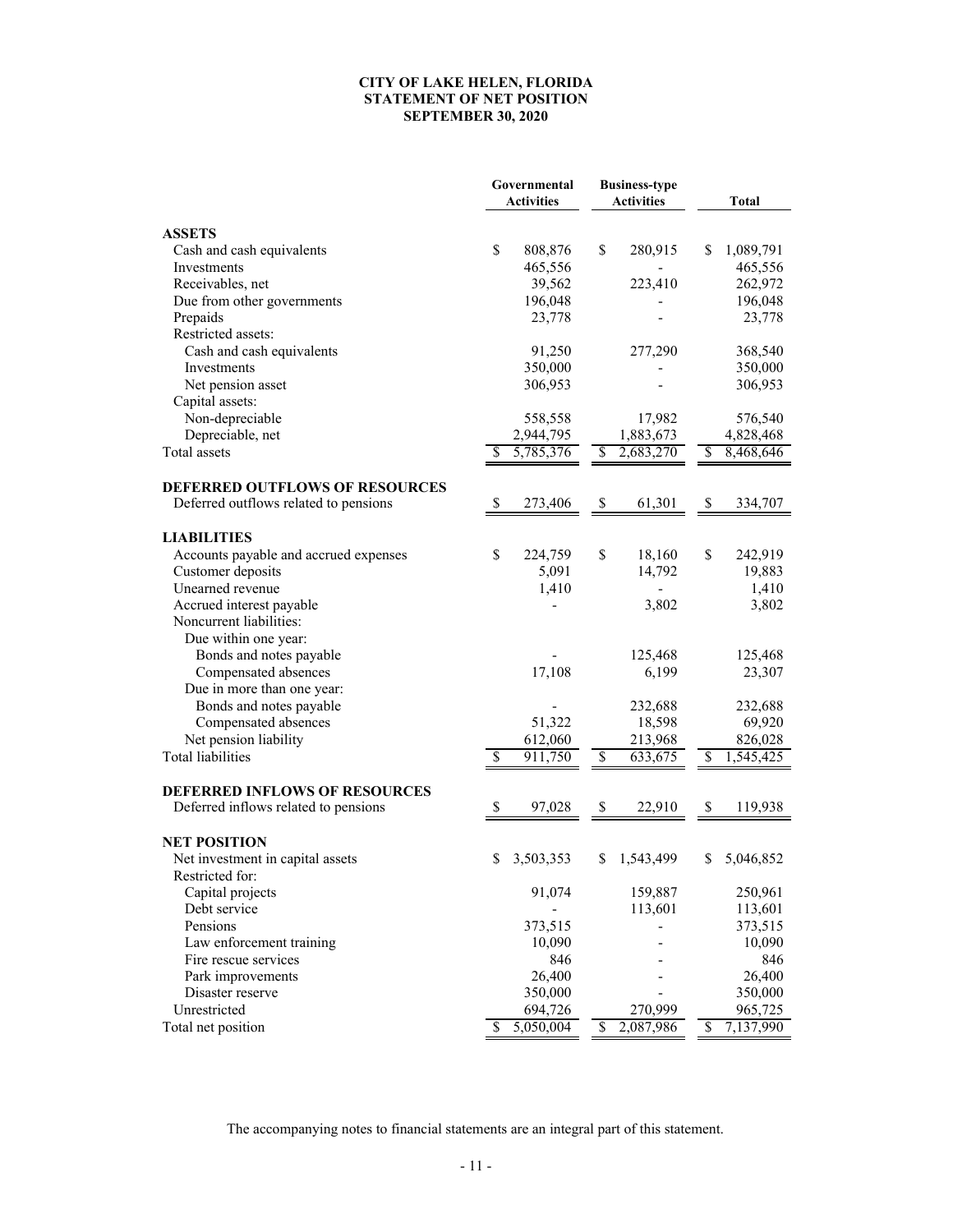#### **CITY OF LAKE HELEN, FLORIDA STATEMENT OF NET POSITION SEPTEMBER 30, 2020**

|                                                                                | Governmental<br><b>Activities</b> |           |                          | <b>Business-type</b><br><b>Activities</b> |    | Total     |
|--------------------------------------------------------------------------------|-----------------------------------|-----------|--------------------------|-------------------------------------------|----|-----------|
| <b>ASSETS</b>                                                                  |                                   |           |                          |                                           |    |           |
| Cash and cash equivalents                                                      | \$                                | 808,876   | \$                       | 280,915                                   | S  | 1,089,791 |
| Investments                                                                    |                                   | 465,556   |                          |                                           |    | 465,556   |
| Receivables, net                                                               |                                   | 39,562    |                          | 223,410                                   |    | 262,972   |
| Due from other governments                                                     |                                   | 196,048   |                          |                                           |    | 196,048   |
| Prepaids                                                                       |                                   | 23,778    |                          |                                           |    | 23,778    |
| Restricted assets:                                                             |                                   |           |                          |                                           |    |           |
| Cash and cash equivalents                                                      |                                   | 91,250    |                          | 277,290                                   |    | 368,540   |
| Investments                                                                    |                                   | 350,000   |                          |                                           |    | 350,000   |
| Net pension asset                                                              |                                   | 306,953   |                          |                                           |    | 306,953   |
| Capital assets:                                                                |                                   |           |                          |                                           |    |           |
| Non-depreciable                                                                |                                   | 558,558   |                          | 17,982                                    |    | 576,540   |
| Depreciable, net                                                               |                                   | 2,944,795 |                          | 1,883,673                                 |    | 4,828,468 |
| Total assets                                                                   | S                                 | 5,785,376 | \$                       | 2,683,270                                 | \$ | 8,468,646 |
|                                                                                |                                   |           |                          |                                           |    |           |
| <b>DEFERRED OUTFLOWS OF RESOURCES</b><br>Deferred outflows related to pensions | S                                 | 273,406   | \$                       | 61,301                                    | \$ | 334,707   |
|                                                                                |                                   |           |                          |                                           |    |           |
| <b>LIABILITIES</b>                                                             |                                   |           |                          |                                           |    |           |
| Accounts payable and accrued expenses                                          | \$                                | 224,759   | \$                       | 18,160                                    | \$ | 242,919   |
| Customer deposits                                                              |                                   | 5,091     |                          | 14,792                                    |    | 19,883    |
| Unearned revenue                                                               |                                   | 1,410     |                          |                                           |    | 1,410     |
| Accrued interest payable                                                       |                                   |           |                          | 3,802                                     |    | 3,802     |
| Noncurrent liabilities:                                                        |                                   |           |                          |                                           |    |           |
| Due within one year:                                                           |                                   |           |                          |                                           |    |           |
| Bonds and notes payable                                                        |                                   |           |                          | 125,468                                   |    | 125,468   |
| Compensated absences                                                           |                                   | 17,108    |                          | 6,199                                     |    | 23,307    |
| Due in more than one year:                                                     |                                   |           |                          |                                           |    |           |
| Bonds and notes payable                                                        |                                   |           |                          | 232,688                                   |    | 232,688   |
| Compensated absences                                                           |                                   | 51,322    |                          | 18,598                                    |    | 69,920    |
| Net pension liability                                                          |                                   | 612,060   |                          | 213,968                                   |    | 826,028   |
| <b>Total liabilities</b>                                                       | \$                                | 911,750   | $\overline{\mathcal{S}}$ | 633,675                                   | \$ | 1,545,425 |
| DEFERRED INFLOWS OF RESOURCES                                                  |                                   |           |                          |                                           |    |           |
| Deferred inflows related to pensions                                           | \$                                | 97,028    | \$                       | 22,910                                    | \$ | 119,938   |
| <b>NET POSITION</b>                                                            |                                   |           |                          |                                           |    |           |
| Net investment in capital assets                                               | \$                                | 3,503,353 | \$                       | 1,543,499                                 | \$ | 5,046,852 |
| Restricted for:                                                                |                                   |           |                          |                                           |    |           |
| Capital projects                                                               |                                   | 91,074    |                          | 159,887                                   |    | 250,961   |
| Debt service                                                                   |                                   |           |                          | 113,601                                   |    | 113,601   |
| Pensions                                                                       |                                   | 373,515   |                          |                                           |    | 373,515   |
| Law enforcement training                                                       |                                   | 10,090    |                          |                                           |    | 10,090    |
| Fire rescue services                                                           |                                   | 846       |                          |                                           |    | 846       |
| Park improvements                                                              |                                   | 26,400    |                          |                                           |    | 26,400    |
| Disaster reserve                                                               |                                   | 350,000   |                          |                                           |    | 350,000   |
| Unrestricted                                                                   |                                   | 694,726   |                          | 270,999                                   |    | 965,725   |
| Total net position                                                             | S                                 | 5,050,004 | \$                       | 2,087,986                                 | \$ | 7,137,990 |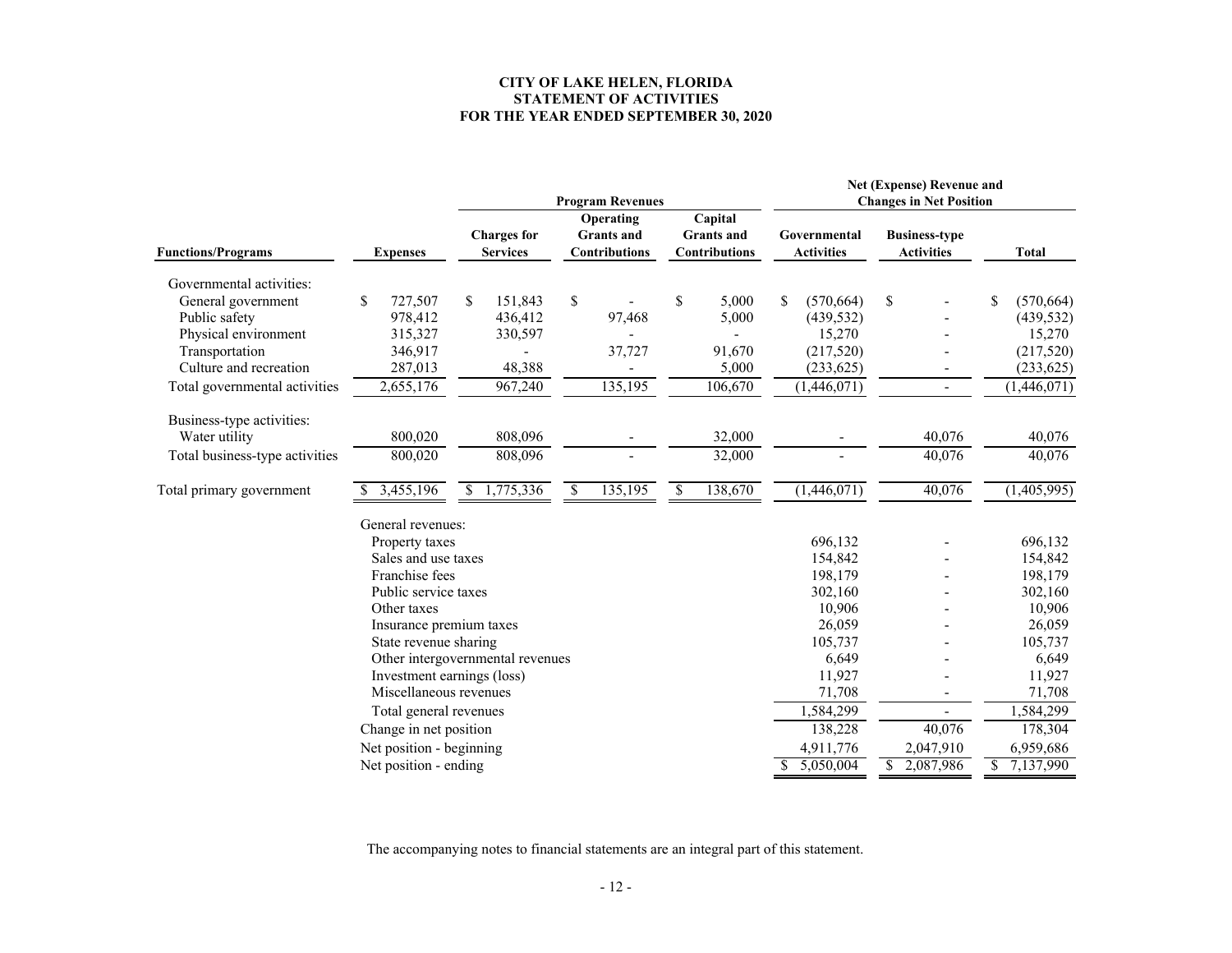#### **CITY OF LAKE HELEN, FLORIDA STATEMENT OF ACTIVITIES FOR THE YEAR ENDED SEPTEMBER 30, 2020**

|                                                                                                                                     |                                                                                                                                 |                                               | <b>Program Revenues</b>                                |                                                      | <b>Net (Expense) Revenue and</b><br><b>Changes in Net Position</b>  |                                                      |                                                                     |  |  |  |
|-------------------------------------------------------------------------------------------------------------------------------------|---------------------------------------------------------------------------------------------------------------------------------|-----------------------------------------------|--------------------------------------------------------|------------------------------------------------------|---------------------------------------------------------------------|------------------------------------------------------|---------------------------------------------------------------------|--|--|--|
| <b>Functions/Programs</b>                                                                                                           | <b>Expenses</b>                                                                                                                 | <b>Charges for</b><br><b>Services</b>         | Operating<br><b>Grants</b> and<br><b>Contributions</b> | Capital<br><b>Grants</b> and<br><b>Contributions</b> | Governmental<br><b>Activities</b>                                   | <b>Business-type</b><br><b>Activities</b>            | <b>Total</b>                                                        |  |  |  |
| Governmental activities:<br>General government<br>Public safety<br>Physical environment<br>Transportation<br>Culture and recreation | \$<br>727,507<br>978,412<br>315,327<br>346,917<br>287,013                                                                       | \$<br>151,843<br>436,412<br>330,597<br>48,388 | \$<br>97,468<br>37,727                                 | \$<br>5,000<br>5,000<br>91,670<br>5,000              | \$<br>(570, 664)<br>(439, 532)<br>15,270<br>(217,520)<br>(233, 625) | \$                                                   | (570, 664)<br>\$<br>(439, 532)<br>15,270<br>(217,520)<br>(233, 625) |  |  |  |
| Total governmental activities<br>Business-type activities:<br>Water utility<br>Total business-type activities                       | 2,655,176<br>800,020<br>800,020                                                                                                 | 967,240<br>808,096<br>808,096                 | 135,195                                                | 106,670<br>32,000<br>32,000                          | (1,446,071)                                                         | $\overline{\phantom{a}}$<br>40,076<br>40,076         | (1,446,071)<br>40,076<br>40,076                                     |  |  |  |
| Total primary government                                                                                                            | 3,455,196                                                                                                                       | 1,775,336<br>S.                               | 135,195<br>\$                                          | 138,670<br><sup>\$</sup>                             | (1,446,071)                                                         | 40,076                                               | (1,405,995)                                                         |  |  |  |
|                                                                                                                                     | General revenues:<br>Property taxes<br>Sales and use taxes<br>Franchise fees<br>Public service taxes                            |                                               |                                                        |                                                      | 696,132<br>154,842<br>198,179<br>302,160                            |                                                      | 696,132<br>154,842<br>198,179<br>302,160                            |  |  |  |
|                                                                                                                                     | Other taxes<br>Insurance premium taxes<br>State revenue sharing<br>Investment earnings (loss)                                   | Other intergovernmental revenues              |                                                        |                                                      | 10,906<br>26,059<br>105,737<br>6,649<br>11,927                      |                                                      | 10,906<br>26,059<br>105,737<br>6,649<br>11,927                      |  |  |  |
|                                                                                                                                     | Miscellaneous revenues<br>Total general revenues<br>Change in net position<br>Net position - beginning<br>Net position - ending |                                               |                                                        |                                                      | 71,708<br>1,584,299<br>138,228<br>4,911,776<br>\$5,050,004          | $\overline{a}$<br>40,076<br>2,047,910<br>\$2,087,986 | 71,708<br>1,584,299<br>178,304<br>6,959,686<br>\$7,137,990          |  |  |  |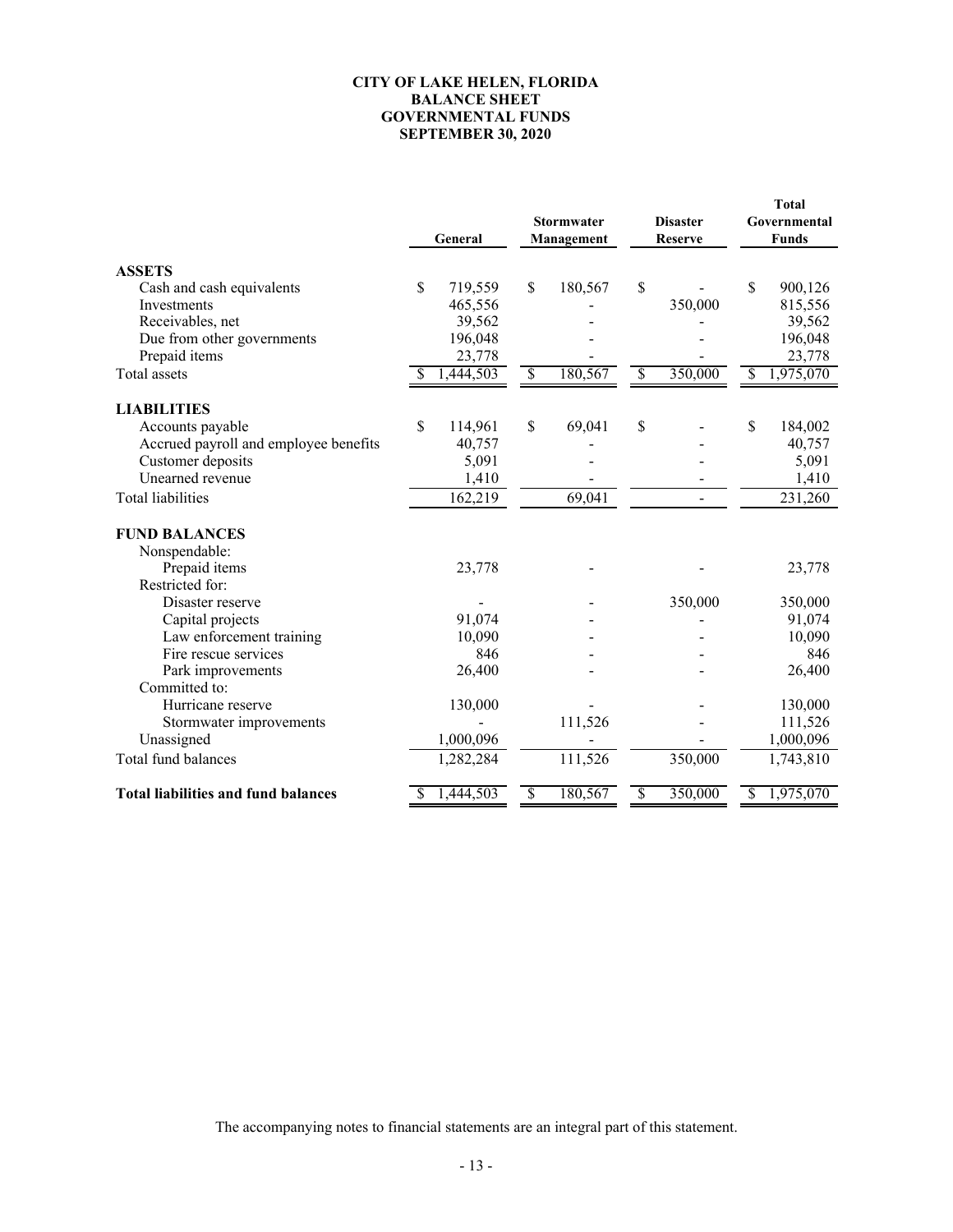#### **GOVERNMENTAL FUNDS SEPTEMBER 30, 2020 CITY OF LAKE HELEN, FLORIDA BALANCE SHEET**

|                                            | General |           | <b>Stormwater</b><br>Management |         | <b>Disaster</b><br><b>Reserve</b> |         |     | <b>Total</b><br>Governmental<br><b>Funds</b> |
|--------------------------------------------|---------|-----------|---------------------------------|---------|-----------------------------------|---------|-----|----------------------------------------------|
| <b>ASSETS</b>                              |         |           |                                 |         |                                   |         |     |                                              |
| Cash and cash equivalents                  | \$      | 719,559   | S                               | 180,567 | S                                 |         | \$. | 900,126                                      |
| Investments                                |         | 465,556   |                                 |         |                                   | 350,000 |     | 815,556                                      |
| Receivables, net                           |         | 39,562    |                                 |         |                                   |         |     | 39,562                                       |
| Due from other governments                 |         | 196,048   |                                 |         |                                   |         |     | 196,048                                      |
| Prepaid items                              |         | 23,778    |                                 |         |                                   |         |     | 23,778                                       |
| Total assets                               |         | 1,444,503 | $\overline{\mathcal{S}}$        | 180,567 | $\overline{\mathcal{S}}$          | 350,000 | \$  | 1,975,070                                    |
| <b>LIABILITIES</b>                         |         |           |                                 |         |                                   |         |     |                                              |
| Accounts payable                           | \$      | 114,961   | \$                              | 69,041  | \$                                |         | \$  | 184,002                                      |
| Accrued payroll and employee benefits      |         | 40,757    |                                 |         |                                   |         |     | 40,757                                       |
| Customer deposits                          |         | 5,091     |                                 |         |                                   |         |     | 5,091                                        |
| Unearned revenue                           |         | 1,410     |                                 |         |                                   |         |     | 1,410                                        |
| Total liabilities                          |         | 162,219   |                                 | 69,041  |                                   |         |     | 231,260                                      |
| <b>FUND BALANCES</b>                       |         |           |                                 |         |                                   |         |     |                                              |
| Nonspendable:                              |         |           |                                 |         |                                   |         |     |                                              |
| Prepaid items                              |         | 23,778    |                                 |         |                                   |         |     | 23,778                                       |
| Restricted for:                            |         |           |                                 |         |                                   |         |     |                                              |
| Disaster reserve                           |         |           |                                 |         |                                   | 350,000 |     | 350,000                                      |
| Capital projects                           |         | 91,074    |                                 |         |                                   |         |     | 91,074                                       |
| Law enforcement training                   |         | 10,090    |                                 |         |                                   |         |     | 10,090                                       |
| Fire rescue services                       |         | 846       |                                 |         |                                   |         |     | 846                                          |
| Park improvements                          |         | 26,400    |                                 |         |                                   |         |     | 26,400                                       |
| Committed to:                              |         |           |                                 |         |                                   |         |     |                                              |
| Hurricane reserve                          |         | 130,000   |                                 |         |                                   |         |     | 130,000                                      |
| Stormwater improvements                    |         |           |                                 | 111,526 |                                   |         |     | 111,526                                      |
| Unassigned                                 |         | 1,000,096 |                                 |         |                                   |         |     | 1,000,096                                    |
| Total fund balances                        |         | 1,282,284 |                                 | 111,526 |                                   | 350,000 |     | 1,743,810                                    |
| <b>Total liabilities and fund balances</b> | æ.      | 1,444,503 | \$                              | 180,567 | $\overline{\mathcal{S}}$          | 350,000 | \$. | 1,975,070                                    |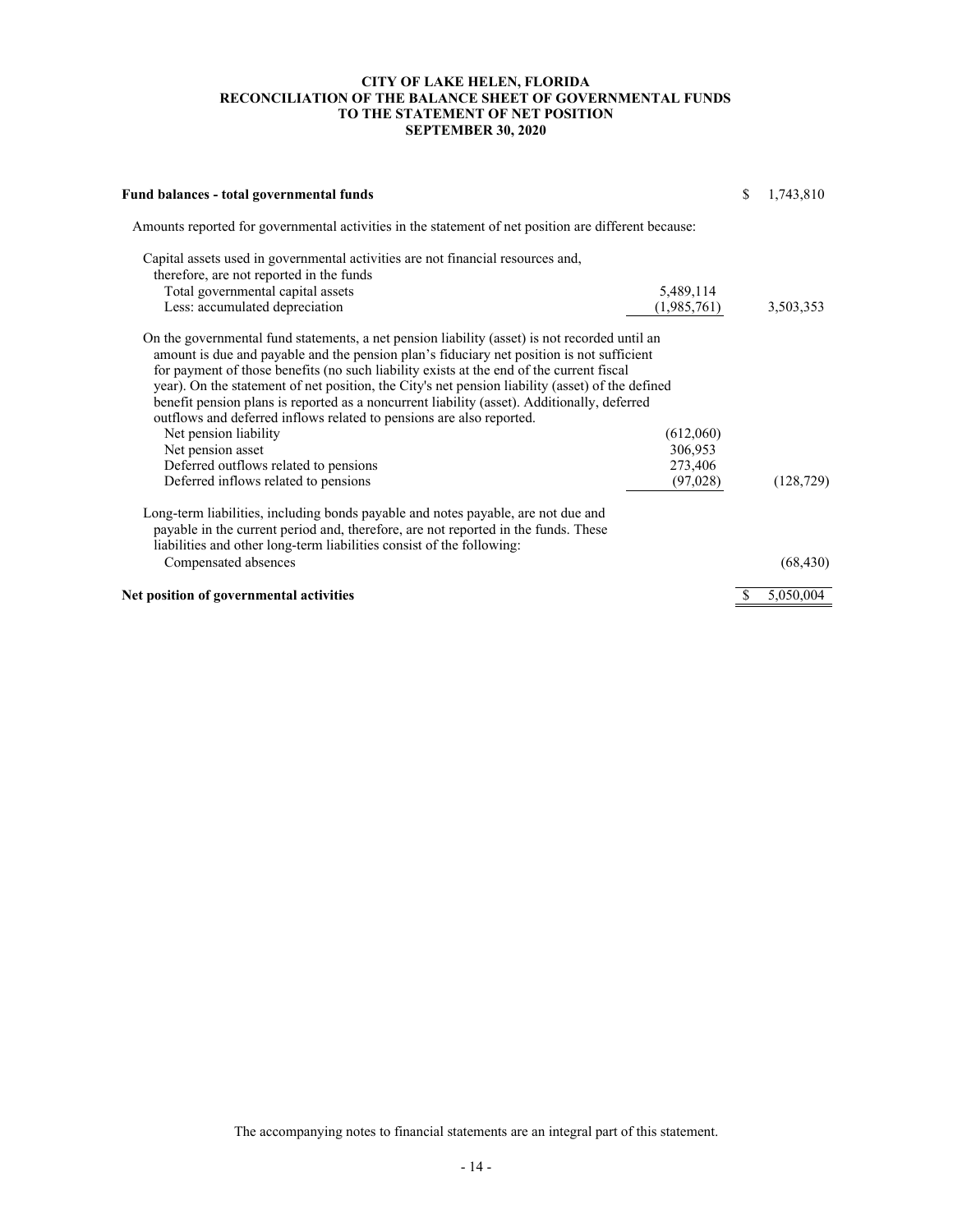#### **TO THE STATEMENT OF NET POSITION SEPTEMBER 30, 2020 CITY OF LAKE HELEN, FLORIDA RECONCILIATION OF THE BALANCE SHEET OF GOVERNMENTAL FUNDS**

| Fund balances - total governmental funds                                                                                    |             | \$<br>1,743,810 |
|-----------------------------------------------------------------------------------------------------------------------------|-------------|-----------------|
| Amounts reported for governmental activities in the statement of net position are different because:                        |             |                 |
| Capital assets used in governmental activities are not financial resources and,<br>therefore, are not reported in the funds |             |                 |
| Total governmental capital assets                                                                                           | 5,489,114   |                 |
| Less: accumulated depreciation                                                                                              | (1,985,761) | 3,503,353       |
| On the governmental fund statements, a net pension liability (asset) is not recorded until an                               |             |                 |
| amount is due and payable and the pension plan's fiduciary net position is not sufficient                                   |             |                 |
| for payment of those benefits (no such liability exists at the end of the current fiscal                                    |             |                 |
| year). On the statement of net position, the City's net pension liability (asset) of the defined                            |             |                 |
| benefit pension plans is reported as a noncurrent liability (asset). Additionally, deferred                                 |             |                 |
| outflows and deferred inflows related to pensions are also reported.                                                        |             |                 |
| Net pension liability                                                                                                       | (612,060)   |                 |
| Net pension asset                                                                                                           | 306,953     |                 |
| Deferred outflows related to pensions                                                                                       | 273,406     |                 |
| Deferred inflows related to pensions                                                                                        | (97,028)    | (128, 729)      |
| Long-term liabilities, including bonds payable and notes payable, are not due and                                           |             |                 |
| payable in the current period and, therefore, are not reported in the funds. These                                          |             |                 |
| liabilities and other long-term liabilities consist of the following:                                                       |             |                 |
| Compensated absences                                                                                                        |             | (68, 430)       |
| Net position of governmental activities                                                                                     |             | 5,050,004       |
|                                                                                                                             |             |                 |
|                                                                                                                             |             |                 |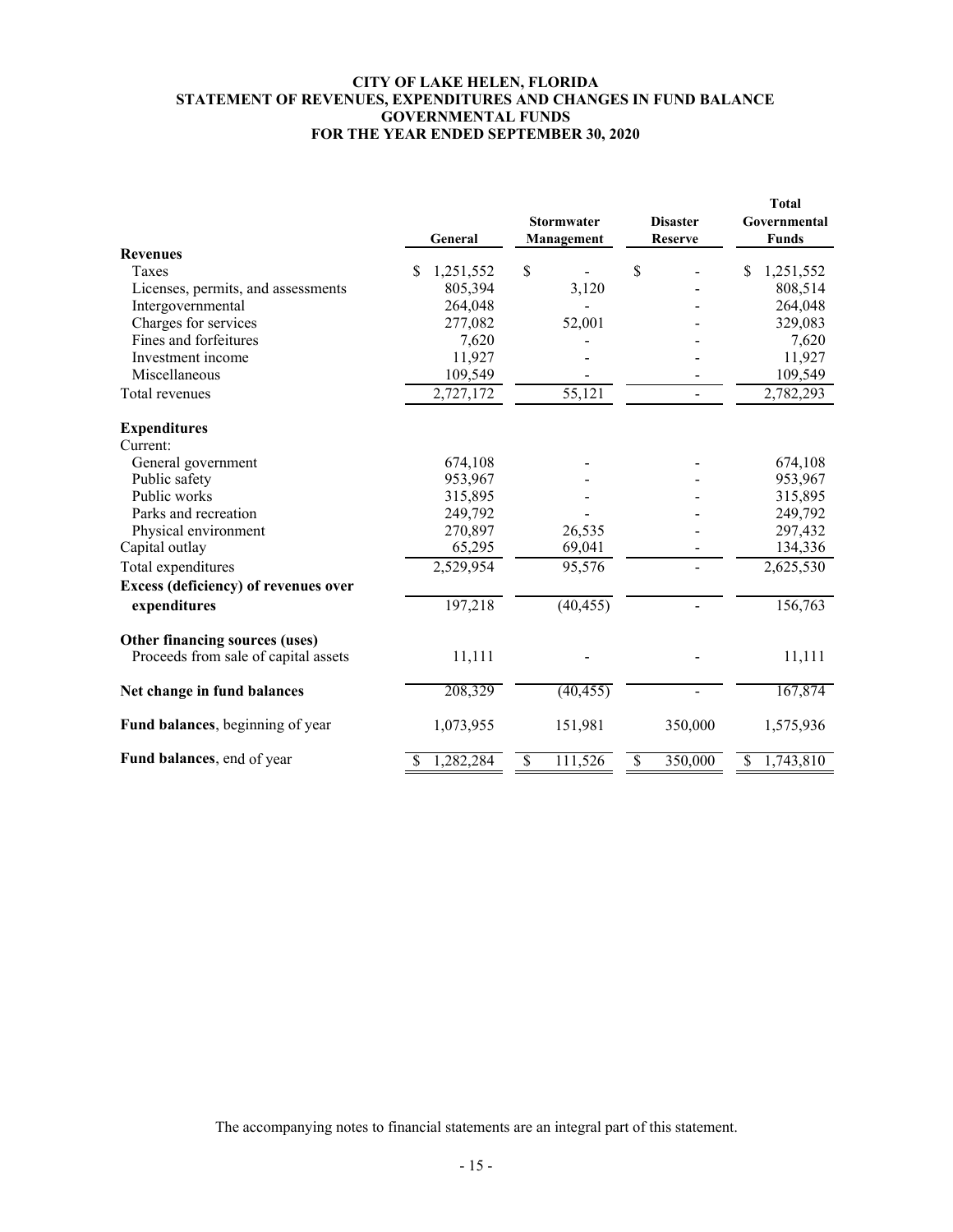#### **CITY OF LAKE HELEN, FLORIDA STATEMENT OF REVENUES, EXPENDITURES AND CHANGES IN FUND BALANCE GOVERNMENTAL FUNDS FOR THE YEAR ENDED SEPTEMBER 30, 2020**

|                                      | General        | <b>Stormwater</b><br>Management | <b>Disaster</b><br><b>Reserve</b> | <b>Total</b><br>Governmental<br><b>Funds</b> |
|--------------------------------------|----------------|---------------------------------|-----------------------------------|----------------------------------------------|
| <b>Revenues</b>                      |                |                                 |                                   |                                              |
| Taxes                                | 1,251,552<br>S | \$                              | \$                                | 1,251,552<br>\$                              |
| Licenses, permits, and assessments   | 805,394        | 3,120                           |                                   | 808,514                                      |
| Intergovernmental                    | 264,048        |                                 |                                   | 264,048                                      |
| Charges for services                 | 277,082        | 52,001                          |                                   | 329,083                                      |
| Fines and forfeitures                | 7,620          |                                 |                                   | 7,620                                        |
| Investment income                    | 11,927         |                                 |                                   | 11,927                                       |
| Miscellaneous                        | 109,549        |                                 |                                   | 109,549                                      |
| Total revenues                       | 2,727,172      | 55,121                          |                                   | 2,782,293                                    |
| <b>Expenditures</b>                  |                |                                 |                                   |                                              |
| Current:                             |                |                                 |                                   |                                              |
| General government                   | 674,108        |                                 |                                   | 674,108                                      |
| Public safety                        | 953,967        |                                 |                                   | 953,967                                      |
| Public works                         | 315,895        |                                 |                                   | 315,895                                      |
| Parks and recreation                 | 249,792        |                                 |                                   | 249,792                                      |
| Physical environment                 | 270,897        | 26,535                          |                                   | 297,432                                      |
| Capital outlay                       | 65,295         | 69,041                          |                                   | 134,336                                      |
| Total expenditures                   | 2,529,954      | 95,576                          |                                   | 2,625,530                                    |
| Excess (deficiency) of revenues over |                |                                 |                                   |                                              |
| expenditures                         | 197,218        | (40, 455)                       |                                   | 156,763                                      |
| Other financing sources (uses)       |                |                                 |                                   |                                              |
| Proceeds from sale of capital assets | 11,111         |                                 |                                   | 11,111                                       |
| Net change in fund balances          | 208,329        | (40, 455)                       |                                   | 167,874                                      |
| Fund balances, beginning of year     | 1,073,955      | 151,981                         | 350,000                           | 1,575,936                                    |
| Fund balances, end of year           | 1,282,284<br>S | 111,526<br>\$                   | 350,000<br>\$                     | 1,743,810<br>\$                              |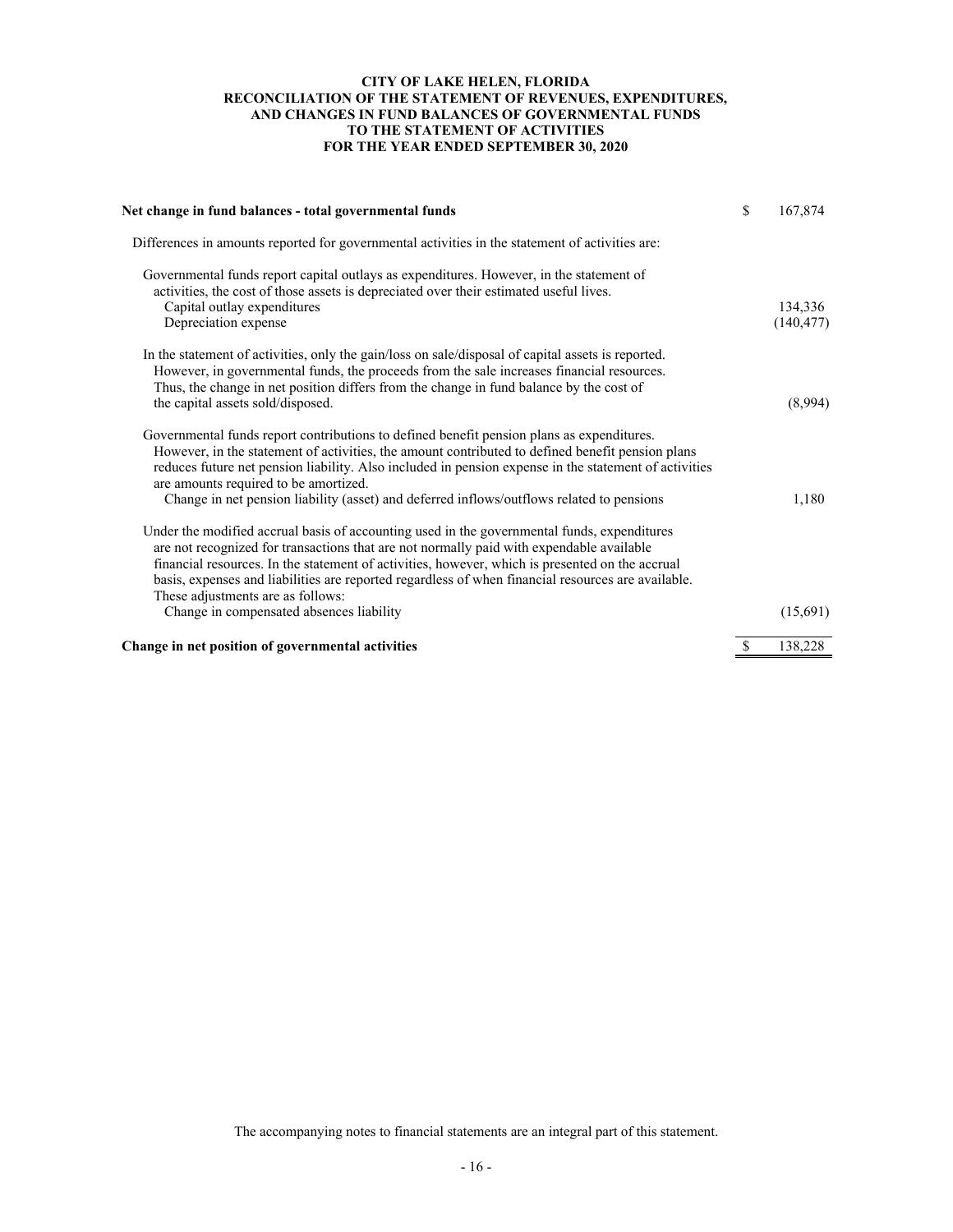#### **CITY OF LAKE HELEN, FLORIDA RECONCILIATION OF THE STATEMENT OF REVENUES, EXPENDITURES, TO THE STATEMENT OF ACTIVITIES FOR THE YEAR ENDED SEPTEMBER 30, 2020 AND CHANGES IN FUND BALANCES OF GOVERNMENTAL FUNDS**

| Net change in fund balances - total governmental funds                                                                                                                                                                                                                                                                                                                                                                                       | \$<br>167,874         |
|----------------------------------------------------------------------------------------------------------------------------------------------------------------------------------------------------------------------------------------------------------------------------------------------------------------------------------------------------------------------------------------------------------------------------------------------|-----------------------|
| Differences in amounts reported for governmental activities in the statement of activities are:                                                                                                                                                                                                                                                                                                                                              |                       |
| Governmental funds report capital outlays as expenditures. However, in the statement of<br>activities, the cost of those assets is depreciated over their estimated useful lives.<br>Capital outlay expenditures<br>Depreciation expense                                                                                                                                                                                                     | 134,336<br>(140, 477) |
| In the statement of activities, only the gain/loss on sale/disposal of capital assets is reported.<br>However, in governmental funds, the proceeds from the sale increases financial resources.<br>Thus, the change in net position differs from the change in fund balance by the cost of<br>the capital assets sold/disposed.                                                                                                              | (8,994)               |
| Governmental funds report contributions to defined benefit pension plans as expenditures.<br>However, in the statement of activities, the amount contributed to defined benefit pension plans<br>reduces future net pension liability. Also included in pension expense in the statement of activities<br>are amounts required to be amortized.<br>Change in net pension liability (asset) and deferred inflows/outflows related to pensions | 1,180                 |
| Under the modified accrual basis of accounting used in the governmental funds, expenditures<br>are not recognized for transactions that are not normally paid with expendable available<br>financial resources. In the statement of activities, however, which is presented on the accrual<br>basis, expenses and liabilities are reported regardless of when financial resources are available.<br>These adjustments are as follows:        |                       |
| Change in compensated absences liability                                                                                                                                                                                                                                                                                                                                                                                                     | (15,691)              |
| Change in net position of governmental activities                                                                                                                                                                                                                                                                                                                                                                                            | 138,228               |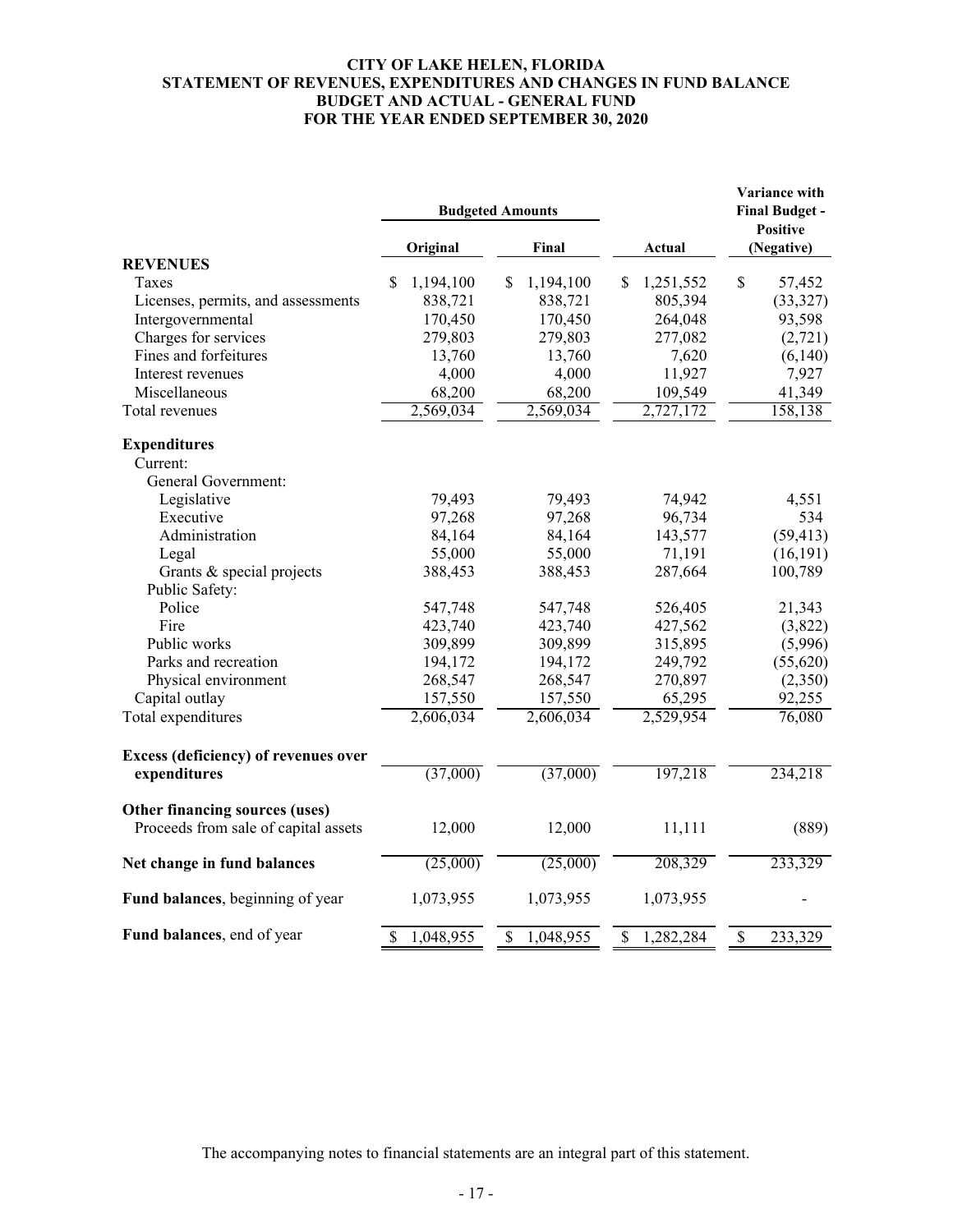#### **CITY OF LAKE HELEN, FLORIDA STATEMENT OF REVENUES, EXPENDITURES AND CHANGES IN FUND BALANCE BUDGET AND ACTUAL - GENERAL FUND FOR THE YEAR ENDED SEPTEMBER 30, 2020**

|                                             |    | <b>Budgeted Amounts</b> |    |           |    | Variance with<br><b>Final Budget -</b><br><b>Positive</b> |    |            |
|---------------------------------------------|----|-------------------------|----|-----------|----|-----------------------------------------------------------|----|------------|
|                                             |    | Original                |    | Final     |    | <b>Actual</b>                                             |    | (Negative) |
| <b>REVENUES</b>                             |    |                         |    |           |    |                                                           |    |            |
| Taxes                                       | S  | 1,194,100               | S  | 1,194,100 | S  | 1,251,552                                                 | \$ | 57,452     |
| Licenses, permits, and assessments          |    | 838,721                 |    | 838,721   |    | 805,394                                                   |    | (33, 327)  |
| Intergovernmental                           |    | 170,450                 |    | 170,450   |    | 264,048                                                   |    | 93,598     |
| Charges for services                        |    | 279,803                 |    | 279,803   |    | 277,082                                                   |    | (2,721)    |
| Fines and forfeitures                       |    | 13,760                  |    | 13,760    |    | 7,620                                                     |    | (6,140)    |
| Interest revenues                           |    | 4,000                   |    | 4,000     |    | 11,927                                                    |    | 7,927      |
| Miscellaneous                               |    | 68,200                  |    | 68,200    |    | 109,549                                                   |    | 41,349     |
| Total revenues                              |    | 2,569,034               |    | 2,569,034 |    | 2,727,172                                                 |    | 158,138    |
| <b>Expenditures</b>                         |    |                         |    |           |    |                                                           |    |            |
| Current:                                    |    |                         |    |           |    |                                                           |    |            |
| <b>General Government:</b>                  |    |                         |    |           |    |                                                           |    |            |
| Legislative                                 |    | 79,493                  |    | 79,493    |    | 74,942                                                    |    | 4,551      |
| Executive                                   |    | 97,268                  |    | 97,268    |    | 96,734                                                    |    | 534        |
| Administration                              |    | 84,164                  |    | 84,164    |    | 143,577                                                   |    | (59, 413)  |
| Legal                                       |    | 55,000                  |    | 55,000    |    | 71,191                                                    |    | (16, 191)  |
| Grants & special projects                   |    | 388,453                 |    | 388,453   |    | 287,664                                                   |    | 100,789    |
| Public Safety:                              |    |                         |    |           |    |                                                           |    |            |
| Police                                      |    | 547,748                 |    | 547,748   |    | 526,405                                                   |    | 21,343     |
| Fire                                        |    | 423,740                 |    | 423,740   |    | 427,562                                                   |    | (3,822)    |
| Public works                                |    | 309,899                 |    | 309,899   |    | 315,895                                                   |    | (5,996)    |
| Parks and recreation                        |    | 194,172                 |    | 194,172   |    | 249,792                                                   |    | (55,620)   |
| Physical environment                        |    | 268,547                 |    | 268,547   |    | 270,897                                                   |    | (2,350)    |
| Capital outlay                              |    | 157,550                 |    | 157,550   |    | 65,295                                                    |    | 92,255     |
| Total expenditures                          |    | 2,606,034               |    | 2,606,034 |    | 2,529,954                                                 |    | 76,080     |
| <b>Excess (deficiency) of revenues over</b> |    |                         |    |           |    |                                                           |    |            |
| expenditures                                |    | (37,000)                |    | (37,000)  |    | 197,218                                                   |    | 234,218    |
| Other financing sources (uses)              |    |                         |    |           |    |                                                           |    |            |
| Proceeds from sale of capital assets        |    | 12,000                  |    | 12,000    |    | 11,111                                                    |    | (889)      |
| Net change in fund balances                 |    | (25,000)                |    | (25,000)  |    | 208,329                                                   |    | 233,329    |
| Fund balances, beginning of year            |    | 1,073,955               |    | 1,073,955 |    | 1,073,955                                                 |    |            |
| Fund balances, end of year                  | \$ | 1,048,955               | \$ | 1,048,955 | \$ | 1,282,284                                                 | \$ | 233,329    |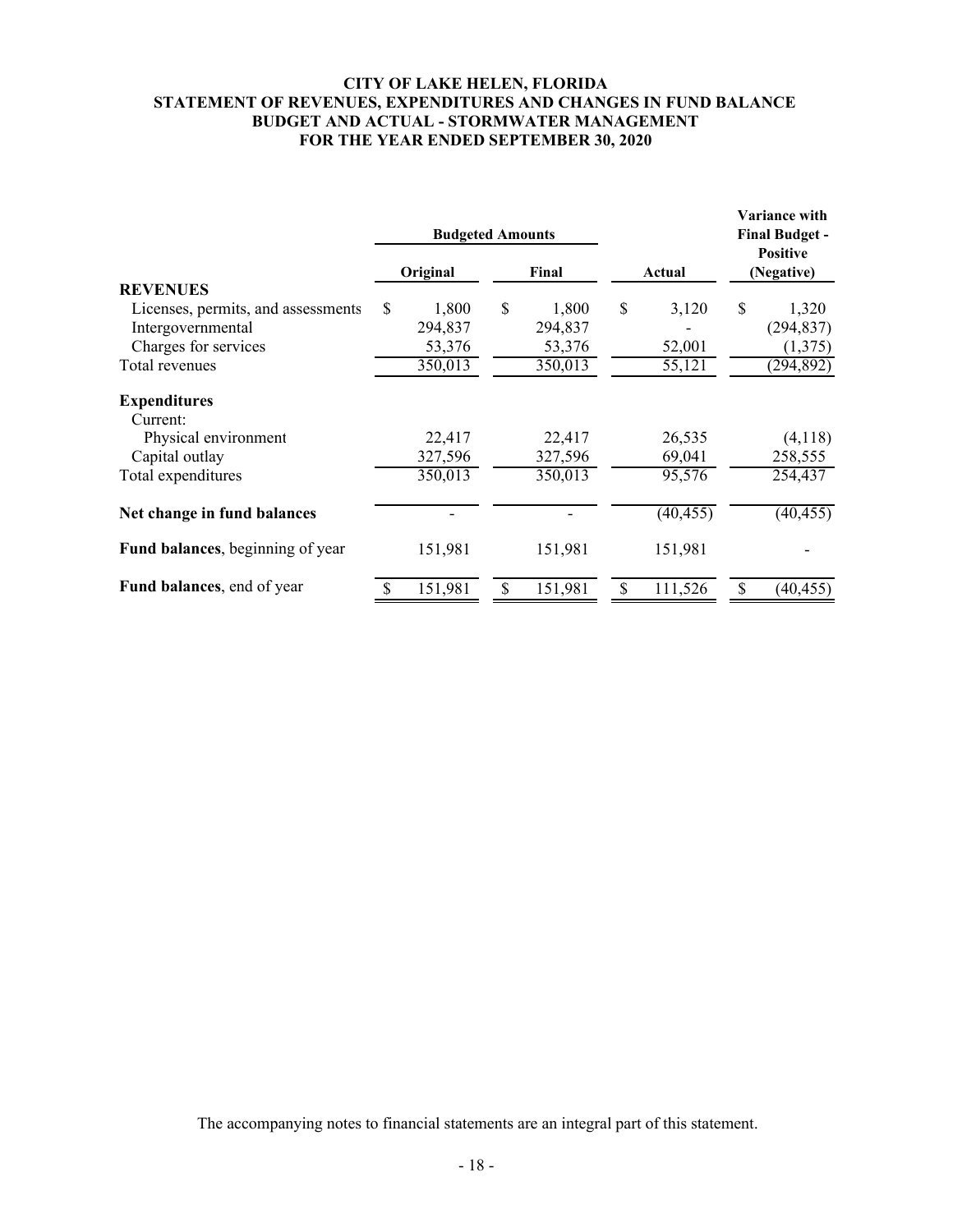### **CITY OF LAKE HELEN, FLORIDA STATEMENT OF REVENUES, EXPENDITURES AND CHANGES IN FUND BALANCE BUDGET AND ACTUAL - STORMWATER MANAGEMENT FOR THE YEAR ENDED SEPTEMBER 30, 2020**

|                                    |               | <b>Budgeted Amounts</b> |    |         |    |           |    | <b>Variance with</b><br><b>Final Budget -</b><br><b>Positive</b> |  |
|------------------------------------|---------------|-------------------------|----|---------|----|-----------|----|------------------------------------------------------------------|--|
|                                    |               | Original                |    | Final   |    | Actual    |    | (Negative)                                                       |  |
| <b>REVENUES</b>                    |               |                         |    |         |    |           |    |                                                                  |  |
| Licenses, permits, and assessments | $\mathcal{S}$ | 1,800                   | \$ | 1,800   | \$ | 3,120     | \$ | 1,320                                                            |  |
| Intergovernmental                  |               | 294,837                 |    | 294,837 |    |           |    | (294, 837)                                                       |  |
| Charges for services               |               | 53,376                  |    | 53,376  |    | 52,001    |    | (1,375)                                                          |  |
| Total revenues                     |               | 350,013                 |    | 350,013 |    | 55,121    |    | (294, 892)                                                       |  |
| <b>Expenditures</b>                |               |                         |    |         |    |           |    |                                                                  |  |
| Current:                           |               |                         |    |         |    |           |    |                                                                  |  |
| Physical environment               |               | 22,417                  |    | 22,417  |    | 26,535    |    | (4,118)                                                          |  |
| Capital outlay                     |               | 327,596                 |    | 327,596 |    | 69,041    |    | 258,555                                                          |  |
| Total expenditures                 |               | 350,013                 |    | 350,013 |    | 95,576    |    | 254,437                                                          |  |
| Net change in fund balances        |               |                         |    |         |    | (40, 455) |    | (40, 455)                                                        |  |
| Fund balances, beginning of year   |               | 151,981                 |    | 151,981 |    | 151,981   |    |                                                                  |  |
| Fund balances, end of year         |               | 151,981                 | \$ | 151,981 | \$ | 111,526   |    | (40, 455)                                                        |  |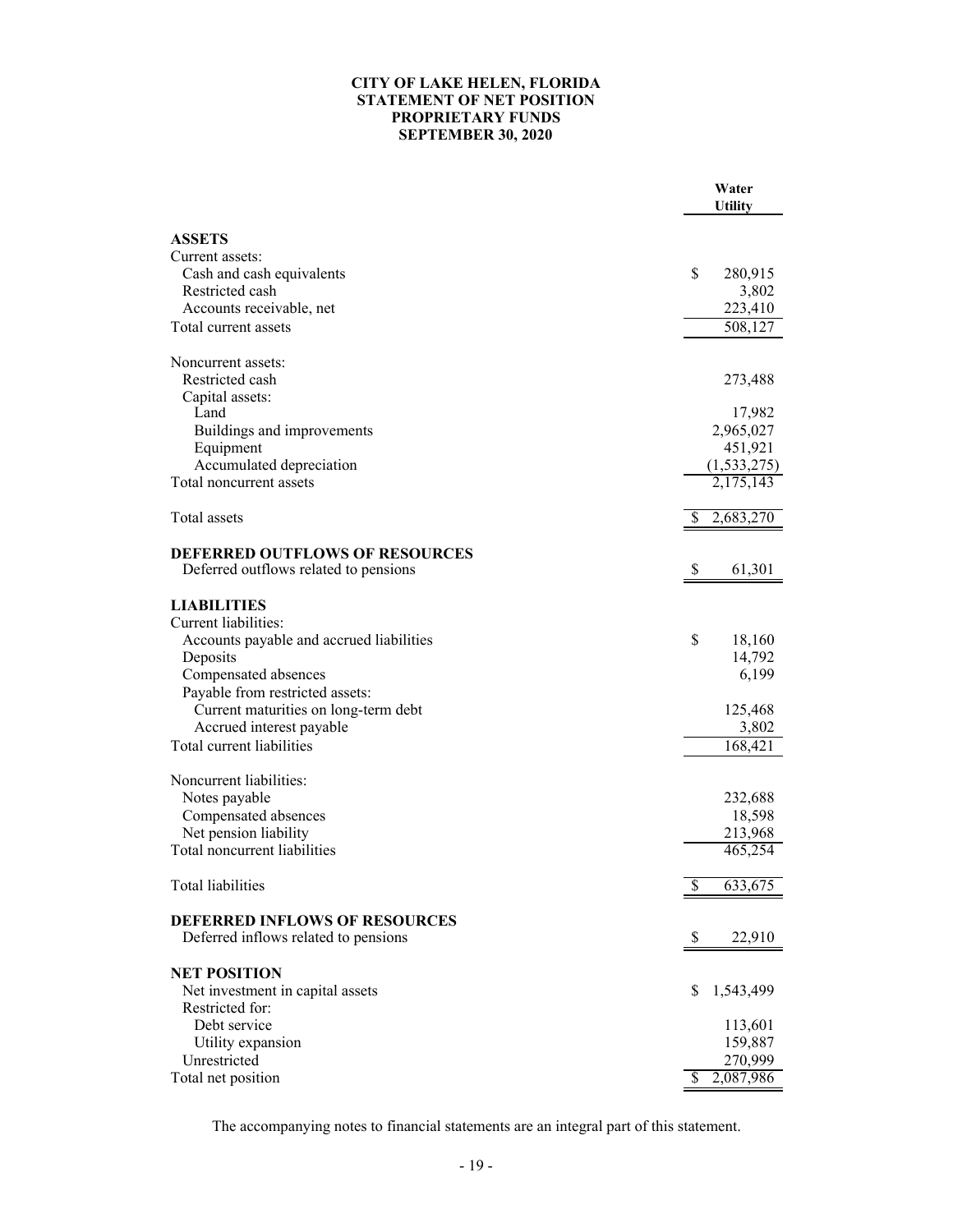#### **CITY OF LAKE HELEN, FLORIDA STATEMENT OF NET POSITION PROPRIETARY FUNDS SEPTEMBER 30, 2020**

|                                                                         | Water           |
|-------------------------------------------------------------------------|-----------------|
|                                                                         | <b>Utility</b>  |
| <b>ASSETS</b>                                                           |                 |
| Current assets:                                                         |                 |
| Cash and cash equivalents                                               | \$<br>280,915   |
| Restricted cash                                                         | 3,802           |
| Accounts receivable, net                                                | 223,410         |
| Total current assets                                                    | 508,127         |
| Noncurrent assets:                                                      |                 |
| Restricted cash                                                         | 273,488         |
| Capital assets:                                                         |                 |
| Land                                                                    | 17,982          |
| Buildings and improvements                                              | 2,965,027       |
| Equipment                                                               | 451,921         |
| Accumulated depreciation                                                | (1, 533, 275)   |
| Total noncurrent assets                                                 | 2,175,143       |
| Total assets                                                            |                 |
|                                                                         | 2,683,270<br>S  |
| <b>DEFERRED OUTFLOWS OF RESOURCES</b>                                   |                 |
| Deferred outflows related to pensions                                   | \$<br>61,301    |
|                                                                         |                 |
| <b>LIABILITIES</b>                                                      |                 |
| Current liabilities:                                                    |                 |
| Accounts payable and accrued liabilities                                | \$<br>18,160    |
| Deposits                                                                | 14,792          |
| Compensated absences                                                    | 6,199           |
| Payable from restricted assets:<br>Current maturities on long-term debt | 125,468         |
| Accrued interest payable                                                | 3,802           |
| Total current liabilities                                               | 168,421         |
|                                                                         |                 |
| Noncurrent liabilities:                                                 |                 |
| Notes payable                                                           | 232,688         |
| Compensated absences                                                    | 18,598          |
| Net pension liability                                                   | 213,968         |
| Total noncurrent liabilities                                            | 465,254         |
| Total liabilities                                                       | 633,675<br>Φ    |
|                                                                         |                 |
| <b>DEFERRED INFLOWS OF RESOURCES</b>                                    |                 |
| Deferred inflows related to pensions                                    | \$<br>22,910    |
|                                                                         |                 |
| <b>NET POSITION</b>                                                     |                 |
| Net investment in capital assets                                        | \$<br>1,543,499 |
| Restricted for:                                                         |                 |
| Debt service                                                            | 113,601         |
| Utility expansion                                                       | 159,887         |
| Unrestricted                                                            | 270,999         |
| Total net position                                                      | 2,087,986<br>\$ |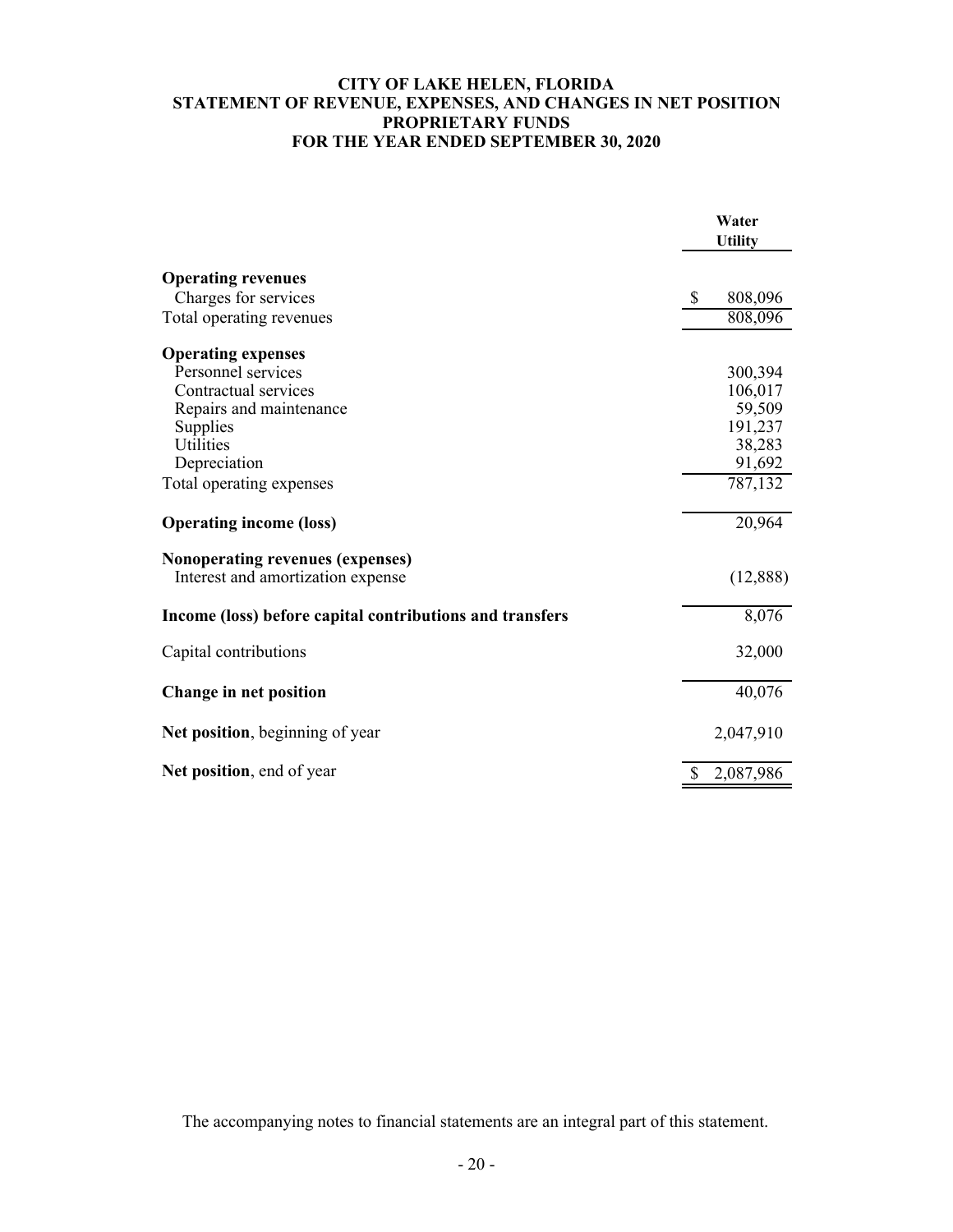### **CITY OF LAKE HELEN, FLORIDA STATEMENT OF REVENUE, EXPENSES, AND CHANGES IN NET POSITION PROPRIETARY FUNDS FOR THE YEAR ENDED SEPTEMBER 30, 2020**

|                                                                       |    | Water<br><b>Utility</b> |
|-----------------------------------------------------------------------|----|-------------------------|
| <b>Operating revenues</b>                                             |    |                         |
| Charges for services                                                  | \$ | 808,096                 |
| Total operating revenues                                              |    | 808,096                 |
| <b>Operating expenses</b>                                             |    |                         |
| Personnel services                                                    |    | 300,394                 |
| Contractual services                                                  |    | 106,017                 |
| Repairs and maintenance                                               |    | 59,509                  |
| Supplies                                                              |    | 191,237                 |
| <b>Utilities</b>                                                      |    | 38,283                  |
| Depreciation                                                          |    | 91,692                  |
| Total operating expenses                                              |    | 787,132                 |
| <b>Operating income (loss)</b>                                        |    | 20,964                  |
| Nonoperating revenues (expenses)<br>Interest and amortization expense |    | (12,888)                |
| Income (loss) before capital contributions and transfers              |    | 8,076                   |
| Capital contributions                                                 |    | 32,000                  |
| Change in net position                                                |    | 40,076                  |
| Net position, beginning of year                                       |    | 2,047,910               |
| Net position, end of year                                             |    | 2,087,986               |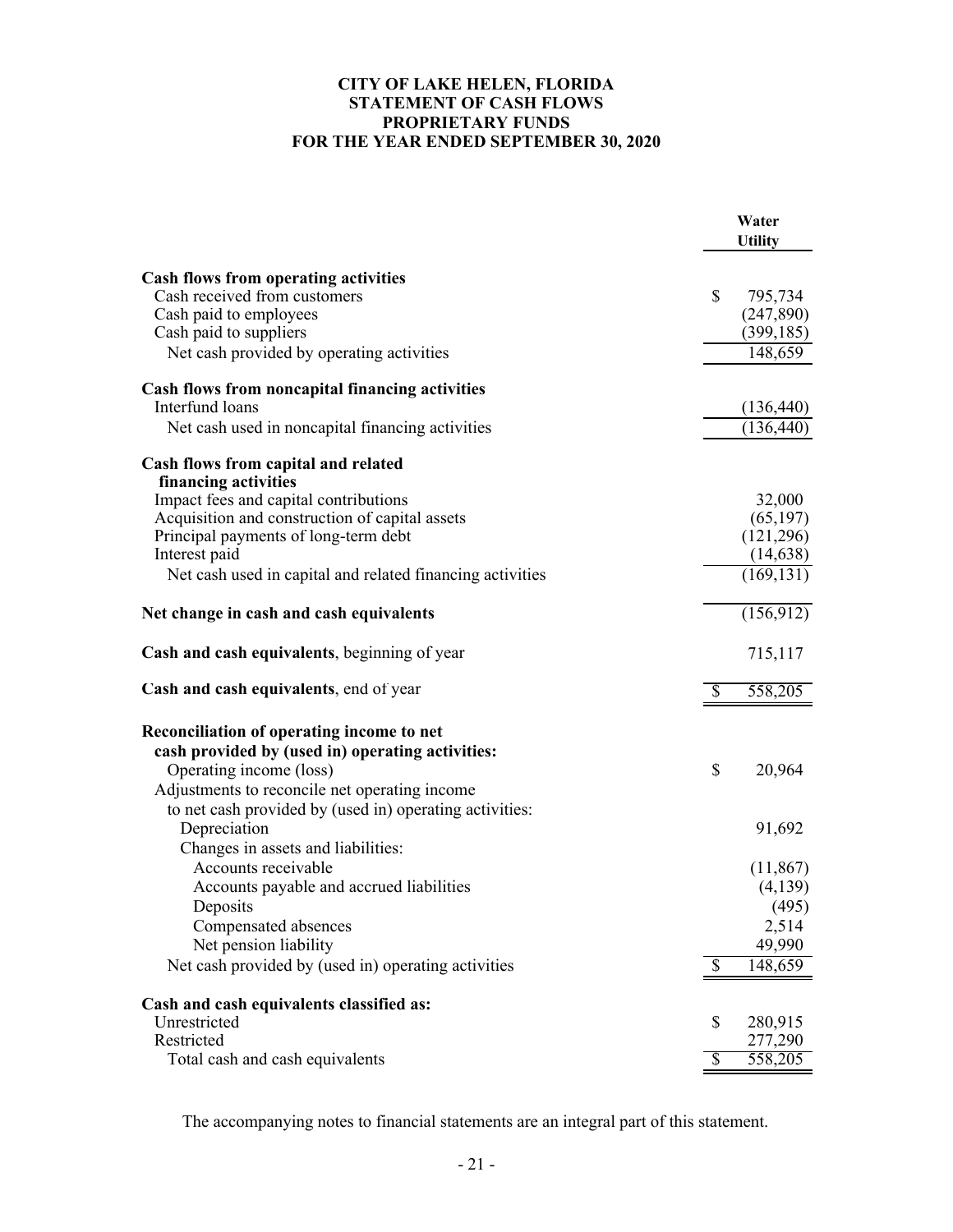## **CITY OF LAKE HELEN, FLORIDA STATEMENT OF CASH FLOWS PROPRIETARY FUNDS FOR THE YEAR ENDED SEPTEMBER 30, 2020**

|                                                                              |                          | Water<br><b>Utility</b> |
|------------------------------------------------------------------------------|--------------------------|-------------------------|
| <b>Cash flows from operating activities</b>                                  |                          |                         |
| Cash received from customers                                                 | $\mathbb{S}$             | 795,734                 |
| Cash paid to employees                                                       |                          | (247, 890)              |
| Cash paid to suppliers                                                       |                          | (399, 185)              |
| Net cash provided by operating activities                                    |                          | 148,659                 |
| Cash flows from noncapital financing activities                              |                          |                         |
| Interfund loans                                                              |                          | (136, 440)              |
| Net cash used in noncapital financing activities                             |                          | (136, 440)              |
| Cash flows from capital and related                                          |                          |                         |
| financing activities<br>Impact fees and capital contributions                |                          | 32,000                  |
| Acquisition and construction of capital assets                               |                          | (65, 197)               |
| Principal payments of long-term debt                                         |                          | (121, 296)              |
| Interest paid                                                                |                          | (14, 638)               |
| Net cash used in capital and related financing activities                    |                          | (169, 131)              |
| Net change in cash and cash equivalents                                      |                          | (156, 912)              |
| Cash and cash equivalents, beginning of year                                 |                          | 715,117                 |
| Cash and cash equivalents, end of year                                       | $\overline{\mathcal{S}}$ | 558,205                 |
| Reconciliation of operating income to net                                    |                          |                         |
| cash provided by (used in) operating activities:                             |                          |                         |
| Operating income (loss)                                                      | \$                       | 20,964                  |
| Adjustments to reconcile net operating income                                |                          |                         |
| to net cash provided by (used in) operating activities:                      |                          |                         |
| Depreciation                                                                 |                          | 91,692                  |
| Changes in assets and liabilities:<br>Accounts receivable                    |                          |                         |
| Accounts payable and accrued liabilities                                     |                          | (11, 867)               |
|                                                                              |                          | (4,139)                 |
| Deposits                                                                     |                          | (495)                   |
| Compensated absences                                                         |                          | 2,514                   |
| Net pension liability<br>Net cash provided by (used in) operating activities | \$                       | 49,990<br>148,659       |
|                                                                              |                          |                         |
| Cash and cash equivalents classified as:                                     |                          |                         |
| Unrestricted<br>Restricted                                                   | \$                       | 280,915                 |
| Total cash and cash equivalents                                              | $\overline{\mathbb{S}}$  | 277,290<br>558,205      |
|                                                                              |                          |                         |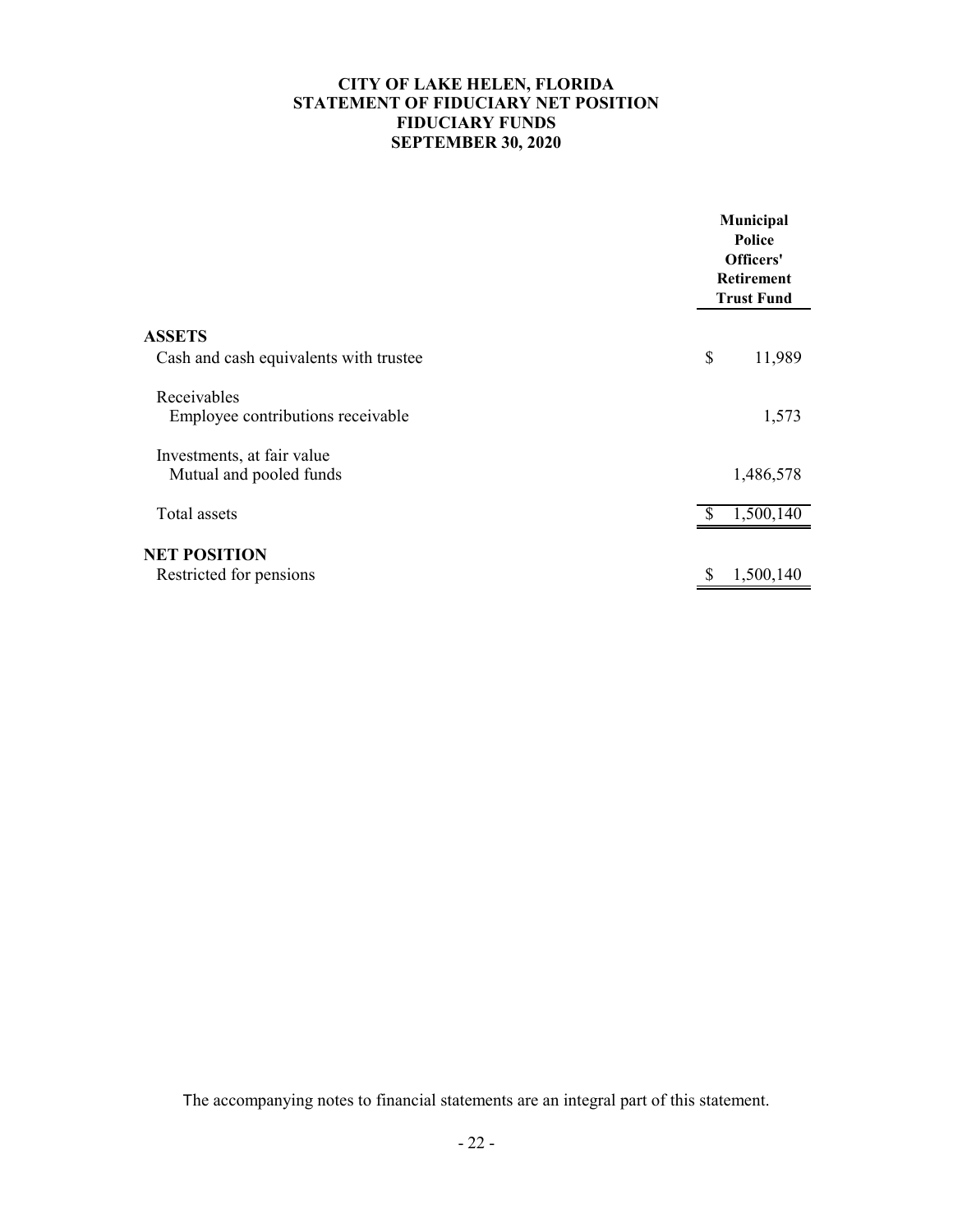# **CITY OF LAKE HELEN, FLORIDA STATEMENT OF FIDUCIARY NET POSITION FIDUCIARY FUNDS SEPTEMBER 30, 2020**

|                                                       | Municipal<br>Police<br>Officers'<br><b>Retirement</b><br><b>Trust Fund</b> |
|-------------------------------------------------------|----------------------------------------------------------------------------|
| <b>ASSETS</b>                                         |                                                                            |
| Cash and cash equivalents with trustee                | \$<br>11,989                                                               |
| Receivables<br>Employee contributions receivable      | 1,573                                                                      |
| Investments, at fair value<br>Mutual and pooled funds | 1,486,578                                                                  |
| Total assets                                          | 1,500,140                                                                  |
| <b>NET POSITION</b><br>Restricted for pensions        | 1,500,140                                                                  |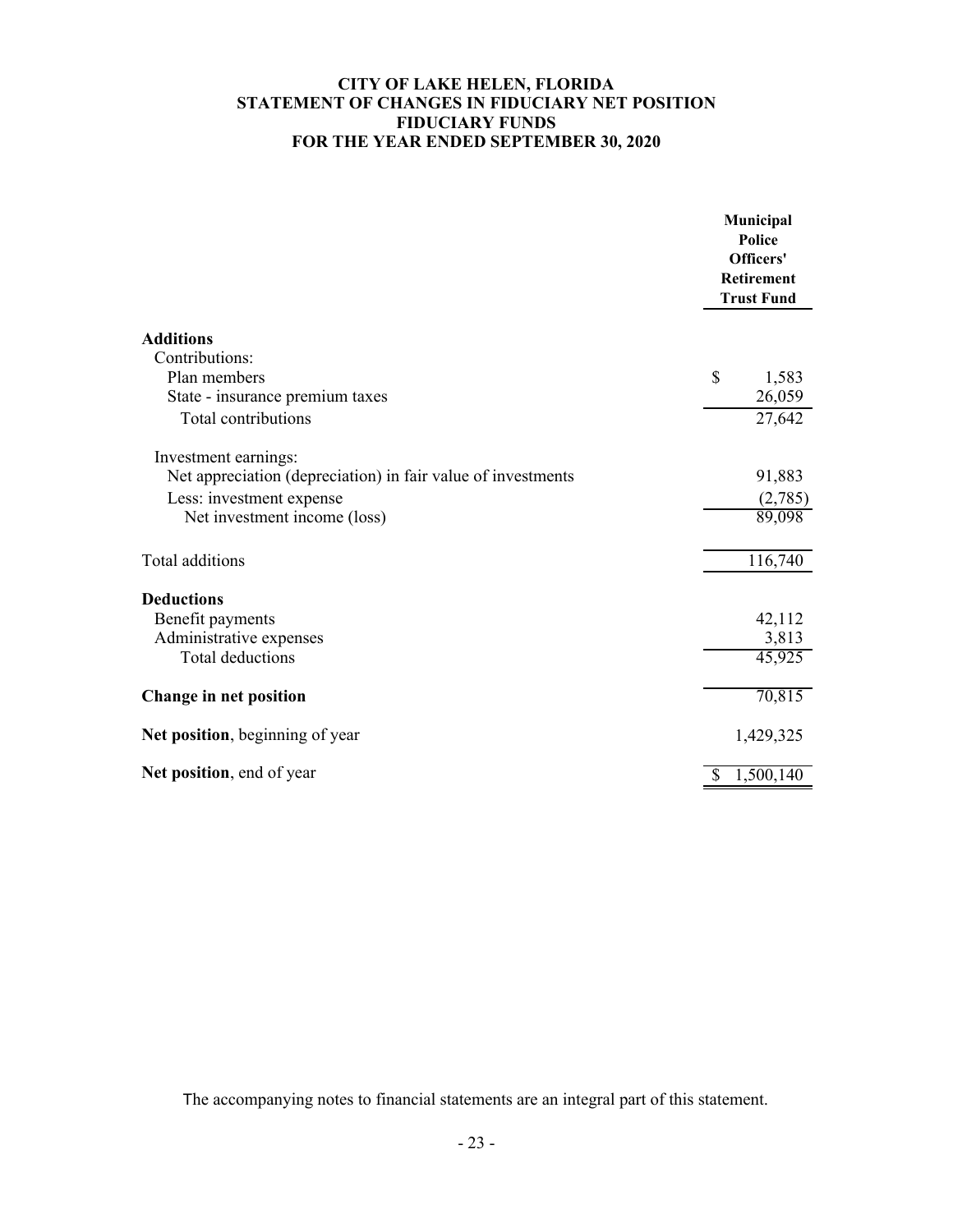### **CITY OF LAKE HELEN, FLORIDA STATEMENT OF CHANGES IN FIDUCIARY NET POSITION FIDUCIARY FUNDS FOR THE YEAR ENDED SEPTEMBER 30, 2020**

|                                                              | Municipal<br>Police<br>Officers'<br><b>Retirement</b><br><b>Trust Fund</b> |
|--------------------------------------------------------------|----------------------------------------------------------------------------|
| <b>Additions</b>                                             |                                                                            |
| Contributions:                                               |                                                                            |
| Plan members                                                 | \$<br>1,583                                                                |
| State - insurance premium taxes                              | 26,059                                                                     |
| Total contributions                                          | 27,642                                                                     |
| Investment earnings:                                         |                                                                            |
| Net appreciation (depreciation) in fair value of investments | 91,883                                                                     |
| Less: investment expense                                     | (2,785)                                                                    |
| Net investment income (loss)                                 | 89,098                                                                     |
| Total additions                                              | 116,740                                                                    |
| <b>Deductions</b>                                            |                                                                            |
| Benefit payments                                             | 42,112                                                                     |
| Administrative expenses                                      | 3,813                                                                      |
| <b>Total deductions</b>                                      | 45,925                                                                     |
| Change in net position                                       | 70,815                                                                     |
| Net position, beginning of year                              | 1,429,325                                                                  |
| Net position, end of year                                    | 1,500,140<br>S                                                             |
|                                                              |                                                                            |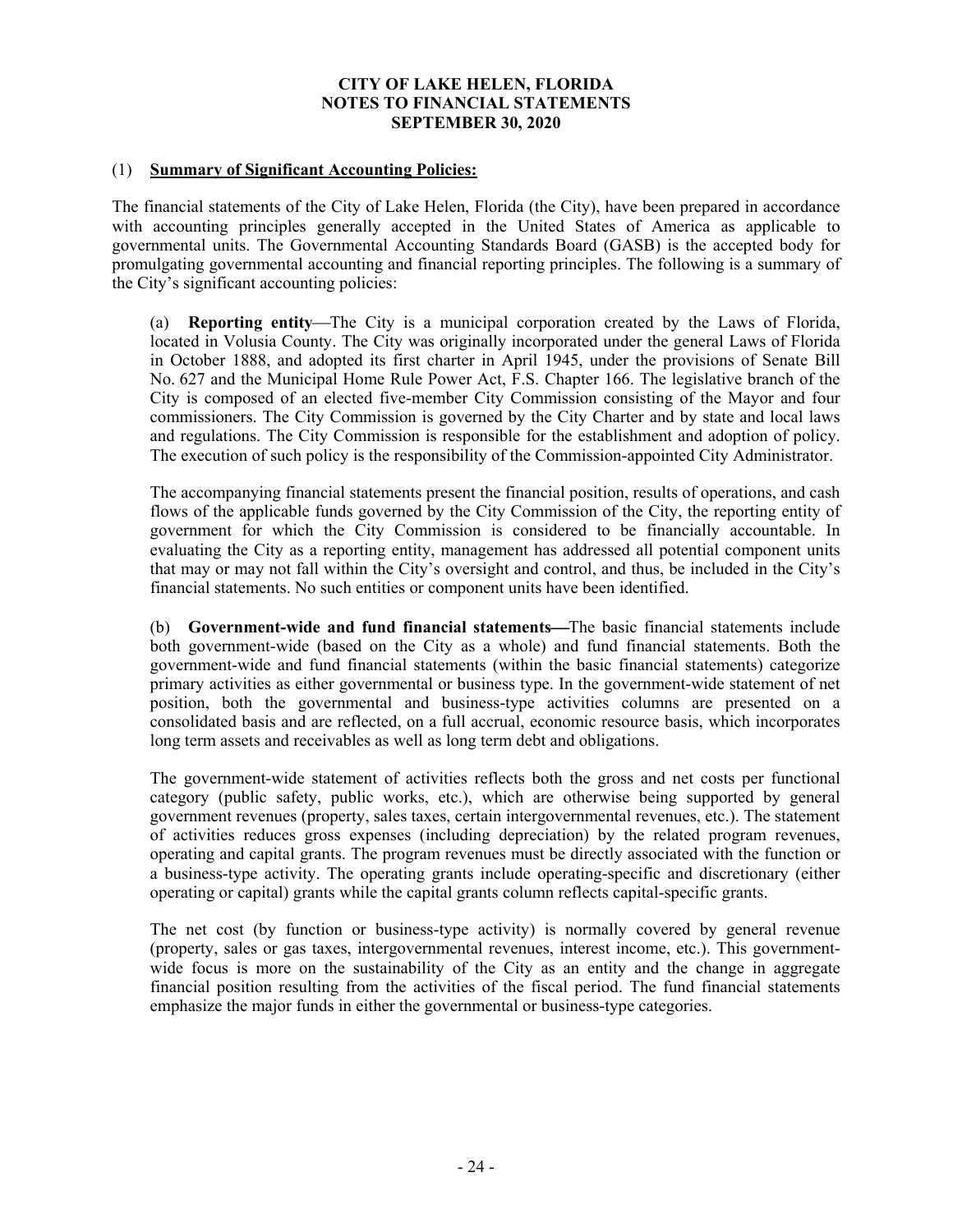#### (1) **Summary of Significant Accounting Policies:**

The financial statements of the City of Lake Helen, Florida (the City), have been prepared in accordance with accounting principles generally accepted in the United States of America as applicable to governmental units. The Governmental Accounting Standards Board (GASB) is the accepted body for promulgating governmental accounting and financial reporting principles. The following is a summary of the City's significant accounting policies:

(a) **Reporting entity**—The City is a municipal corporation created by the Laws of Florida, located in Volusia County. The City was originally incorporated under the general Laws of Florida in October 1888, and adopted its first charter in April 1945, under the provisions of Senate Bill No. 627 and the Municipal Home Rule Power Act, F.S. Chapter 166. The legislative branch of the City is composed of an elected five-member City Commission consisting of the Mayor and four commissioners. The City Commission is governed by the City Charter and by state and local laws and regulations. The City Commission is responsible for the establishment and adoption of policy. The execution of such policy is the responsibility of the Commission-appointed City Administrator.

The accompanying financial statements present the financial position, results of operations, and cash flows of the applicable funds governed by the City Commission of the City, the reporting entity of government for which the City Commission is considered to be financially accountable. In evaluating the City as a reporting entity, management has addressed all potential component units that may or may not fall within the City's oversight and control, and thus, be included in the City's financial statements. No such entities or component units have been identified.

(b) **Government-wide and fund financial statements**—The basic financial statements include both government-wide (based on the City as a whole) and fund financial statements. Both the government-wide and fund financial statements (within the basic financial statements) categorize primary activities as either governmental or business type. In the government-wide statement of net position, both the governmental and business-type activities columns are presented on a consolidated basis and are reflected, on a full accrual, economic resource basis, which incorporates long term assets and receivables as well as long term debt and obligations.

The government-wide statement of activities reflects both the gross and net costs per functional category (public safety, public works, etc.), which are otherwise being supported by general government revenues (property, sales taxes, certain intergovernmental revenues, etc.). The statement of activities reduces gross expenses (including depreciation) by the related program revenues, operating and capital grants. The program revenues must be directly associated with the function or a business-type activity. The operating grants include operating-specific and discretionary (either operating or capital) grants while the capital grants column reflects capital-specific grants.

The net cost (by function or business-type activity) is normally covered by general revenue (property, sales or gas taxes, intergovernmental revenues, interest income, etc.). This governmentwide focus is more on the sustainability of the City as an entity and the change in aggregate financial position resulting from the activities of the fiscal period. The fund financial statements emphasize the major funds in either the governmental or business-type categories.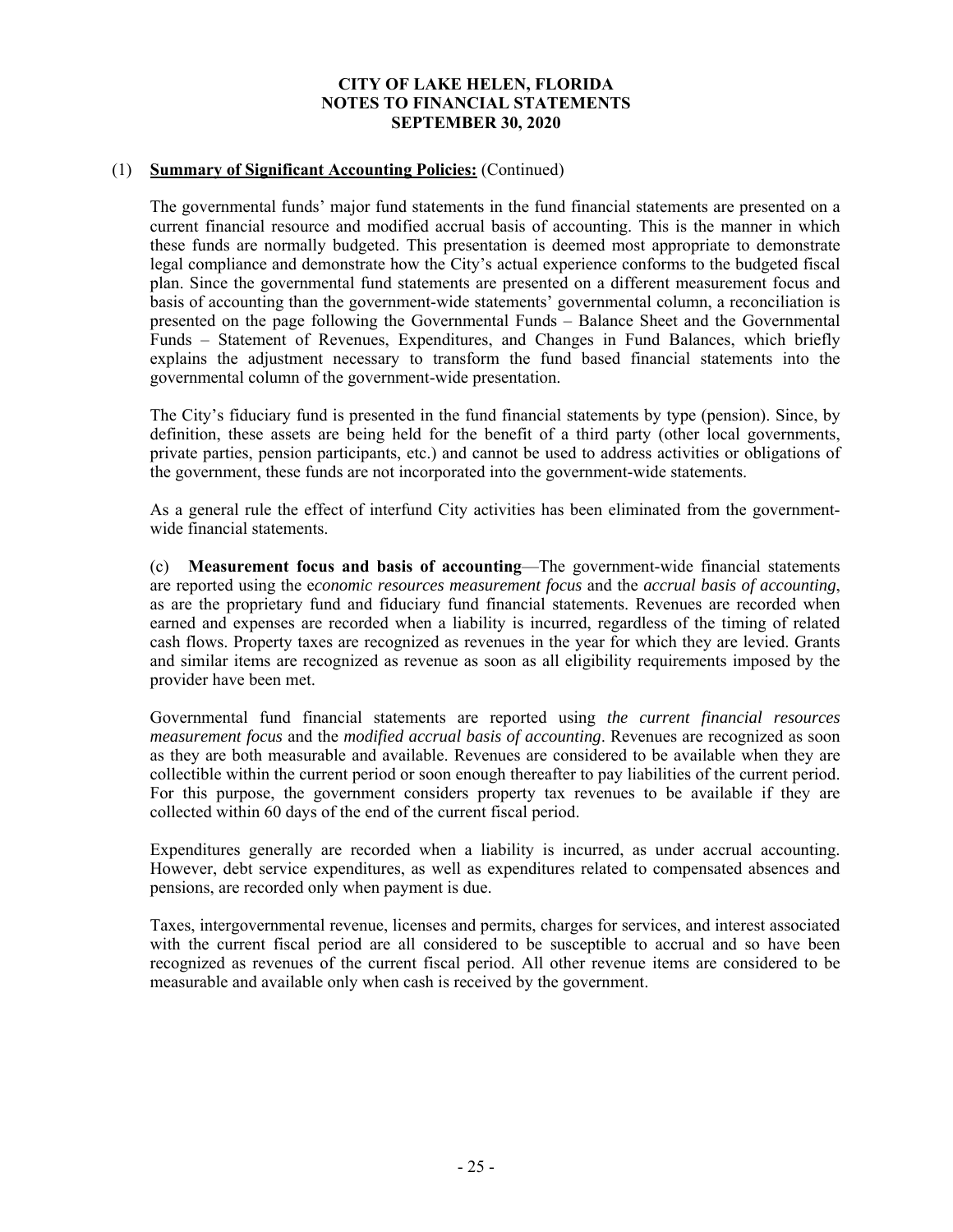### (1) **Summary of Significant Accounting Policies:** (Continued)

The governmental funds' major fund statements in the fund financial statements are presented on a current financial resource and modified accrual basis of accounting. This is the manner in which these funds are normally budgeted. This presentation is deemed most appropriate to demonstrate legal compliance and demonstrate how the City's actual experience conforms to the budgeted fiscal plan. Since the governmental fund statements are presented on a different measurement focus and basis of accounting than the government-wide statements' governmental column, a reconciliation is presented on the page following the Governmental Funds – Balance Sheet and the Governmental Funds – Statement of Revenues, Expenditures, and Changes in Fund Balances, which briefly explains the adjustment necessary to transform the fund based financial statements into the governmental column of the government-wide presentation.

The City's fiduciary fund is presented in the fund financial statements by type (pension). Since, by definition, these assets are being held for the benefit of a third party (other local governments, private parties, pension participants, etc.) and cannot be used to address activities or obligations of the government, these funds are not incorporated into the government-wide statements.

As a general rule the effect of interfund City activities has been eliminated from the governmentwide financial statements.

(c) **Measurement focus and basis of accounting**—The government-wide financial statements are reported using the e*conomic resources measurement focus* and the *accrual basis of accounting*, as are the proprietary fund and fiduciary fund financial statements. Revenues are recorded when earned and expenses are recorded when a liability is incurred, regardless of the timing of related cash flows. Property taxes are recognized as revenues in the year for which they are levied. Grants and similar items are recognized as revenue as soon as all eligibility requirements imposed by the provider have been met.

Governmental fund financial statements are reported using *the current financial resources measurement focus* and the *modified accrual basis of accounting*. Revenues are recognized as soon as they are both measurable and available. Revenues are considered to be available when they are collectible within the current period or soon enough thereafter to pay liabilities of the current period. For this purpose, the government considers property tax revenues to be available if they are collected within 60 days of the end of the current fiscal period.

Expenditures generally are recorded when a liability is incurred, as under accrual accounting. However, debt service expenditures, as well as expenditures related to compensated absences and pensions, are recorded only when payment is due.

Taxes, intergovernmental revenue, licenses and permits, charges for services, and interest associated with the current fiscal period are all considered to be susceptible to accrual and so have been recognized as revenues of the current fiscal period. All other revenue items are considered to be measurable and available only when cash is received by the government.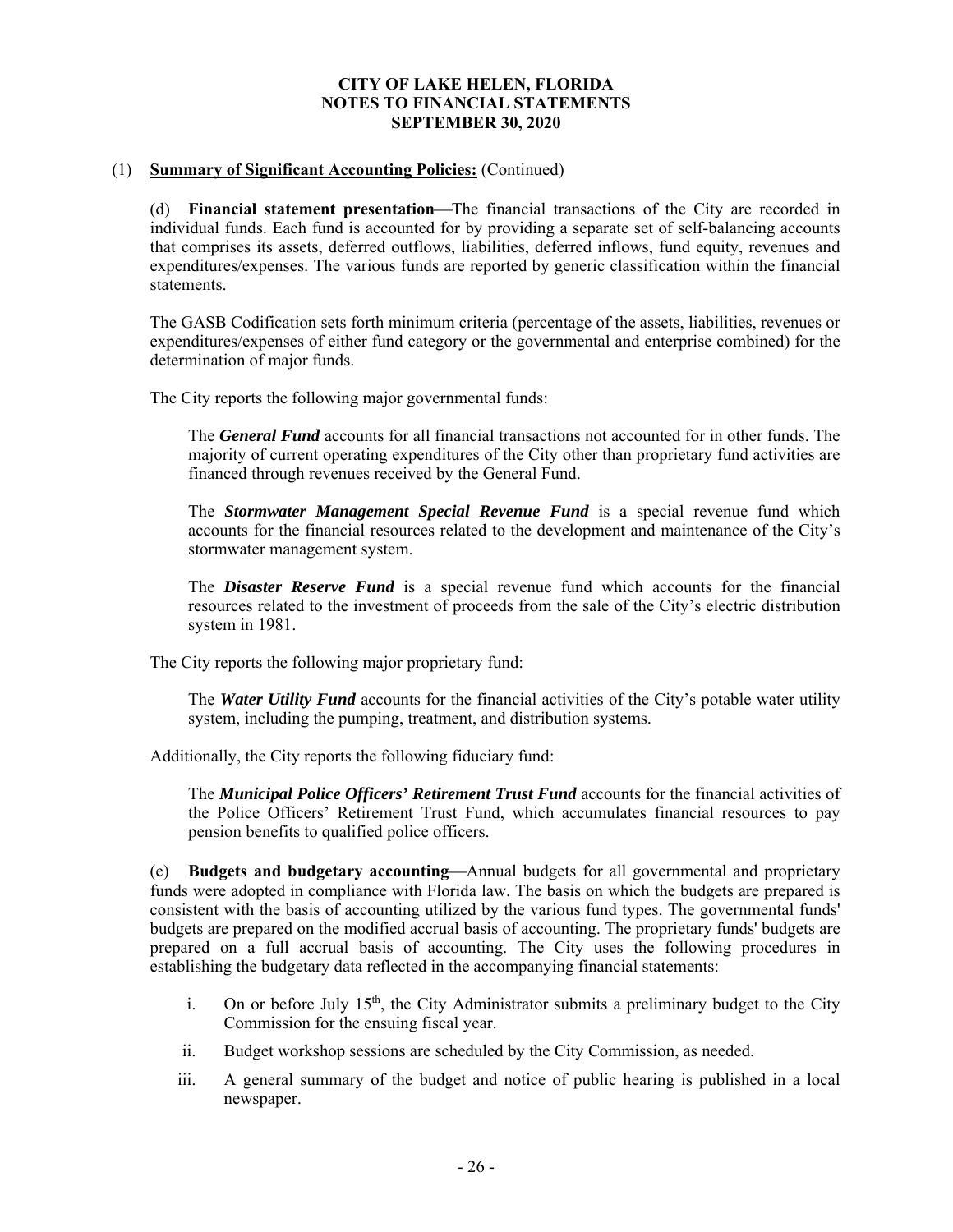### (1) **Summary of Significant Accounting Policies:** (Continued)

(d) **Financial statement presentation**—The financial transactions of the City are recorded in individual funds. Each fund is accounted for by providing a separate set of self-balancing accounts that comprises its assets, deferred outflows, liabilities, deferred inflows, fund equity, revenues and expenditures/expenses. The various funds are reported by generic classification within the financial statements.

The GASB Codification sets forth minimum criteria (percentage of the assets, liabilities, revenues or expenditures/expenses of either fund category or the governmental and enterprise combined) for the determination of major funds.

The City reports the following major governmental funds:

The *General Fund* accounts for all financial transactions not accounted for in other funds. The majority of current operating expenditures of the City other than proprietary fund activities are financed through revenues received by the General Fund.

The *Stormwater Management Special Revenue Fund* is a special revenue fund which accounts for the financial resources related to the development and maintenance of the City's stormwater management system.

The *Disaster Reserve Fund* is a special revenue fund which accounts for the financial resources related to the investment of proceeds from the sale of the City's electric distribution system in 1981.

The City reports the following major proprietary fund:

The *Water Utility Fund* accounts for the financial activities of the City's potable water utility system, including the pumping, treatment, and distribution systems.

Additionally, the City reports the following fiduciary fund:

The *Municipal Police Officers' Retirement Trust Fund* accounts for the financial activities of the Police Officers' Retirement Trust Fund, which accumulates financial resources to pay pension benefits to qualified police officers.

(e) **Budgets and budgetary accounting**Annual budgets for all governmental and proprietary funds were adopted in compliance with Florida law. The basis on which the budgets are prepared is consistent with the basis of accounting utilized by the various fund types. The governmental funds' budgets are prepared on the modified accrual basis of accounting. The proprietary funds' budgets are prepared on a full accrual basis of accounting. The City uses the following procedures in establishing the budgetary data reflected in the accompanying financial statements:

- i. On or before July  $15<sup>th</sup>$ , the City Administrator submits a preliminary budget to the City Commission for the ensuing fiscal year.
- ii. Budget workshop sessions are scheduled by the City Commission, as needed.
- iii. A general summary of the budget and notice of public hearing is published in a local newspaper.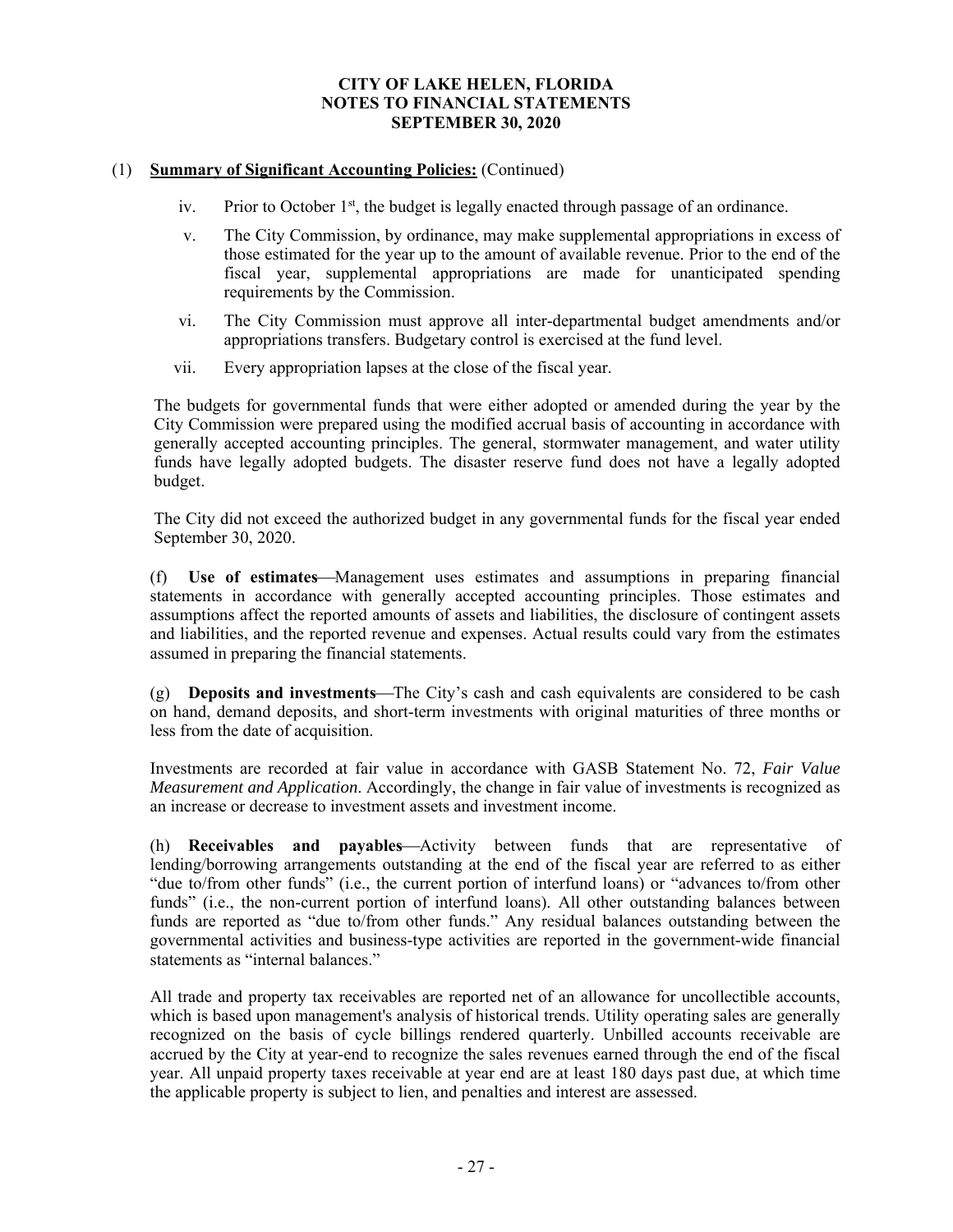#### (1) **Summary of Significant Accounting Policies:** (Continued)

- iv. Prior to October  $1<sup>st</sup>$ , the budget is legally enacted through passage of an ordinance.
- v. The City Commission, by ordinance, may make supplemental appropriations in excess of those estimated for the year up to the amount of available revenue. Prior to the end of the fiscal year, supplemental appropriations are made for unanticipated spending requirements by the Commission.
- vi. The City Commission must approve all inter-departmental budget amendments and/or appropriations transfers. Budgetary control is exercised at the fund level.
- vii. Every appropriation lapses at the close of the fiscal year.

The budgets for governmental funds that were either adopted or amended during the year by the City Commission were prepared using the modified accrual basis of accounting in accordance with generally accepted accounting principles. The general, stormwater management, and water utility funds have legally adopted budgets. The disaster reserve fund does not have a legally adopted budget.

The City did not exceed the authorized budget in any governmental funds for the fiscal year ended September 30, 2020.

(f) **Use of estimates**Management uses estimates and assumptions in preparing financial statements in accordance with generally accepted accounting principles. Those estimates and assumptions affect the reported amounts of assets and liabilities, the disclosure of contingent assets and liabilities, and the reported revenue and expenses. Actual results could vary from the estimates assumed in preparing the financial statements.

 $(g)$  **Deposits and investments**—The City's cash and cash equivalents are considered to be cash on hand, demand deposits, and short-term investments with original maturities of three months or less from the date of acquisition.

Investments are recorded at fair value in accordance with GASB Statement No. 72, *Fair Value Measurement and Application*. Accordingly, the change in fair value of investments is recognized as an increase or decrease to investment assets and investment income.

(h) **Receivables and payables**—Activity between funds that are representative of lending/borrowing arrangements outstanding at the end of the fiscal year are referred to as either "due to/from other funds" (i.e., the current portion of interfund loans) or "advances to/from other funds" (i.e., the non-current portion of interfund loans). All other outstanding balances between funds are reported as "due to/from other funds." Any residual balances outstanding between the governmental activities and business-type activities are reported in the government-wide financial statements as "internal balances."

All trade and property tax receivables are reported net of an allowance for uncollectible accounts, which is based upon management's analysis of historical trends. Utility operating sales are generally recognized on the basis of cycle billings rendered quarterly. Unbilled accounts receivable are accrued by the City at year-end to recognize the sales revenues earned through the end of the fiscal year. All unpaid property taxes receivable at year end are at least 180 days past due, at which time the applicable property is subject to lien, and penalties and interest are assessed.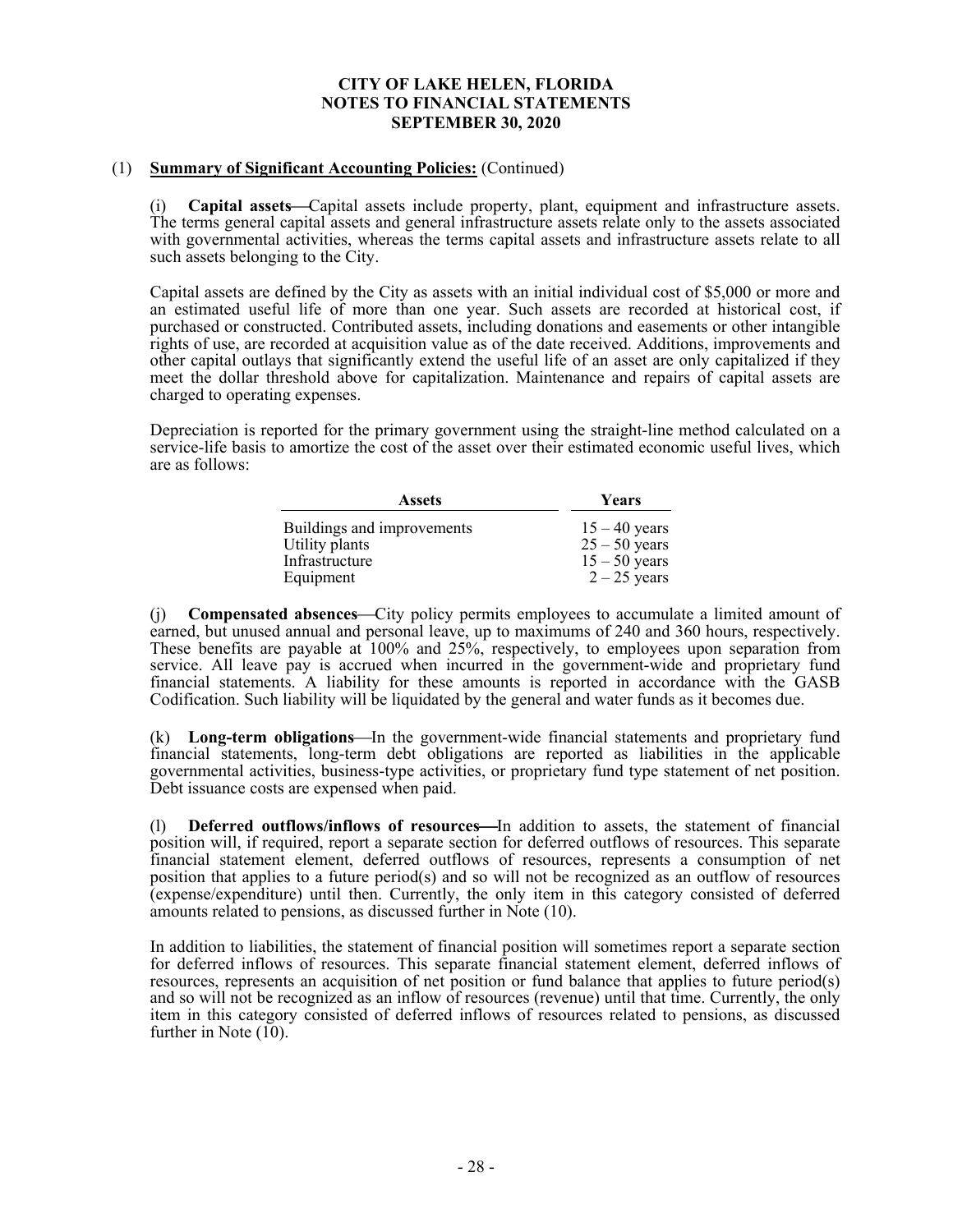#### (1) **Summary of Significant Accounting Policies:** (Continued)

(i) **Capital assets**—Capital assets include property, plant, equipment and infrastructure assets. The terms general capital assets and general infrastructure assets relate only to the assets associated with governmental activities, whereas the terms capital assets and infrastructure assets relate to all such assets belonging to the City.

Capital assets are defined by the City as assets with an initial individual cost of \$5,000 or more and an estimated useful life of more than one year. Such assets are recorded at historical cost, if purchased or constructed. Contributed assets, including donations and easements or other intangible rights of use, are recorded at acquisition value as of the date received. Additions, improvements and other capital outlays that significantly extend the useful life of an asset are only capitalized if they meet the dollar threshold above for capitalization. Maintenance and repairs of capital assets are charged to operating expenses.

Depreciation is reported for the primary government using the straight-line method calculated on a service-life basis to amortize the cost of the asset over their estimated economic useful lives, which are as follows:

| <b>Assets</b>                                                               | Years                                                                   |
|-----------------------------------------------------------------------------|-------------------------------------------------------------------------|
| Buildings and improvements<br>Utility plants<br>Infrastructure<br>Equipment | $15 - 40$ years<br>$25 - 50$ years<br>$15 - 50$ years<br>$2 - 25$ years |
|                                                                             |                                                                         |

(i) **Compensated absences**—City policy permits employees to accumulate a limited amount of earned, but unused annual and personal leave, up to maximums of 240 and 360 hours, respectively. These benefits are payable at 100% and 25%, respectively, to employees upon separation from service. All leave pay is accrued when incurred in the government-wide and proprietary fund financial statements. A liability for these amounts is reported in accordance with the GASB Codification. Such liability will be liquidated by the general and water funds as it becomes due.

(k) **Long-term obligations**—In the government-wide financial statements and proprietary fund financial statements, long-term debt obligations are reported as liabilities in the applicable governmental activities, business-type activities, or proprietary fund type statement of net position. Debt issuance costs are expensed when paid.

(1) **Deferred outflows/inflows of resources** In addition to assets, the statement of financial position will, if required, report a separate section for deferred outflows of resources. This separate financial statement element, deferred outflows of resources, represents a consumption of net position that applies to a future period(s) and so will not be recognized as an outflow of resources (expense/expenditure) until then. Currently, the only item in this category consisted of deferred amounts related to pensions, as discussed further in Note (10).

In addition to liabilities, the statement of financial position will sometimes report a separate section for deferred inflows of resources. This separate financial statement element, deferred inflows of resources, represents an acquisition of net position or fund balance that applies to future period(s) and so will not be recognized as an inflow of resources (revenue) until that time. Currently, the only item in this category consisted of deferred inflows of resources related to pensions, as discussed further in Note (10).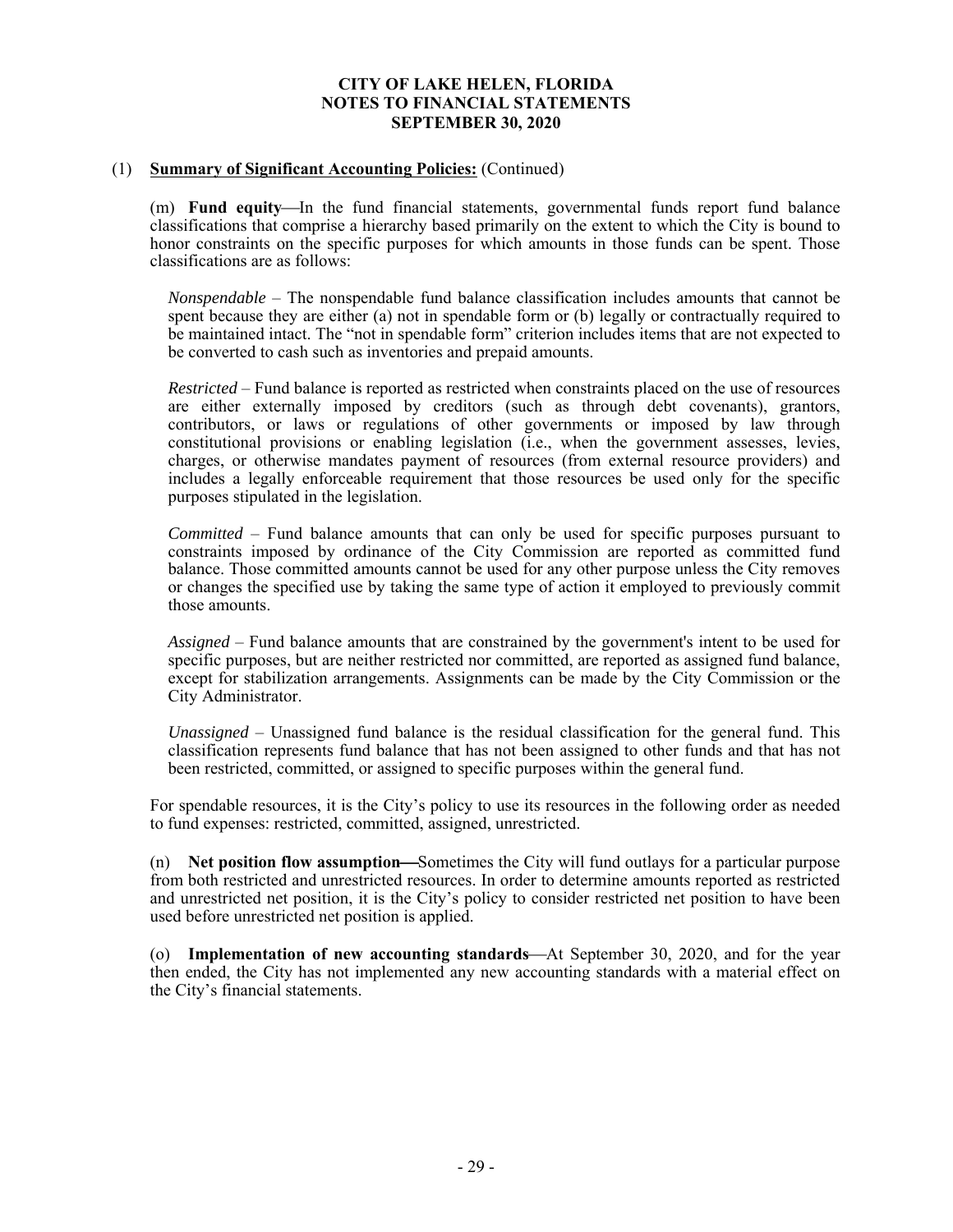#### (1) **Summary of Significant Accounting Policies:** (Continued)

(m) Fund equity—In the fund financial statements, governmental funds report fund balance classifications that comprise a hierarchy based primarily on the extent to which the City is bound to honor constraints on the specific purposes for which amounts in those funds can be spent. Those classifications are as follows:

*Nonspendable* – The nonspendable fund balance classification includes amounts that cannot be spent because they are either (a) not in spendable form or (b) legally or contractually required to be maintained intact. The "not in spendable form" criterion includes items that are not expected to be converted to cash such as inventories and prepaid amounts.

*Restricted* – Fund balance is reported as restricted when constraints placed on the use of resources are either externally imposed by creditors (such as through debt covenants), grantors, contributors, or laws or regulations of other governments or imposed by law through constitutional provisions or enabling legislation (i.e., when the government assesses, levies, charges, or otherwise mandates payment of resources (from external resource providers) and includes a legally enforceable requirement that those resources be used only for the specific purposes stipulated in the legislation.

*Committed* – Fund balance amounts that can only be used for specific purposes pursuant to constraints imposed by ordinance of the City Commission are reported as committed fund balance. Those committed amounts cannot be used for any other purpose unless the City removes or changes the specified use by taking the same type of action it employed to previously commit those amounts.

*Assigned* – Fund balance amounts that are constrained by the government's intent to be used for specific purposes, but are neither restricted nor committed, are reported as assigned fund balance, except for stabilization arrangements. Assignments can be made by the City Commission or the City Administrator.

*Unassigned* – Unassigned fund balance is the residual classification for the general fund. This classification represents fund balance that has not been assigned to other funds and that has not been restricted, committed, or assigned to specific purposes within the general fund.

For spendable resources, it is the City's policy to use its resources in the following order as needed to fund expenses: restricted, committed, assigned, unrestricted.

(n) **Net position flow assumption—Sometimes the City will fund outlays for a particular purpose** from both restricted and unrestricted resources. In order to determine amounts reported as restricted and unrestricted net position, it is the City's policy to consider restricted net position to have been used before unrestricted net position is applied.

(o) **Implementation of new accounting standards—At** September 30, 2020, and for the year then ended, the City has not implemented any new accounting standards with a material effect on the City's financial statements.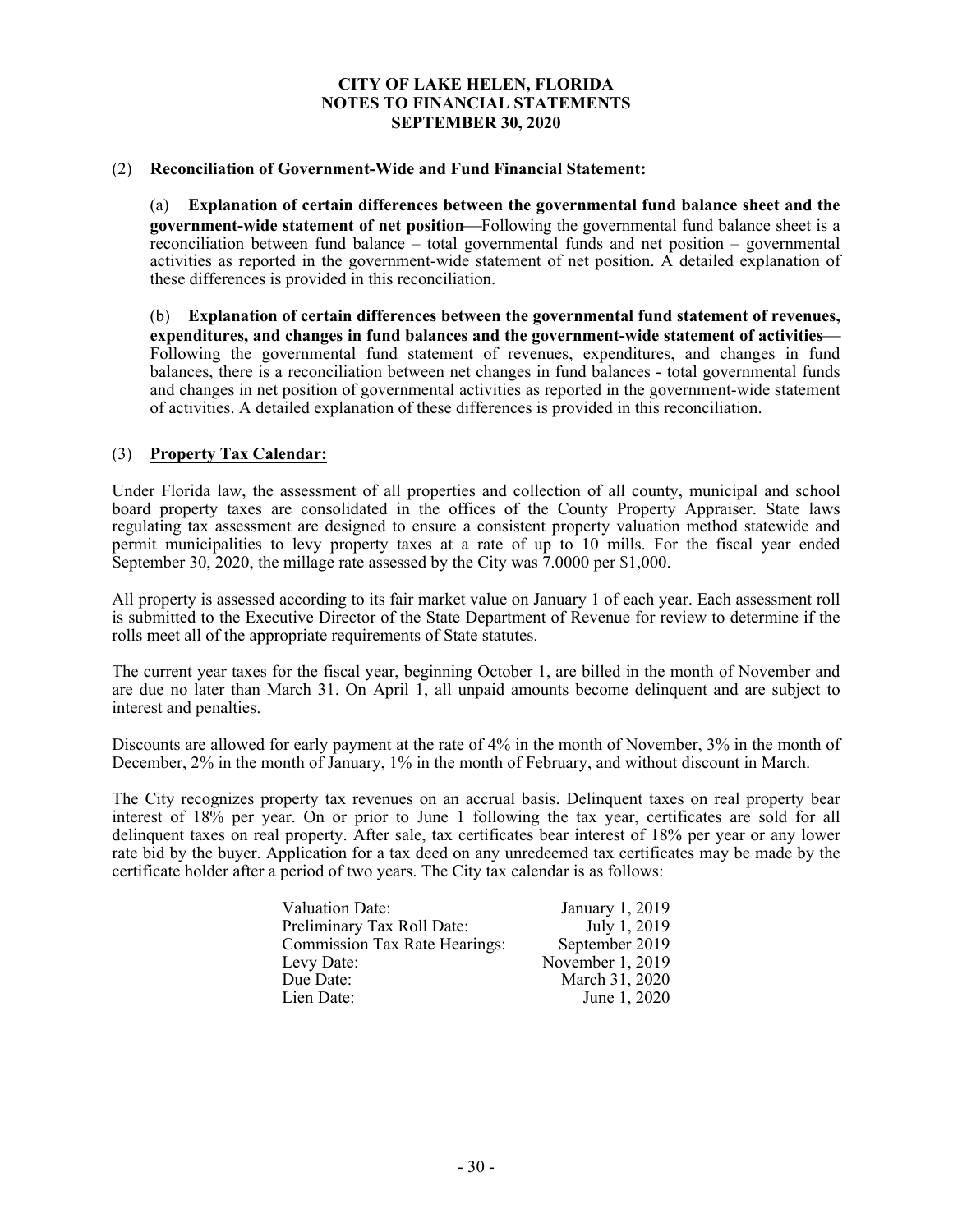### (2) **Reconciliation of Government-Wide and Fund Financial Statement:**

(a) **Explanation of certain differences between the governmental fund balance sheet and the government-wide statement of net position—Following the governmental fund balance sheet is a** reconciliation between fund balance – total governmental funds and net position – governmental activities as reported in the government-wide statement of net position. A detailed explanation of these differences is provided in this reconciliation.

(b) **Explanation of certain differences between the governmental fund statement of revenues, expenditures, and changes in fund balances and the government-wide statement of activities** Following the governmental fund statement of revenues, expenditures, and changes in fund balances, there is a reconciliation between net changes in fund balances - total governmental funds and changes in net position of governmental activities as reported in the government-wide statement of activities. A detailed explanation of these differences is provided in this reconciliation.

### (3) **Property Tax Calendar:**

Under Florida law, the assessment of all properties and collection of all county, municipal and school board property taxes are consolidated in the offices of the County Property Appraiser. State laws regulating tax assessment are designed to ensure a consistent property valuation method statewide and permit municipalities to levy property taxes at a rate of up to 10 mills. For the fiscal year ended September 30, 2020, the millage rate assessed by the City was 7.0000 per \$1,000.

All property is assessed according to its fair market value on January 1 of each year. Each assessment roll is submitted to the Executive Director of the State Department of Revenue for review to determine if the rolls meet all of the appropriate requirements of State statutes.

The current year taxes for the fiscal year, beginning October 1, are billed in the month of November and are due no later than March 31. On April 1, all unpaid amounts become delinquent and are subject to interest and penalties.

Discounts are allowed for early payment at the rate of 4% in the month of November, 3% in the month of December, 2% in the month of January, 1% in the month of February, and without discount in March.

The City recognizes property tax revenues on an accrual basis. Delinquent taxes on real property bear interest of 18% per year. On or prior to June 1 following the tax year, certificates are sold for all delinquent taxes on real property. After sale, tax certificates bear interest of 18% per year or any lower rate bid by the buyer. Application for a tax deed on any unredeemed tax certificates may be made by the certificate holder after a period of two years. The City tax calendar is as follows:

| <b>Valuation Date:</b>               | January 1, 2019  |
|--------------------------------------|------------------|
| Preliminary Tax Roll Date:           | July 1, 2019     |
| <b>Commission Tax Rate Hearings:</b> | September 2019   |
| Levy Date:                           | November 1, 2019 |
| Due Date:                            | March 31, 2020   |
| Lien Date:                           | June 1, 2020     |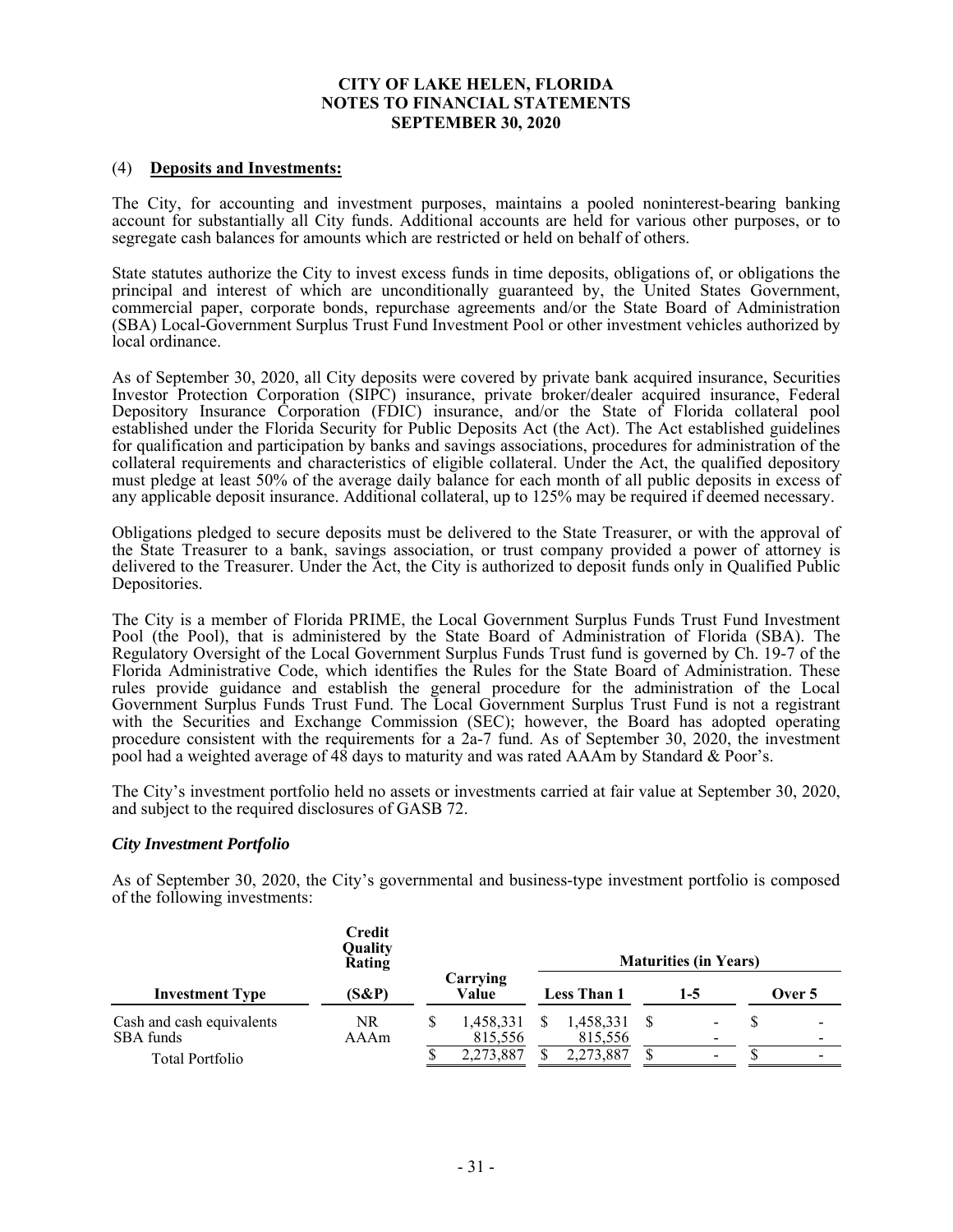#### (4) **Deposits and Investments:**

The City, for accounting and investment purposes, maintains a pooled noninterest-bearing banking account for substantially all City funds. Additional accounts are held for various other purposes, or to segregate cash balances for amounts which are restricted or held on behalf of others.

State statutes authorize the City to invest excess funds in time deposits, obligations of, or obligations the principal and interest of which are unconditionally guaranteed by, the United States Government, commercial paper, corporate bonds, repurchase agreements and/or the State Board of Administration (SBA) Local-Government Surplus Trust Fund Investment Pool or other investment vehicles authorized by local ordinance.

As of September 30, 2020, all City deposits were covered by private bank acquired insurance, Securities Investor Protection Corporation (SIPC) insurance, private broker/dealer acquired insurance, Federal Depository Insurance Corporation (FDIC) insurance, and/or the State of Florida collateral pool established under the Florida Security for Public Deposits Act (the Act). The Act established guidelines for qualification and participation by banks and savings associations, procedures for administration of the collateral requirements and characteristics of eligible collateral. Under the Act, the qualified depository must pledge at least 50% of the average daily balance for each month of all public deposits in excess of any applicable deposit insurance. Additional collateral, up to 125% may be required if deemed necessary.

Obligations pledged to secure deposits must be delivered to the State Treasurer, or with the approval of the State Treasurer to a bank, savings association, or trust company provided a power of attorney is delivered to the Treasurer. Under the Act, the City is authorized to deposit funds only in Qualified Public Depositories.

The City is a member of Florida PRIME, the Local Government Surplus Funds Trust Fund Investment Pool (the Pool), that is administered by the State Board of Administration of Florida (SBA). The Regulatory Oversight of the Local Government Surplus Funds Trust fund is governed by Ch. 19-7 of the Florida Administrative Code, which identifies the Rules for the State Board of Administration. These rules provide guidance and establish the general procedure for the administration of the Local Government Surplus Funds Trust Fund. The Local Government Surplus Trust Fund is not a registrant with the Securities and Exchange Commission (SEC); however, the Board has adopted operating procedure consistent with the requirements for a 2a-7 fund. As of September 30, 2020, the investment pool had a weighted average of 48 days to maturity and was rated AAAm by Standard & Poor's.

The City's investment portfolio held no assets or investments carried at fair value at September 30, 2020, and subject to the required disclosures of GASB 72.

#### *City Investment Portfolio*

As of September 30, 2020, the City's governmental and business-type investment portfolio is composed of the following investments:

|                                        | <b>Credit</b><br>Quality<br>Rating | <b>Maturities (in Years)</b> |               |                      |  |                                                      |  |                                                      |
|----------------------------------------|------------------------------------|------------------------------|---------------|----------------------|--|------------------------------------------------------|--|------------------------------------------------------|
| <b>Investment Type</b>                 | (S&P)                              | Carrying<br>Value            |               | <b>Less Than 1</b>   |  | $1-5$                                                |  | Over 5                                               |
| Cash and cash equivalents<br>SBA funds | NR.<br>AAAm                        | 1,458,331<br>815,556         | <sup>\$</sup> | 1,458,331<br>815,556 |  | $\overline{\phantom{a}}$<br>$\overline{\phantom{0}}$ |  | $\overline{\phantom{a}}$<br>$\overline{\phantom{a}}$ |
| Total Portfolio                        |                                    | 2,273,887                    |               | 2,273,887            |  | $\,$                                                 |  | $\overline{\phantom{0}}$                             |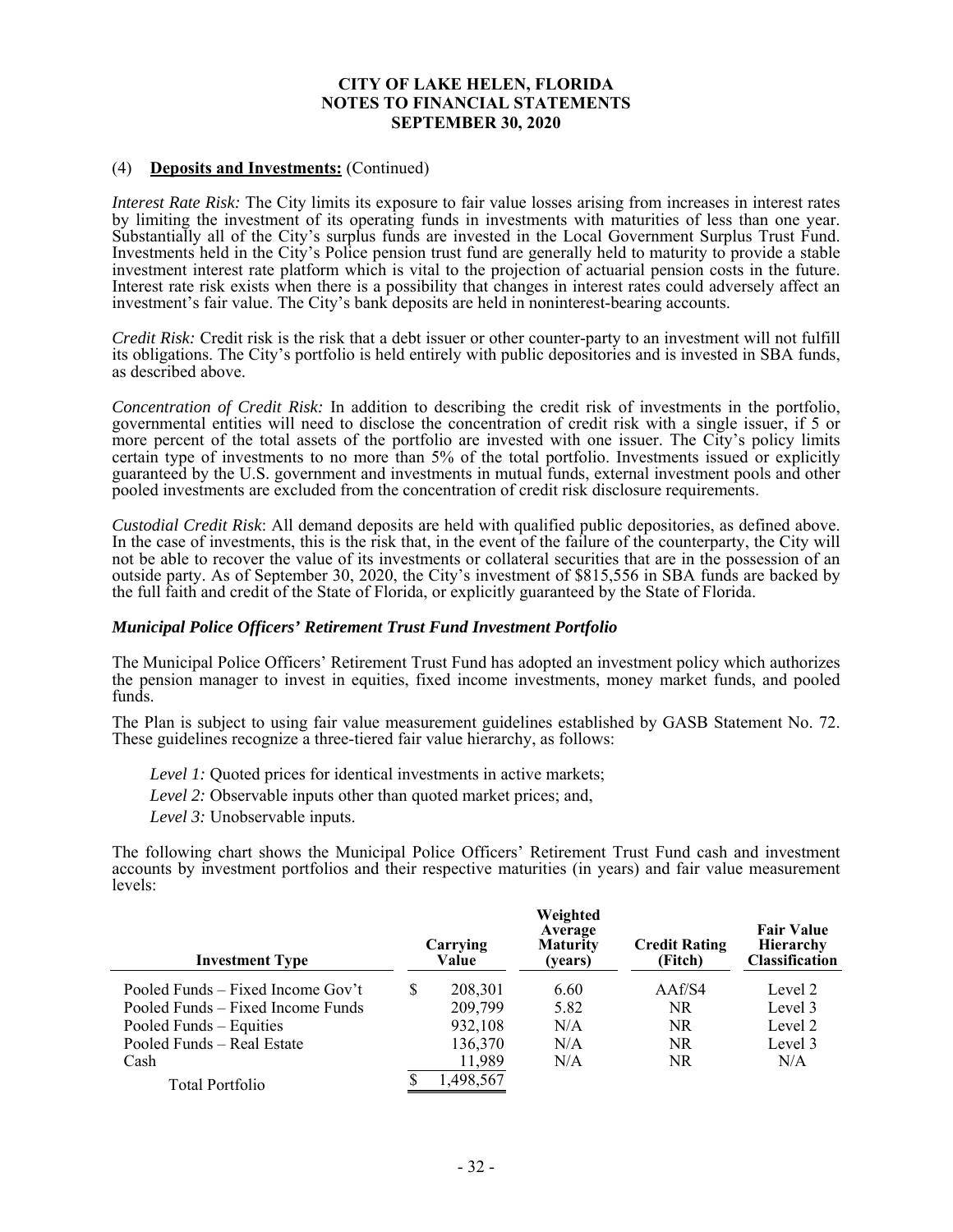#### (4) **Deposits and Investments:** (Continued)

*Interest Rate Risk:* The City limits its exposure to fair value losses arising from increases in interest rates by limiting the investment of its operating funds in investments with maturities of less than one year. Substantially all of the City's surplus funds are invested in the Local Government Surplus Trust Fund. Investments held in the City's Police pension trust fund are generally held to maturity to provide a stable investment interest rate platform which is vital to the projection of actuarial pension costs in the future. Interest rate risk exists when there is a possibility that changes in interest rates could adversely affect an investment's fair value. The City's bank deposits are held in noninterest-bearing accounts.

*Credit Risk:* Credit risk is the risk that a debt issuer or other counter-party to an investment will not fulfill its obligations. The City's portfolio is held entirely with public depositories and is invested in SBA funds, as described above.

*Concentration of Credit Risk:* In addition to describing the credit risk of investments in the portfolio, governmental entities will need to disclose the concentration of credit risk with a single issuer, if 5 or more percent of the total assets of the portfolio are invested with one issuer. The City's policy limits certain type of investments to no more than 5% of the total portfolio. Investments issued or explicitly guaranteed by the U.S. government and investments in mutual funds, external investment pools and other pooled investments are excluded from the concentration of credit risk disclosure requirements.

*Custodial Credit Risk*: All demand deposits are held with qualified public depositories, as defined above. In the case of investments, this is the risk that, in the event of the failure of the counterparty, the City will not be able to recover the value of its investments or collateral securities that are in the possession of an outside party. As of September 30, 2020, the City's investment of \$815,556 in SBA funds are backed by the full faith and credit of the State of Florida, or explicitly guaranteed by the State of Florida.

#### *Municipal Police Officers' Retirement Trust Fund Investment Portfolio*

The Municipal Police Officers' Retirement Trust Fund has adopted an investment policy which authorizes the pension manager to invest in equities, fixed income investments, money market funds, and pooled funds.

The Plan is subject to using fair value measurement guidelines established by GASB Statement No. 72. These guidelines recognize a three-tiered fair value hierarchy, as follows:

*Level 1:* Ouoted prices for identical investments in active markets;

*Level 2:* Observable inputs other than quoted market prices; and,

*Level 3:* Unobservable inputs.

The following chart shows the Municipal Police Officers' Retirement Trust Fund cash and investment accounts by investment portfolios and their respective maturities (in years) and fair value measurement levels:

| <b>Investment Type</b>            |   | Carrying<br>Value | Weighted<br>Average<br><b>Maturity</b><br>(years) | <b>Credit Rating</b><br>(Fitch) | <b>Fair Value</b><br>Hierarchy<br><b>Classification</b> |
|-----------------------------------|---|-------------------|---------------------------------------------------|---------------------------------|---------------------------------------------------------|
| Pooled Funds – Fixed Income Gov't | S | 208,301           | 6.60                                              | AAf/S4                          | Level 2                                                 |
| Pooled Funds – Fixed Income Funds |   | 209,799           | 5.82                                              | NR.                             | Level 3                                                 |
| Pooled Funds – Equities           |   | 932,108           | N/A                                               | <b>NR</b>                       | Level 2                                                 |
| Pooled Funds - Real Estate        |   | 136,370           | N/A                                               | NR.                             | Level 3                                                 |
| Cash                              |   | 11,989            | N/A                                               | <b>NR</b>                       | N/A                                                     |
| <b>Total Portfolio</b>            |   | 1,498,567         |                                                   |                                 |                                                         |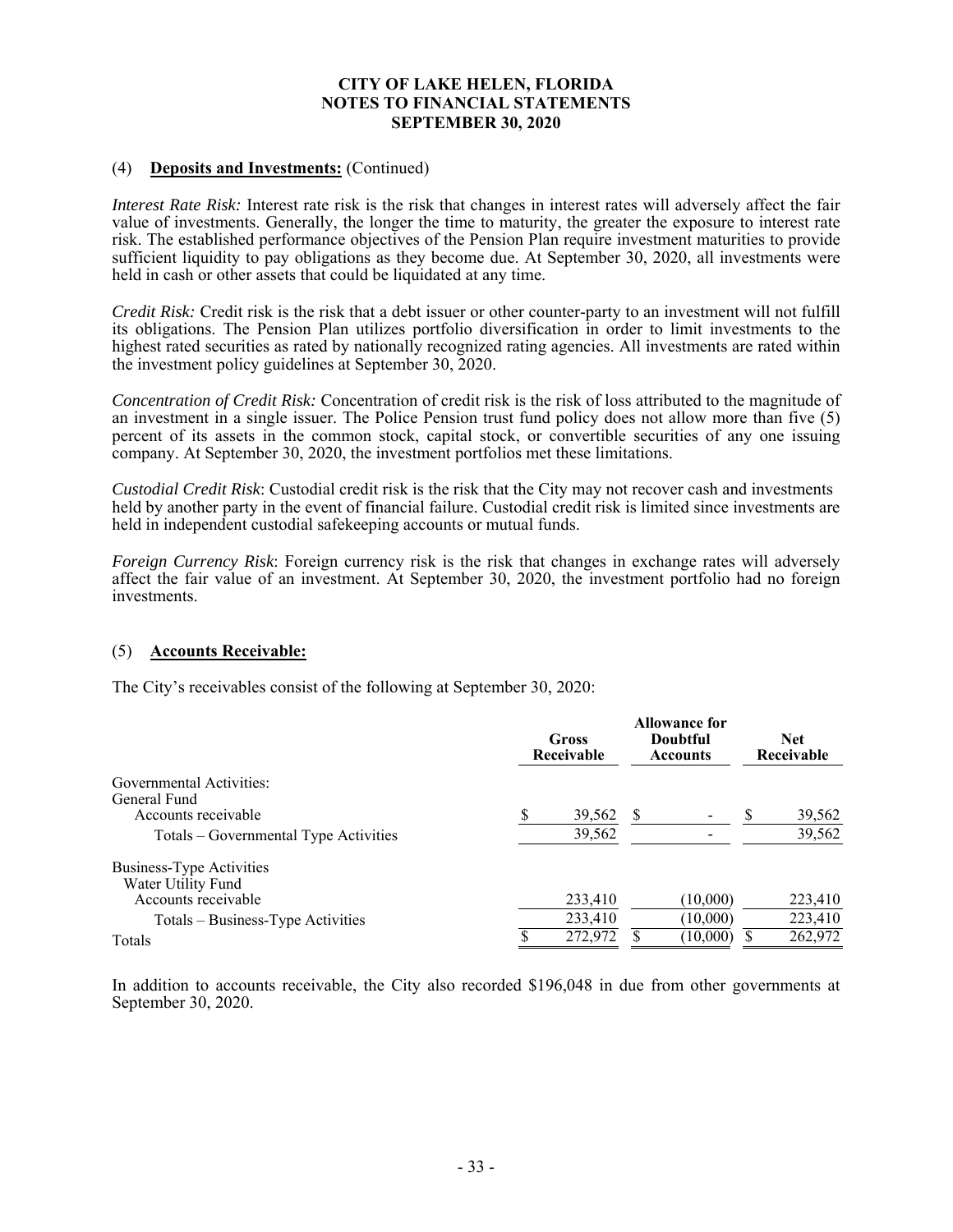### (4) **Deposits and Investments:** (Continued)

*Interest Rate Risk:* Interest rate risk is the risk that changes in interest rates will adversely affect the fair value of investments. Generally, the longer the time to maturity, the greater the exposure to interest rate risk. The established performance objectives of the Pension Plan require investment maturities to provide sufficient liquidity to pay obligations as they become due. At September 30, 2020, all investments were held in cash or other assets that could be liquidated at any time.

*Credit Risk:* Credit risk is the risk that a debt issuer or other counter-party to an investment will not fulfill its obligations. The Pension Plan utilizes portfolio diversification in order to limit investments to the highest rated securities as rated by nationally recognized rating agencies. All investments are rated within the investment policy guidelines at September 30, 2020.

*Concentration of Credit Risk:* Concentration of credit risk is the risk of loss attributed to the magnitude of an investment in a single issuer. The Police Pension trust fund policy does not allow more than five (5) percent of its assets in the common stock, capital stock, or convertible securities of any one issuing company. At September 30, 2020, the investment portfolios met these limitations.

*Custodial Credit Risk*: Custodial credit risk is the risk that the City may not recover cash and investments held by another party in the event of financial failure. Custodial credit risk is limited since investments are held in independent custodial safekeeping accounts or mutual funds.

*Foreign Currency Risk*: Foreign currency risk is the risk that changes in exchange rates will adversely affect the fair value of an investment. At September 30, 2020, the investment portfolio had no foreign investments.

### (5) **Accounts Receivable:**

The City's receivables consist of the following at September 30, 2020:

|                                                | Gross<br>Receivable |         | <b>Allowance for</b><br><b>Doubtful</b><br><b>Accounts</b> |          | <b>Net</b><br>Receivable |         |
|------------------------------------------------|---------------------|---------|------------------------------------------------------------|----------|--------------------------|---------|
| Governmental Activities:<br>General Fund       |                     |         |                                                            |          |                          |         |
| Accounts receivable                            |                     | 39,562  | S                                                          |          |                          | 39,562  |
| Totals – Governmental Type Activities          |                     | 39,562  |                                                            |          |                          | 39,562  |
| Business-Type Activities<br>Water Utility Fund |                     |         |                                                            |          |                          |         |
| Accounts receivable                            |                     | 233,410 |                                                            | (10,000) |                          | 223,410 |
| Totals – Business-Type Activities              |                     | 233,410 |                                                            | (10,000) |                          | 223,410 |
| Totals                                         |                     | 272,972 |                                                            | (10,000) |                          | 262,972 |

In addition to accounts receivable, the City also recorded \$196,048 in due from other governments at September 30, 2020.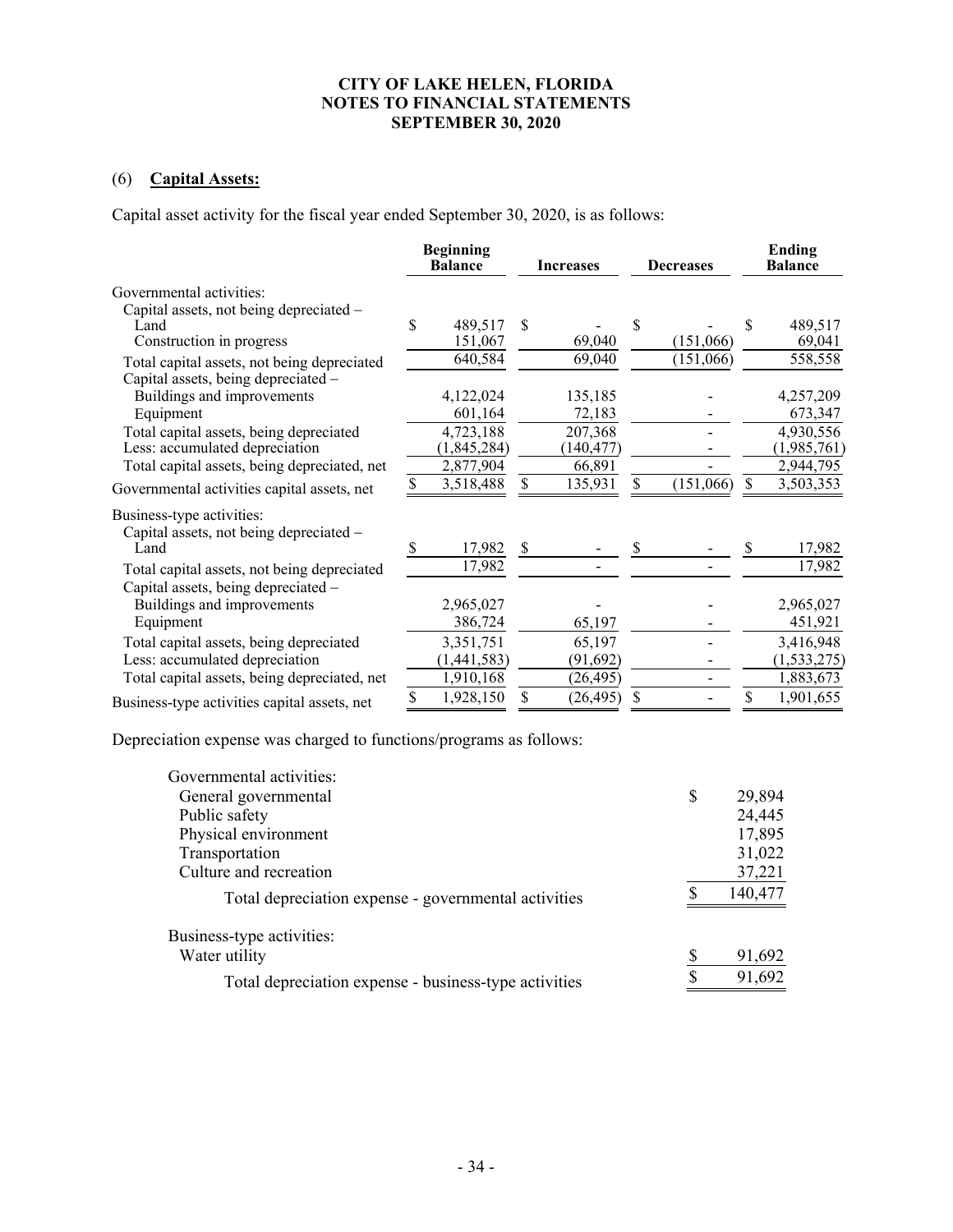# (6) **Capital Assets:**

Capital asset activity for the fiscal year ended September 30, 2020, is as follows:

|                                                                                    |    | <b>Beginning</b><br><b>Balance</b> |    | <b>Increases</b>      |    | <b>Decreases</b> |     | <b>Ending</b><br><b>Balance</b> |
|------------------------------------------------------------------------------------|----|------------------------------------|----|-----------------------|----|------------------|-----|---------------------------------|
| Governmental activities:                                                           |    |                                    |    |                       |    |                  |     |                                 |
| Capital assets, not being depreciated -<br>Land<br>Construction in progress        | \$ | 489,517<br>151,067                 | \$ | 69,040                | \$ | (151,066)        | \$. | 489,517<br>69,041               |
| Total capital assets, not being depreciated<br>Capital assets, being depreciated - |    | 640,584                            |    | 69,040                |    | (151,066)        |     | 558,558                         |
| Buildings and improvements<br>Equipment                                            |    | 4,122,024<br>601,164               |    | 135,185<br>72,183     |    |                  |     | 4,257,209<br>673,347            |
| Total capital assets, being depreciated<br>Less: accumulated depreciation          |    | 4,723,188<br>(1,845,284)           |    | 207,368<br>(140, 477) |    |                  |     | 4,930,556<br>(1,985,761)        |
| Total capital assets, being depreciated, net                                       |    | 2,877,904                          |    | 66,891                |    |                  |     | 2,944,795                       |
| Governmental activities capital assets, net                                        | \$ | 3,518,488                          | \$ | 135,931               |    | (151,066)        |     | 3,503,353                       |
| Business-type activities:<br>Capital assets, not being depreciated -               |    |                                    |    |                       |    |                  |     |                                 |
| Land                                                                               | S  | 17,982                             | S  |                       | \$ |                  |     | 17,982                          |
| Total capital assets, not being depreciated<br>Capital assets, being depreciated - |    | 17,982                             |    |                       |    |                  |     | 17,982                          |
| Buildings and improvements<br>Equipment                                            |    | 2,965,027<br>386,724               |    | 65,197                |    |                  |     | 2,965,027<br>451,921            |
| Total capital assets, being depreciated<br>Less: accumulated depreciation          |    | 3,351,751<br>(1,441,583)           |    | 65,197<br>(91, 692)   |    |                  |     | 3,416,948<br>(1, 533, 275)      |
| Total capital assets, being depreciated, net                                       |    | 1,910,168                          |    | (26, 495)             |    |                  |     | 1,883,673                       |
| Business-type activities capital assets, net                                       | \$ | 1,928,150                          | \$ | (26, 495)             | \$ |                  | \$  | 1,901,655                       |

Depreciation expense was charged to functions/programs as follows:

| Governmental activities:                              |     |         |
|-------------------------------------------------------|-----|---------|
| General governmental                                  | \$  | 29,894  |
| Public safety                                         |     | 24,445  |
| Physical environment                                  |     | 17,895  |
| Transportation                                        |     | 31,022  |
| Culture and recreation                                |     | 37,221  |
| Total depreciation expense - governmental activities  |     | 140,477 |
| Business-type activities:                             |     |         |
| Water utility                                         |     | 91,692  |
| Total depreciation expense - business-type activities | \$. | 91,692  |
|                                                       |     |         |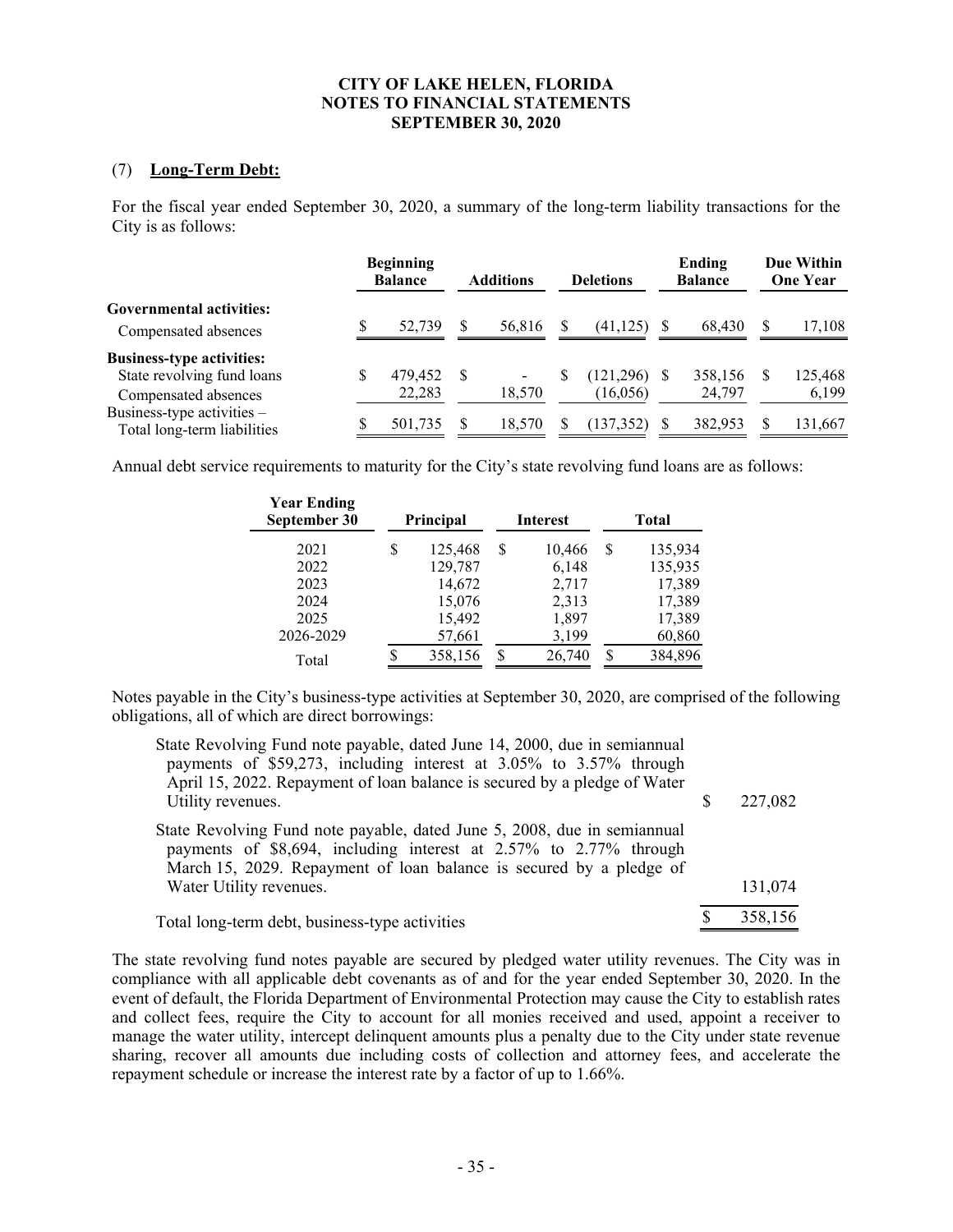### (7) **Long-Term Debt:**

For the fiscal year ended September 30, 2020, a summary of the long-term liability transactions for the City is as follows:

|                                                                | <b>Beginning</b><br><b>Balance</b> |    | <b>Additions</b> | <b>Deletions</b> |   | Ending<br><b>Balance</b> | <b>Due Within</b><br><b>One Year</b> |
|----------------------------------------------------------------|------------------------------------|----|------------------|------------------|---|--------------------------|--------------------------------------|
| <b>Governmental activities:</b><br>Compensated absences        | 52.739                             |    | 56,816           | (41, 125)        |   | 68.430                   | 17,108                               |
| <b>Business-type activities:</b><br>State revolving fund loans | 479,452                            | -S |                  | 121,296          | S | 358,156                  | 125,468                              |
| Compensated absences                                           | 22,283                             |    | 18,570           | (16,056)         |   | 24,797                   | 6,199                                |
| Business-type activities -<br>Total long-term liabilities      | 501,735                            |    | 18.570           | (137, 352)       |   | 382,953                  | 131,667                              |

Annual debt service requirements to maturity for the City's state revolving fund loans are as follows:

| <b>Year Ending</b><br>September 30 | Principal |         |   | <b>Interest</b> | <b>Total</b> |         |  |  |
|------------------------------------|-----------|---------|---|-----------------|--------------|---------|--|--|
| 2021                               | S         | 125,468 |   | 10,466          | S            | 135,934 |  |  |
| 2022                               |           | 129,787 |   | 6,148           |              | 135,935 |  |  |
| 2023                               |           | 14,672  |   | 2,717           |              | 17,389  |  |  |
| 2024                               |           | 15,076  |   | 2,313           |              | 17,389  |  |  |
| 2025                               |           | 15,492  |   | 1,897           |              | 17,389  |  |  |
| 2026-2029                          |           | 57,661  |   | 3,199           |              | 60,860  |  |  |
| Total                              |           | 358,156 | S | 26,740          | S            | 384,896 |  |  |
|                                    |           |         |   |                 |              |         |  |  |

Notes payable in the City's business-type activities at September 30, 2020, are comprised of the following obligations, all of which are direct borrowings:

| State Revolving Fund note payable, dated June 14, 2000, due in semiannual<br>payments of \$59,273, including interest at 3.05% to 3.57% through<br>April 15, 2022. Repayment of loan balance is secured by a pledge of Water |         |
|------------------------------------------------------------------------------------------------------------------------------------------------------------------------------------------------------------------------------|---------|
| Utility revenues.                                                                                                                                                                                                            | 227,082 |
| State Revolving Fund note payable, dated June 5, 2008, due in semiannual<br>payments of \$8,694, including interest at 2.57% to 2.77% through<br>March 15, 2029. Repayment of loan balance is secured by a pledge of         |         |
| Water Utility revenues.                                                                                                                                                                                                      | 131,074 |
| Total long-term debt, business-type activities                                                                                                                                                                               | 358,156 |

The state revolving fund notes payable are secured by pledged water utility revenues. The City was in compliance with all applicable debt covenants as of and for the year ended September 30, 2020. In the event of default, the Florida Department of Environmental Protection may cause the City to establish rates and collect fees, require the City to account for all monies received and used, appoint a receiver to manage the water utility, intercept delinquent amounts plus a penalty due to the City under state revenue sharing, recover all amounts due including costs of collection and attorney fees, and accelerate the repayment schedule or increase the interest rate by a factor of up to 1.66%.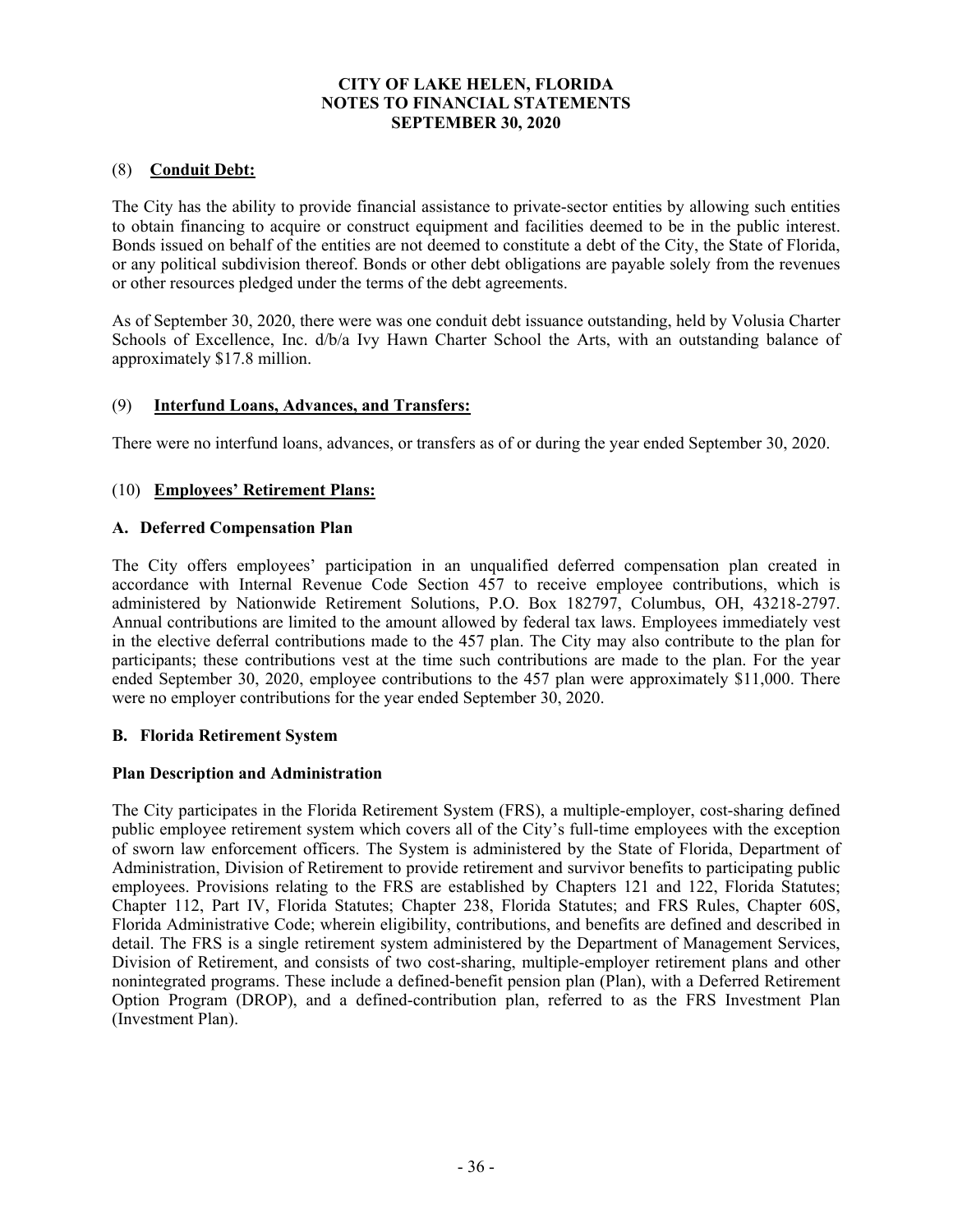### (8) **Conduit Debt:**

The City has the ability to provide financial assistance to private-sector entities by allowing such entities to obtain financing to acquire or construct equipment and facilities deemed to be in the public interest. Bonds issued on behalf of the entities are not deemed to constitute a debt of the City, the State of Florida, or any political subdivision thereof. Bonds or other debt obligations are payable solely from the revenues or other resources pledged under the terms of the debt agreements.

As of September 30, 2020, there were was one conduit debt issuance outstanding, held by Volusia Charter Schools of Excellence, Inc.  $d/b/a$  Ivy Hawn Charter School the Arts, with an outstanding balance of approximately \$17.8 million.

### (9) **Interfund Loans, Advances, and Transfers:**

There were no interfund loans, advances, or transfers as of or during the year ended September 30, 2020.

## (10) **Employees' Retirement Plans:**

### **A. Deferred Compensation Plan**

The City offers employees' participation in an unqualified deferred compensation plan created in accordance with Internal Revenue Code Section 457 to receive employee contributions, which is administered by Nationwide Retirement Solutions, P.O. Box 182797, Columbus, OH, 43218-2797. Annual contributions are limited to the amount allowed by federal tax laws. Employees immediately vest in the elective deferral contributions made to the 457 plan. The City may also contribute to the plan for participants; these contributions vest at the time such contributions are made to the plan. For the year ended September 30, 2020, employee contributions to the 457 plan were approximately \$11,000. There were no employer contributions for the year ended September 30, 2020.

### **B. Florida Retirement System**

### **Plan Description and Administration**

The City participates in the Florida Retirement System (FRS), a multiple-employer, cost-sharing defined public employee retirement system which covers all of the City's full-time employees with the exception of sworn law enforcement officers. The System is administered by the State of Florida, Department of Administration, Division of Retirement to provide retirement and survivor benefits to participating public employees. Provisions relating to the FRS are established by Chapters 121 and 122, Florida Statutes; Chapter 112, Part IV, Florida Statutes; Chapter 238, Florida Statutes; and FRS Rules, Chapter 60S, Florida Administrative Code; wherein eligibility, contributions, and benefits are defined and described in detail. The FRS is a single retirement system administered by the Department of Management Services, Division of Retirement, and consists of two cost-sharing, multiple-employer retirement plans and other nonintegrated programs. These include a defined-benefit pension plan (Plan), with a Deferred Retirement Option Program (DROP), and a defined-contribution plan, referred to as the FRS Investment Plan (Investment Plan).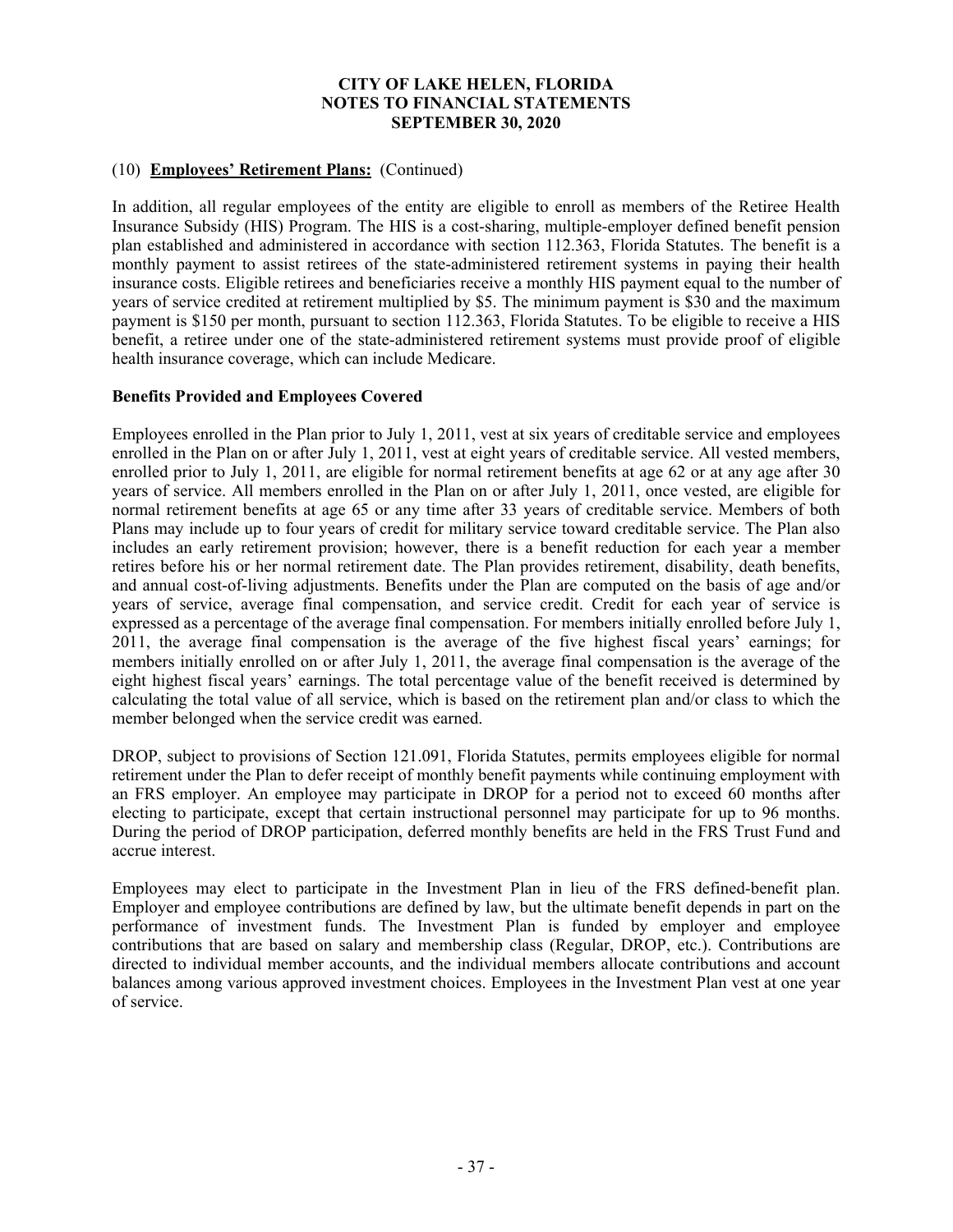## (10) **Employees' Retirement Plans:** (Continued)

In addition, all regular employees of the entity are eligible to enroll as members of the Retiree Health Insurance Subsidy (HIS) Program. The HIS is a cost-sharing, multiple-employer defined benefit pension plan established and administered in accordance with section 112.363, Florida Statutes. The benefit is a monthly payment to assist retirees of the state-administered retirement systems in paying their health insurance costs. Eligible retirees and beneficiaries receive a monthly HIS payment equal to the number of years of service credited at retirement multiplied by \$5. The minimum payment is \$30 and the maximum payment is \$150 per month, pursuant to section 112.363, Florida Statutes. To be eligible to receive a HIS benefit, a retiree under one of the state-administered retirement systems must provide proof of eligible health insurance coverage, which can include Medicare.

### **Benefits Provided and Employees Covered**

Employees enrolled in the Plan prior to July 1, 2011, vest at six years of creditable service and employees enrolled in the Plan on or after July 1, 2011, vest at eight years of creditable service. All vested members, enrolled prior to July 1, 2011, are eligible for normal retirement benefits at age 62 or at any age after 30 years of service. All members enrolled in the Plan on or after July 1, 2011, once vested, are eligible for normal retirement benefits at age 65 or any time after 33 years of creditable service. Members of both Plans may include up to four years of credit for military service toward creditable service. The Plan also includes an early retirement provision; however, there is a benefit reduction for each year a member retires before his or her normal retirement date. The Plan provides retirement, disability, death benefits, and annual cost-of-living adjustments. Benefits under the Plan are computed on the basis of age and/or years of service, average final compensation, and service credit. Credit for each year of service is expressed as a percentage of the average final compensation. For members initially enrolled before July 1, 2011, the average final compensation is the average of the five highest fiscal years' earnings; for members initially enrolled on or after July 1, 2011, the average final compensation is the average of the eight highest fiscal years' earnings. The total percentage value of the benefit received is determined by calculating the total value of all service, which is based on the retirement plan and/or class to which the member belonged when the service credit was earned.

DROP, subject to provisions of Section 121.091, Florida Statutes, permits employees eligible for normal retirement under the Plan to defer receipt of monthly benefit payments while continuing employment with an FRS employer. An employee may participate in DROP for a period not to exceed 60 months after electing to participate, except that certain instructional personnel may participate for up to 96 months. During the period of DROP participation, deferred monthly benefits are held in the FRS Trust Fund and accrue interest.

Employees may elect to participate in the Investment Plan in lieu of the FRS defined-benefit plan. Employer and employee contributions are defined by law, but the ultimate benefit depends in part on the performance of investment funds. The Investment Plan is funded by employer and employee contributions that are based on salary and membership class (Regular, DROP, etc.). Contributions are directed to individual member accounts, and the individual members allocate contributions and account balances among various approved investment choices. Employees in the Investment Plan vest at one year of service.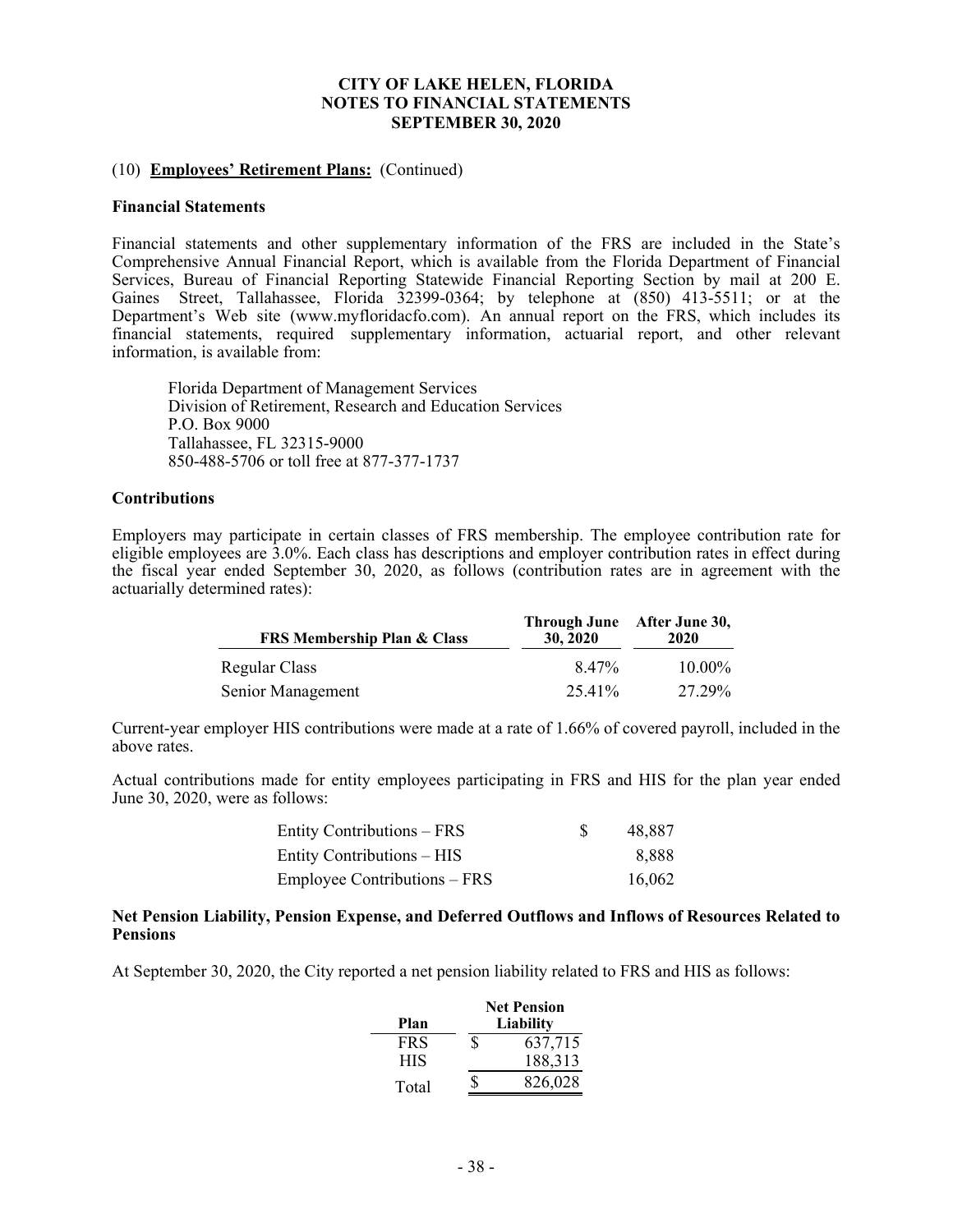#### (10) **Employees' Retirement Plans:** (Continued)

#### **Financial Statements**

Financial statements and other supplementary information of the FRS are included in the State's Comprehensive Annual Financial Report, which is available from the Florida Department of Financial Services, Bureau of Financial Reporting Statewide Financial Reporting Section by mail at 200 E. Gaines Street, Tallahassee, Florida 32399-0364; by telephone at (850) 413-5511; or at the Department's Web site (www.myfloridacfo.com). An annual report on the FRS, which includes its financial statements, required supplementary information, actuarial report, and other relevant information, is available from:

Florida Department of Management Services Division of Retirement, Research and Education Services P.O. Box 9000 Tallahassee, FL 32315-9000 850-488-5706 or toll free at 877-377-1737

#### **Contributions**

Employers may participate in certain classes of FRS membership. The employee contribution rate for eligible employees are 3.0%. Each class has descriptions and employer contribution rates in effect during the fiscal year ended September 30, 2020, as follows (contribution rates are in agreement with the actuarially determined rates):

| <b>FRS Membership Plan &amp; Class</b> | 30, 2020 | Through June After June 30,<br>2020 |
|----------------------------------------|----------|-------------------------------------|
| Regular Class                          | 8.47%    | $10.00\%$                           |
| Senior Management                      | 25.41%   | 27.29%                              |

Current-year employer HIS contributions were made at a rate of 1.66% of covered payroll, included in the above rates.

Actual contributions made for entity employees participating in FRS and HIS for the plan year ended June 30, 2020, were as follows:

| Entity Contributions – FRS   | 48.887 |
|------------------------------|--------|
| Entity Contributions – HIS   | 8.888  |
| Employee Contributions – FRS | 16,062 |

#### **Net Pension Liability, Pension Expense, and Deferred Outflows and Inflows of Resources Related to Pensions**

At September 30, 2020, the City reported a net pension liability related to FRS and HIS as follows:

| Plan       |    | <b>Net Pension</b><br>Liability |
|------------|----|---------------------------------|
| <b>FRS</b> | S  | 637,715                         |
| <b>HIS</b> |    | 188,313                         |
| Total      | ۳. | 826,028                         |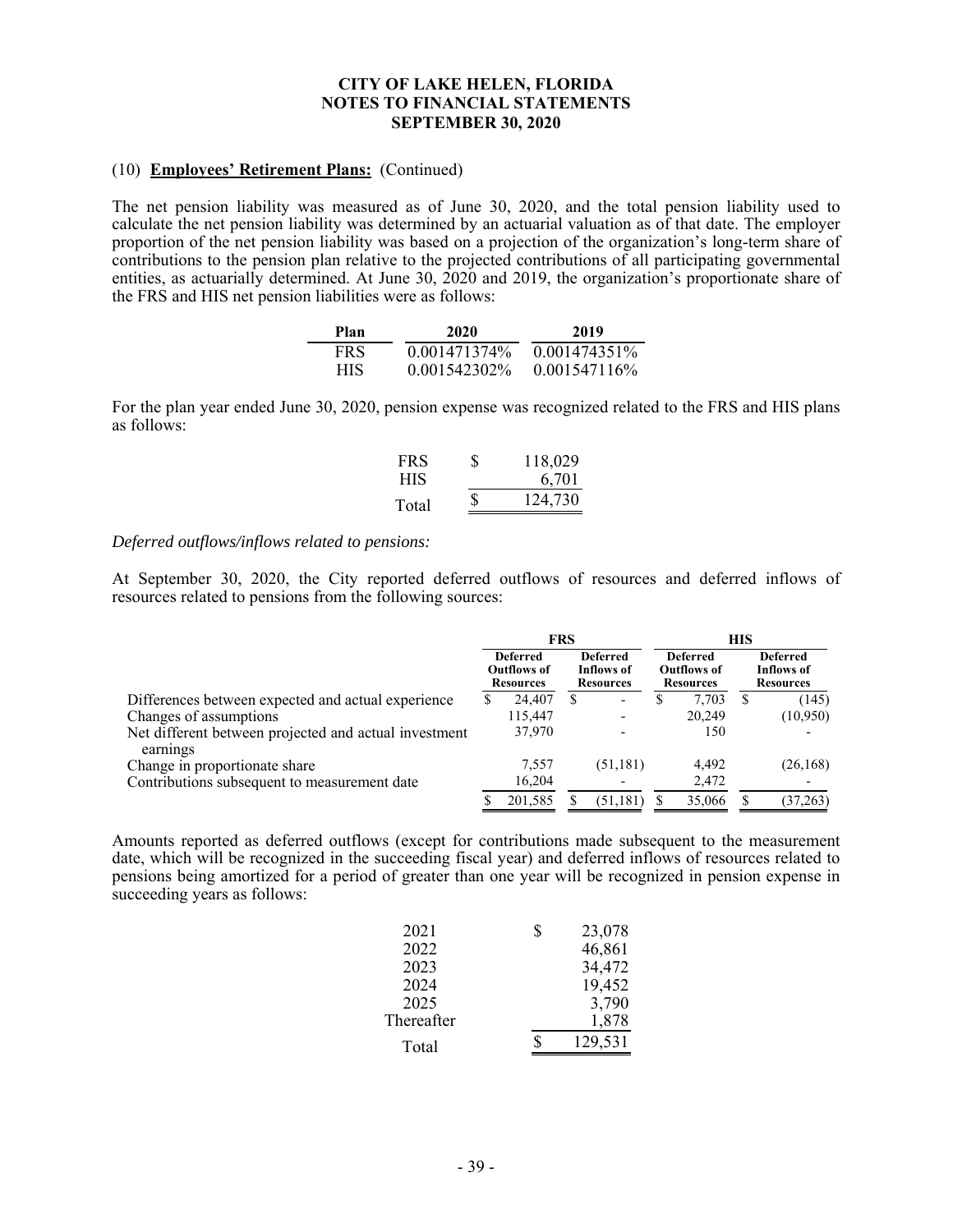#### (10) **Employees' Retirement Plans:** (Continued)

The net pension liability was measured as of June 30, 2020, and the total pension liability used to calculate the net pension liability was determined by an actuarial valuation as of that date. The employer proportion of the net pension liability was based on a projection of the organization's long-term share of contributions to the pension plan relative to the projected contributions of all participating governmental entities, as actuarially determined. At June 30, 2020 and 2019, the organization's proportionate share of the FRS and HIS net pension liabilities were as follows:

| Plan | 2020          | 2019         |
|------|---------------|--------------|
| FRS. | 0.001471374%  | 0.001474351% |
| HIS. | 0.001542302\% | 0.001547116% |

For the plan year ended June 30, 2020, pension expense was recognized related to the FRS and HIS plans as follows:

| <b>FRS</b> | S | 118,029 |
|------------|---|---------|
| <b>HIS</b> |   | 6,701   |
| Total      | S | 124,730 |

#### *Deferred outflows/inflows related to pensions:*

At September 30, 2020, the City reported deferred outflows of resources and deferred inflows of resources related to pensions from the following sources:

|                                                                   | <b>FRS</b> |                                                           |  |                                                          | НIS                                                       |        |  |                                                   |
|-------------------------------------------------------------------|------------|-----------------------------------------------------------|--|----------------------------------------------------------|-----------------------------------------------------------|--------|--|---------------------------------------------------|
|                                                                   |            | <b>Deferred</b><br><b>Outflows of</b><br><b>Resources</b> |  | <b>Deferred</b><br><b>Inflows of</b><br><b>Resources</b> | <b>Deferred</b><br><b>Outflows of</b><br><b>Resources</b> |        |  | <b>Deferred</b><br>Inflows of<br><b>Resources</b> |
| Differences between expected and actual experience                | У          | 24,407                                                    |  | $\overline{\phantom{0}}$                                 |                                                           | 7,703  |  | (145)                                             |
| Changes of assumptions                                            |            | 115.447                                                   |  |                                                          |                                                           | 20,249 |  | (10, 950)                                         |
| Net different between projected and actual investment<br>earnings |            | 37,970                                                    |  |                                                          |                                                           | 150    |  |                                                   |
| Change in proportionate share                                     |            | 7,557                                                     |  | (51, 181)                                                |                                                           | 4,492  |  | (26, 168)                                         |
| Contributions subsequent to measurement date                      |            | 16,204                                                    |  |                                                          |                                                           | 2,472  |  |                                                   |
|                                                                   |            | 201,585                                                   |  | (51, 181)                                                |                                                           | 35,066 |  | (37, 263)                                         |

Amounts reported as deferred outflows (except for contributions made subsequent to the measurement date, which will be recognized in the succeeding fiscal year) and deferred inflows of resources related to pensions being amortized for a period of greater than one year will be recognized in pension expense in succeeding years as follows:

| 2021       | S  | 23,078  |
|------------|----|---------|
| 2022       |    | 46,861  |
| 2023       |    | 34,472  |
| 2024       |    | 19,452  |
| 2025       |    | 3,790   |
| Thereafter |    | 1,878   |
| Total      | \$ | 129,531 |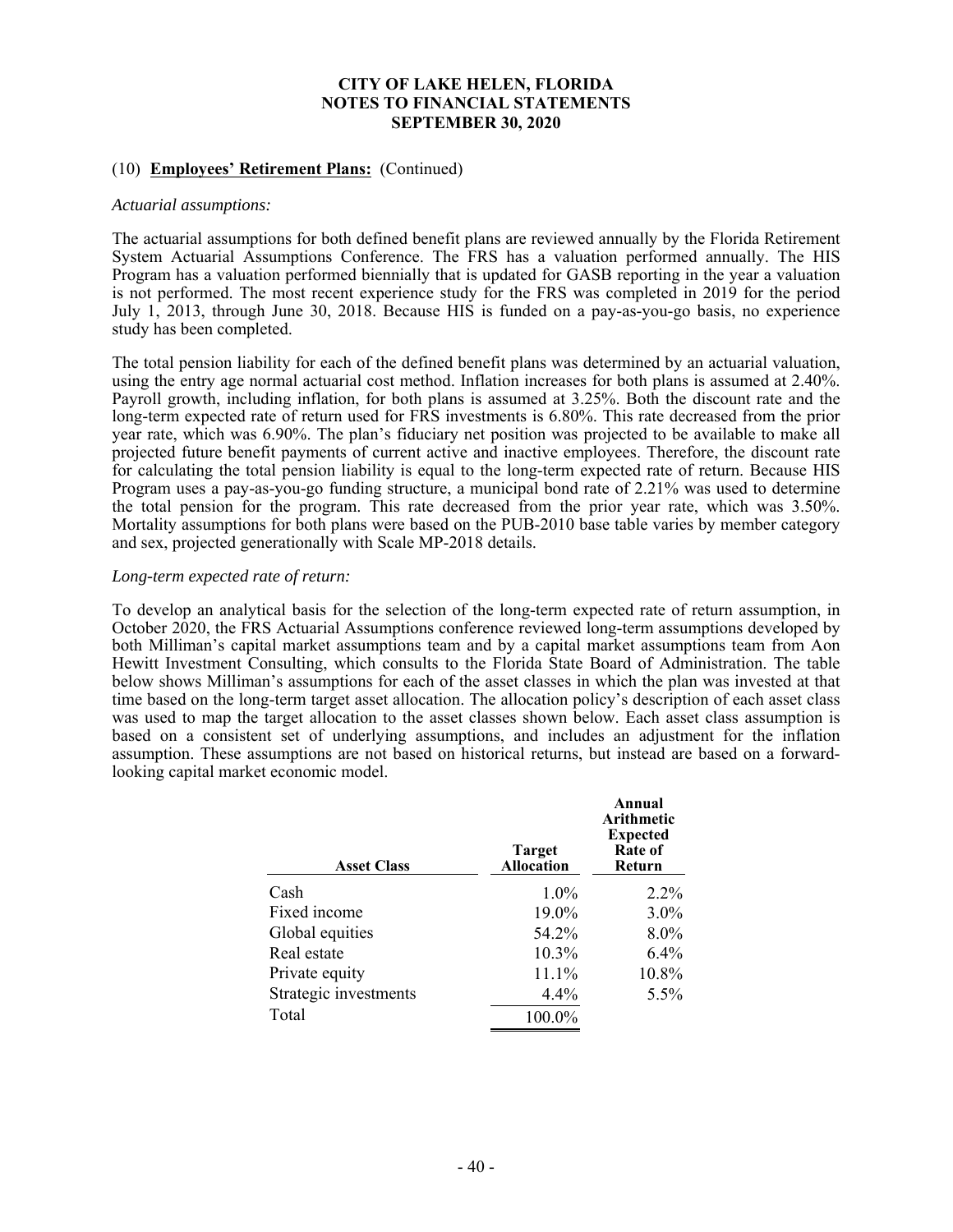### (10) **Employees' Retirement Plans:** (Continued)

#### *Actuarial assumptions:*

The actuarial assumptions for both defined benefit plans are reviewed annually by the Florida Retirement System Actuarial Assumptions Conference. The FRS has a valuation performed annually. The HIS Program has a valuation performed biennially that is updated for GASB reporting in the year a valuation is not performed. The most recent experience study for the FRS was completed in 2019 for the period July 1, 2013, through June 30, 2018. Because HIS is funded on a pay-as-you-go basis, no experience study has been completed.

The total pension liability for each of the defined benefit plans was determined by an actuarial valuation, using the entry age normal actuarial cost method. Inflation increases for both plans is assumed at 2.40%. Payroll growth, including inflation, for both plans is assumed at 3.25%. Both the discount rate and the long-term expected rate of return used for FRS investments is 6.80%. This rate decreased from the prior year rate, which was 6.90%. The plan's fiduciary net position was projected to be available to make all projected future benefit payments of current active and inactive employees. Therefore, the discount rate for calculating the total pension liability is equal to the long-term expected rate of return. Because HIS Program uses a pay-as-you-go funding structure, a municipal bond rate of 2.21% was used to determine the total pension for the program. This rate decreased from the prior year rate, which was 3.50%. Mortality assumptions for both plans were based on the PUB-2010 base table varies by member category and sex, projected generationally with Scale MP-2018 details.

#### *Long-term expected rate of return:*

To develop an analytical basis for the selection of the long-term expected rate of return assumption, in October 2020, the FRS Actuarial Assumptions conference reviewed long-term assumptions developed by both Milliman's capital market assumptions team and by a capital market assumptions team from Aon Hewitt Investment Consulting, which consults to the Florida State Board of Administration. The table below shows Milliman's assumptions for each of the asset classes in which the plan was invested at that time based on the long-term target asset allocation. The allocation policy's description of each asset class was used to map the target allocation to the asset classes shown below. Each asset class assumption is based on a consistent set of underlying assumptions, and includes an adjustment for the inflation assumption. These assumptions are not based on historical returns, but instead are based on a forwardlooking capital market economic model.

| <b>Asset Class</b>    | <b>Target</b><br><b>Allocation</b> | Annual<br>Arithmetic<br><b>Expected</b><br>Rate of<br>Return |
|-----------------------|------------------------------------|--------------------------------------------------------------|
| Cash                  | 1.0%                               | $2.2\%$                                                      |
| Fixed income          | 19.0%                              | 3.0%                                                         |
| Global equities       | 54.2%                              | 8.0%                                                         |
| Real estate           | 10.3%                              | $6.4\%$                                                      |
| Private equity        | 11.1%                              | 10.8%                                                        |
| Strategic investments | $4.4\%$                            | 5.5%                                                         |
| Total                 | 100.0%                             |                                                              |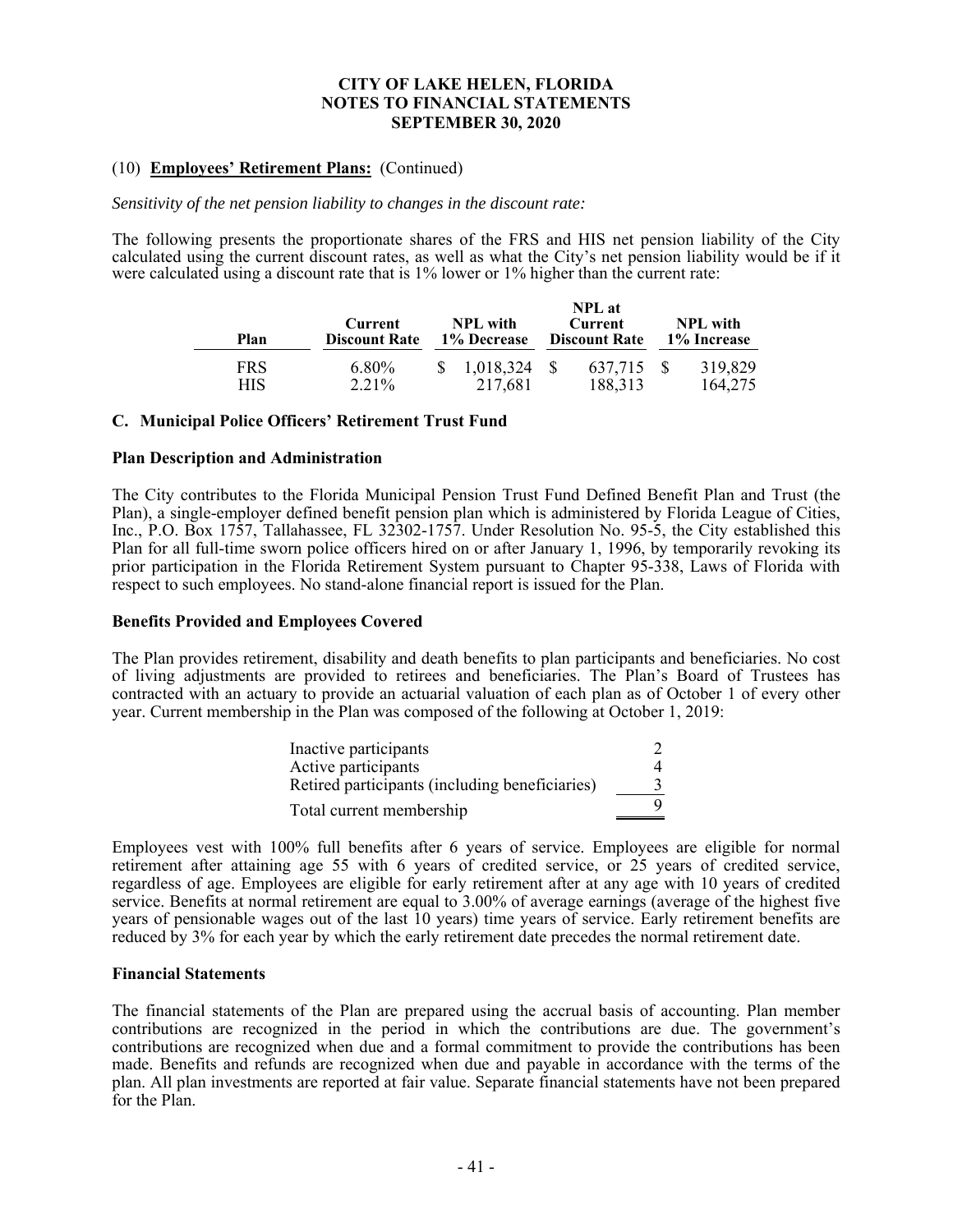### (10) **Employees' Retirement Plans:** (Continued)

*Sensitivity of the net pension liability to changes in the discount rate:* 

The following presents the proportionate shares of the FRS and HIS net pension liability of the City calculated using the current discount rates, as well as what the City's net pension liability would be if it were calculated using a discount rate that is 1% lower or 1% higher than the current rate:

**NPL** 

| Plan              | <b>Current</b><br><b>Discount Rate</b> | <b>NPL</b> with<br>1% Decrease |                      |  | NPL at<br><b>Current</b><br><b>Discount Rate</b> | <b>NPL</b> with<br>1% Increase |                    |  |
|-------------------|----------------------------------------|--------------------------------|----------------------|--|--------------------------------------------------|--------------------------------|--------------------|--|
| <b>FRS</b><br>HIS | $6.80\%$<br>$2.21\%$                   |                                | 1,018,324<br>217,681 |  | 637,715 \$<br>188,313                            |                                | 319,829<br>164,275 |  |

#### **C. Municipal Police Officers' Retirement Trust Fund**

#### **Plan Description and Administration**

The City contributes to the Florida Municipal Pension Trust Fund Defined Benefit Plan and Trust (the Plan), a single-employer defined benefit pension plan which is administered by Florida League of Cities, Inc., P.O. Box 1757, Tallahassee, FL 32302-1757. Under Resolution No. 95-5, the City established this Plan for all full-time sworn police officers hired on or after January 1, 1996, by temporarily revoking its prior participation in the Florida Retirement System pursuant to Chapter 95-338, Laws of Florida with respect to such employees. No stand-alone financial report is issued for the Plan.

#### **Benefits Provided and Employees Covered**

The Plan provides retirement, disability and death benefits to plan participants and beneficiaries. No cost of living adjustments are provided to retirees and beneficiaries. The Plan's Board of Trustees has contracted with an actuary to provide an actuarial valuation of each plan as of October 1 of every other year. Current membership in the Plan was composed of the following at October 1, 2019:

| Inactive participants                          |  |
|------------------------------------------------|--|
| Active participants                            |  |
| Retired participants (including beneficiaries) |  |
| Total current membership                       |  |

Employees vest with 100% full benefits after 6 years of service. Employees are eligible for normal retirement after attaining age 55 with 6 years of credited service, or 25 years of credited service, regardless of age. Employees are eligible for early retirement after at any age with 10 years of credited service. Benefits at normal retirement are equal to 3.00% of average earnings (average of the highest five years of pensionable wages out of the last 10 years) time years of service. Early retirement benefits are reduced by 3% for each year by which the early retirement date precedes the normal retirement date.

#### **Financial Statements**

The financial statements of the Plan are prepared using the accrual basis of accounting. Plan member contributions are recognized in the period in which the contributions are due. The government's contributions are recognized when due and a formal commitment to provide the contributions has been made. Benefits and refunds are recognized when due and payable in accordance with the terms of the plan. All plan investments are reported at fair value. Separate financial statements have not been prepared for the Plan.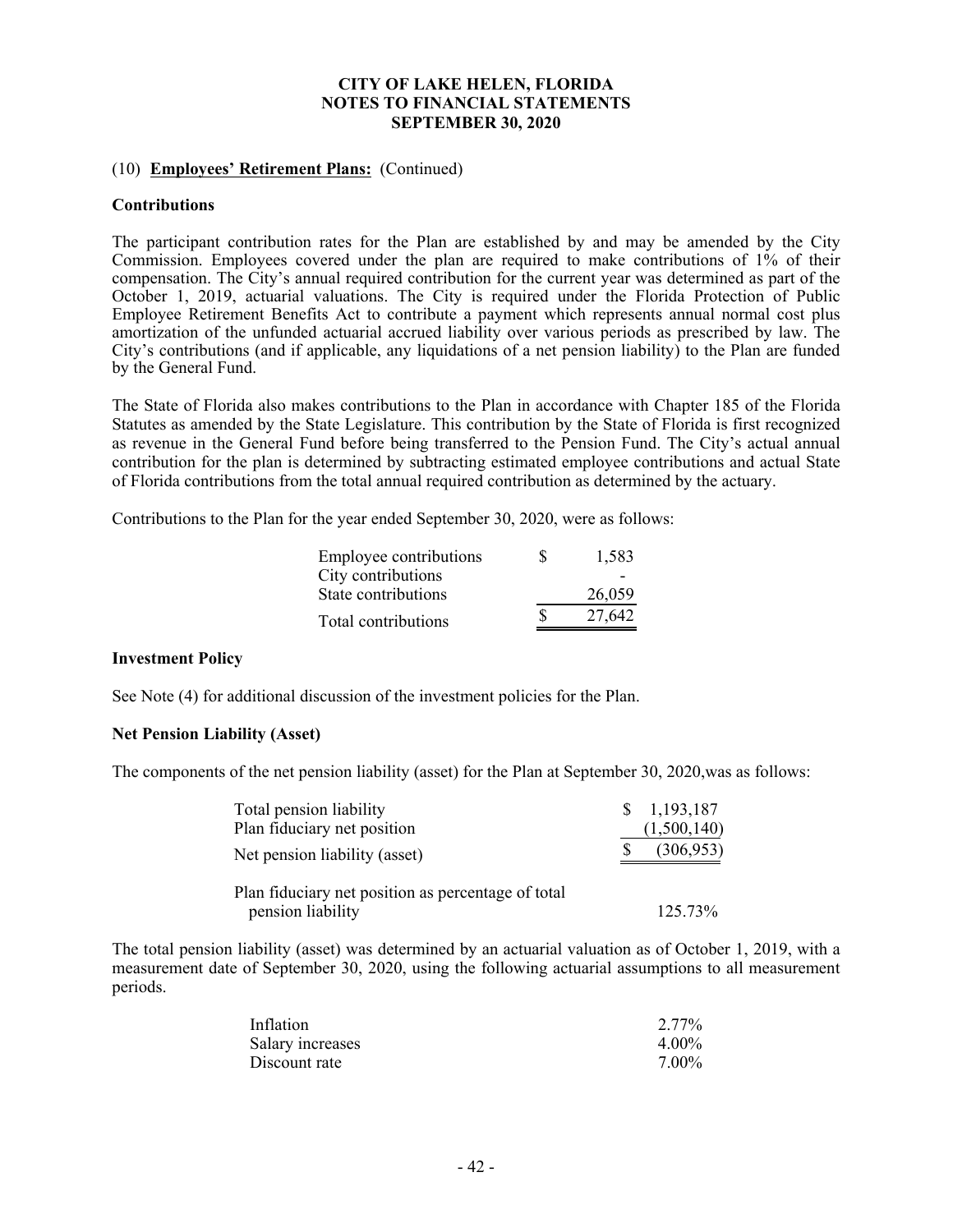### (10) **Employees' Retirement Plans:** (Continued)

#### **Contributions**

The participant contribution rates for the Plan are established by and may be amended by the City Commission. Employees covered under the plan are required to make contributions of 1% of their compensation. The City's annual required contribution for the current year was determined as part of the October 1, 2019, actuarial valuations. The City is required under the Florida Protection of Public Employee Retirement Benefits Act to contribute a payment which represents annual normal cost plus amortization of the unfunded actuarial accrued liability over various periods as prescribed by law. The City's contributions (and if applicable, any liquidations of a net pension liability) to the Plan are funded by the General Fund.

The State of Florida also makes contributions to the Plan in accordance with Chapter 185 of the Florida Statutes as amended by the State Legislature. This contribution by the State of Florida is first recognized as revenue in the General Fund before being transferred to the Pension Fund. The City's actual annual contribution for the plan is determined by subtracting estimated employee contributions and actual State of Florida contributions from the total annual required contribution as determined by the actuary.

Contributions to the Plan for the year ended September 30, 2020, were as follows:

| Employee contributions | S | 1,583  |
|------------------------|---|--------|
| City contributions     |   |        |
| State contributions    |   | 26,059 |
| Total contributions    | S | 27,642 |

#### **Investment Policy**

See Note (4) for additional discussion of the investment policies for the Plan.

#### **Net Pension Liability (Asset)**

The components of the net pension liability (asset) for the Plan at September 30, 2020,was as follows:

| Total pension liability<br>Plan fiduciary net position                  | \$1,193,187<br>(1,500,140) |
|-------------------------------------------------------------------------|----------------------------|
| Net pension liability (asset)                                           | (306, 953)                 |
| Plan fiduciary net position as percentage of total<br>pension liability | 125.73%                    |

The total pension liability (asset) was determined by an actuarial valuation as of October 1, 2019, with a measurement date of September 30, 2020, using the following actuarial assumptions to all measurement periods.

| Inflation        | 2.77%    |
|------------------|----------|
| Salary increases | $4.00\%$ |
| Discount rate    | 7.00%    |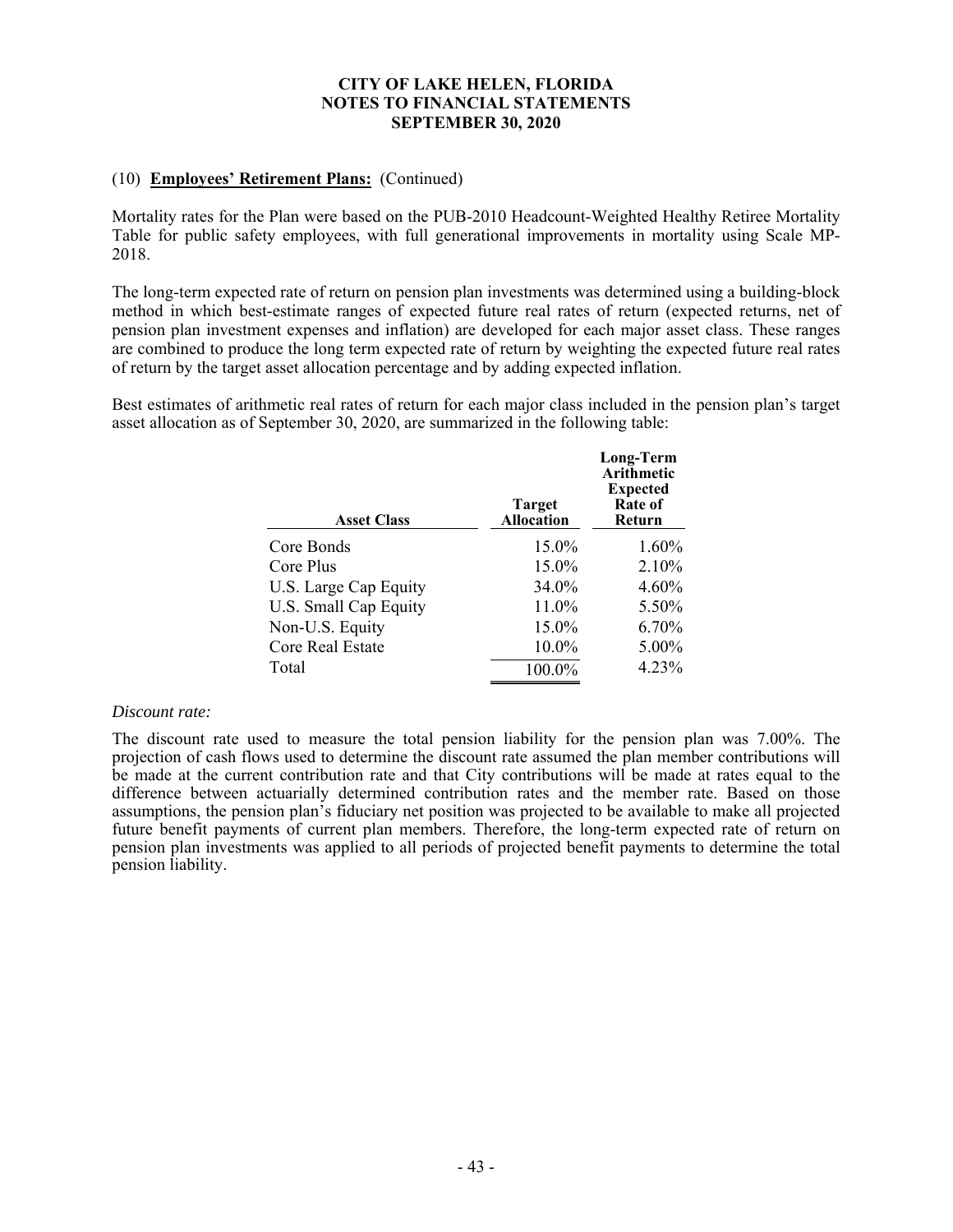### (10) **Employees' Retirement Plans:** (Continued)

Mortality rates for the Plan were based on the PUB-2010 Headcount-Weighted Healthy Retiree Mortality Table for public safety employees, with full generational improvements in mortality using Scale MP-2018.

The long-term expected rate of return on pension plan investments was determined using a building-block method in which best-estimate ranges of expected future real rates of return (expected returns, net of pension plan investment expenses and inflation) are developed for each major asset class. These ranges are combined to produce the long term expected rate of return by weighting the expected future real rates of return by the target asset allocation percentage and by adding expected inflation.

Best estimates of arithmetic real rates of return for each major class included in the pension plan's target asset allocation as of September 30, 2020, are summarized in the following table:

| <b>Asset Class</b>    | <b>Target</b><br><b>Allocation</b> | <b>Long-Term</b><br><b>Arithmetic</b><br><b>Expected</b><br>Rate of<br>Return |
|-----------------------|------------------------------------|-------------------------------------------------------------------------------|
| Core Bonds            | 15.0%                              | 1.60%                                                                         |
| Core Plus             | 15.0%                              | 2.10%                                                                         |
| U.S. Large Cap Equity | 34.0%                              | 4.60%                                                                         |
| U.S. Small Cap Equity | 11.0%                              | 5.50%                                                                         |
| Non-U.S. Equity       | 15.0%                              | 6.70%                                                                         |
| Core Real Estate      | 10.0%                              | 5.00%                                                                         |
| Total                 | 100.0%                             | 4.23%                                                                         |

### *Discount rate:*

The discount rate used to measure the total pension liability for the pension plan was 7.00%. The projection of cash flows used to determine the discount rate assumed the plan member contributions will be made at the current contribution rate and that City contributions will be made at rates equal to the difference between actuarially determined contribution rates and the member rate. Based on those assumptions, the pension plan's fiduciary net position was projected to be available to make all projected future benefit payments of current plan members. Therefore, the long-term expected rate of return on pension plan investments was applied to all periods of projected benefit payments to determine the total pension liability.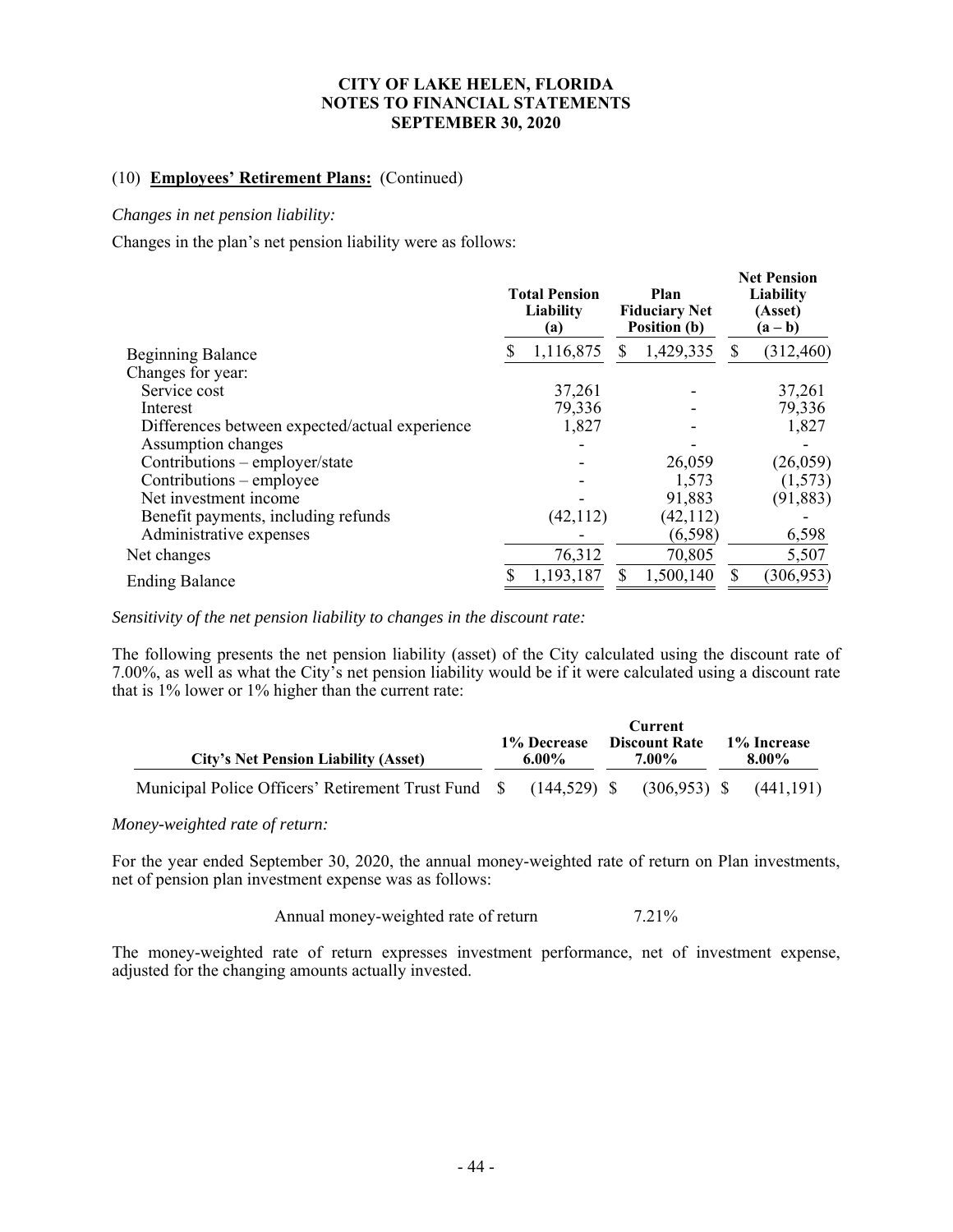### (10) **Employees' Retirement Plans:** (Continued)

### *Changes in net pension liability:*

Changes in the plan's net pension liability were as follows:

|                                                | <b>Total Pension</b><br>Liability<br>(a) | Plan<br><b>Fiduciary Net</b><br>Position (b) | <b>Net Pension</b><br>Liability<br>(Asset)<br>$(a - b)$ |            |  |
|------------------------------------------------|------------------------------------------|----------------------------------------------|---------------------------------------------------------|------------|--|
| <b>Beginning Balance</b>                       | 1,116,875                                | 1,429,335                                    | S                                                       | (312, 460) |  |
| Changes for year:                              |                                          |                                              |                                                         |            |  |
| Service cost                                   | 37,261                                   |                                              |                                                         | 37,261     |  |
| Interest                                       | 79,336                                   |                                              |                                                         | 79,336     |  |
| Differences between expected/actual experience | 1,827                                    |                                              |                                                         | 1,827      |  |
| Assumption changes                             |                                          |                                              |                                                         |            |  |
| Contributions – employer/state                 |                                          | 26,059                                       |                                                         | (26, 059)  |  |
| Contributions – employee                       |                                          | 1,573                                        |                                                         | (1,573)    |  |
| Net investment income                          |                                          | 91,883                                       |                                                         | (91, 883)  |  |
| Benefit payments, including refunds            | (42, 112)                                | (42, 112)                                    |                                                         |            |  |
| Administrative expenses                        |                                          | (6, 598)                                     |                                                         | 6,598      |  |
| Net changes                                    | 76,312                                   | 70,805                                       |                                                         | 5,507      |  |
| <b>Ending Balance</b>                          | 1,193,187                                | 1,500,140                                    |                                                         | (306, 953) |  |

*Sensitivity of the net pension liability to changes in the discount rate:* 

The following presents the net pension liability (asset) of the City calculated using the discount rate of 7.00%, as well as what the City's net pension liability would be if it were calculated using a discount rate that is 1% lower or 1% higher than the current rate:

|                                                                               |                         | Current                       |                                |            |
|-------------------------------------------------------------------------------|-------------------------|-------------------------------|--------------------------------|------------|
| <b>City's Net Pension Liability (Asset)</b>                                   | 1% Decrease<br>$6.00\%$ | <b>Discount Rate</b><br>7.00% | <b>1% Increase</b><br>$8.00\%$ |            |
| Municipal Police Officers' Retirement Trust Fund \$ (144,529) \$ (306,953) \$ |                         |                               |                                | (441, 191) |

### *Money-weighted rate of return:*

For the year ended September 30, 2020, the annual money-weighted rate of return on Plan investments, net of pension plan investment expense was as follows:

Annual money-weighted rate of return 7.21%

The money-weighted rate of return expresses investment performance, net of investment expense, adjusted for the changing amounts actually invested.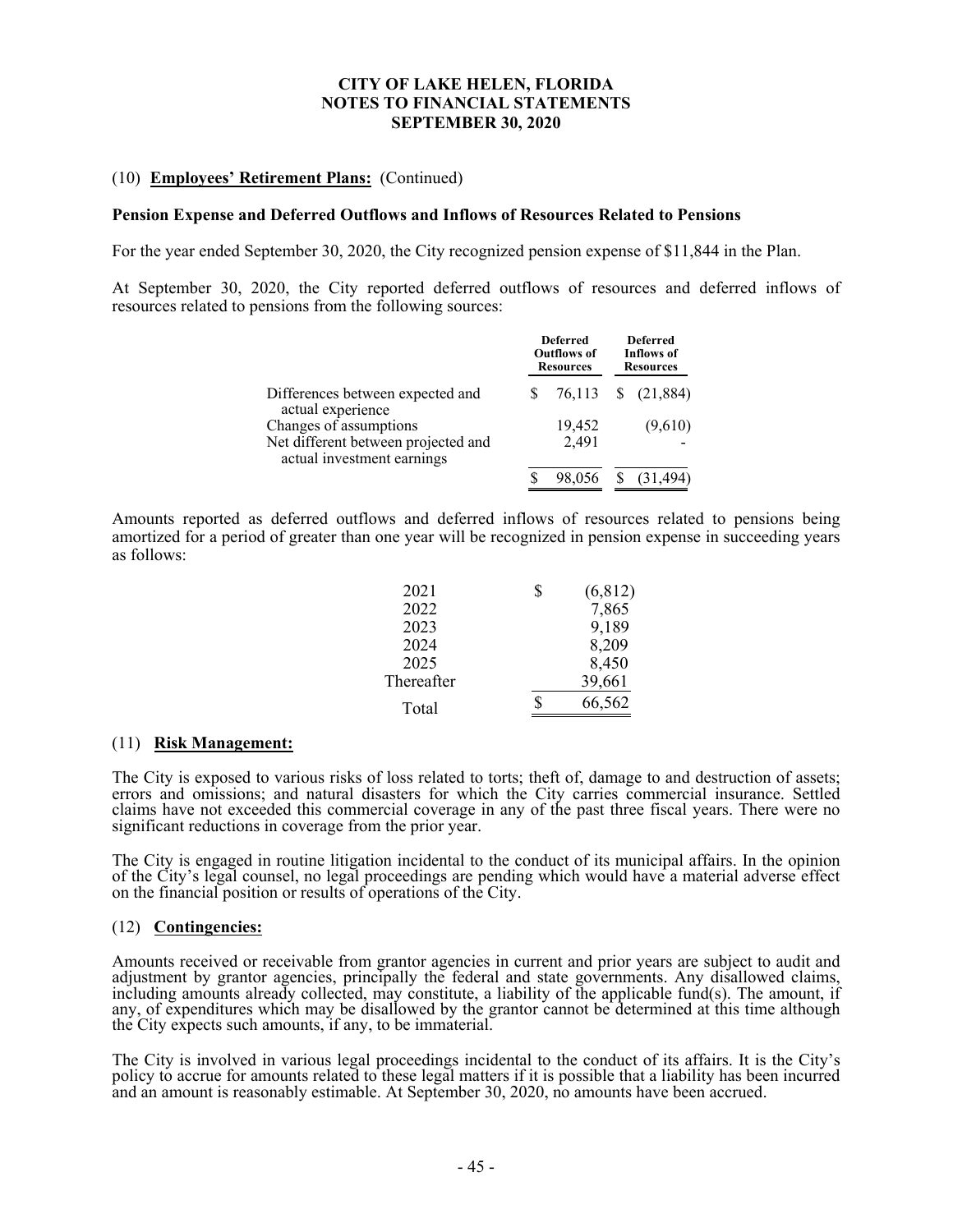### (10) **Employees' Retirement Plans:** (Continued)

### **Pension Expense and Deferred Outflows and Inflows of Resources Related to Pensions**

For the year ended September 30, 2020, the City recognized pension expense of \$11,844 in the Plan.

At September 30, 2020, the City reported deferred outflows of resources and deferred inflows of resources related to pensions from the following sources:

|                                                                   | <b>Deferred</b><br><b>Outflows of</b><br><b>Resources</b> | <b>Deferred</b><br><b>Inflows of</b><br><b>Resources</b> |                    |  |  |
|-------------------------------------------------------------------|-----------------------------------------------------------|----------------------------------------------------------|--------------------|--|--|
| Differences between expected and<br>actual experience             |                                                           |                                                          | 76,113 \$ (21,884) |  |  |
| Changes of assumptions                                            | 19,452                                                    |                                                          | (9,610)            |  |  |
| Net different between projected and<br>actual investment earnings | 2,491                                                     |                                                          |                    |  |  |
|                                                                   | 98.056                                                    |                                                          |                    |  |  |

Amounts reported as deferred outflows and deferred inflows of resources related to pensions being amortized for a period of greater than one year will be recognized in pension expense in succeeding years as follows:

| 2021       | S | (6, 812) |
|------------|---|----------|
| 2022       |   | 7,865    |
| 2023       |   | 9,189    |
| 2024       |   | 8,209    |
| 2025       |   | 8,450    |
| Thereafter |   | 39,661   |
| Total      |   | 66,562   |

#### (11) **Risk Management:**

The City is exposed to various risks of loss related to torts; theft of, damage to and destruction of assets; errors and omissions; and natural disasters for which the City carries commercial insurance. Settled claims have not exceeded this commercial coverage in any of the past three fiscal years. There were no significant reductions in coverage from the prior year.

The City is engaged in routine litigation incidental to the conduct of its municipal affairs. In the opinion of the City's legal counsel, no legal proceedings are pending which would have a material adverse effect on the financial position or results of operations of the City.

#### (12) **Contingencies:**

Amounts received or receivable from grantor agencies in current and prior years are subject to audit and adjustment by grantor agencies, principally the federal and state governments. Any disallowed claims, including amounts already collected, may constitute, a liability of the applicable fund(s). The amount, if any, of expenditures which may be disallowed by the grantor cannot be determined at this time although the City expects such amounts, if any, to be immaterial.

The City is involved in various legal proceedings incidental to the conduct of its affairs. It is the City's policy to accrue for amounts related to these legal matters if it is possible that a liability has been incurred and an amount is reasonably estimable. At September 30, 2020, no amounts have been accrued.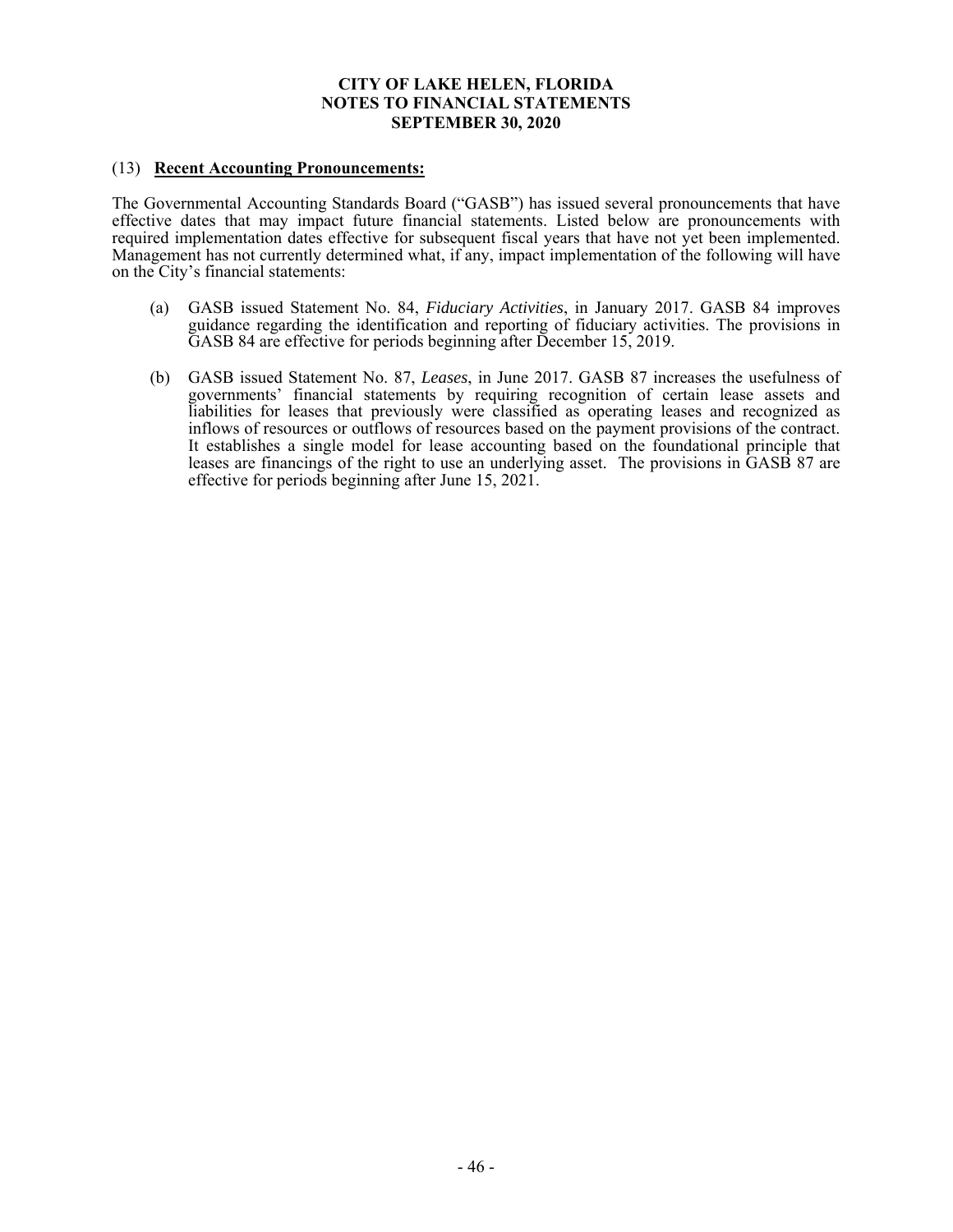#### (13) **Recent Accounting Pronouncements:**

The Governmental Accounting Standards Board ("GASB") has issued several pronouncements that have effective dates that may impact future financial statements. Listed below are pronouncements with required implementation dates effective for subsequent fiscal years that have not yet been implemented. Management has not currently determined what, if any, impact implementation of the following will have on the City's financial statements:

- (a) GASB issued Statement No. 84, *Fiduciary Activities*, in January 2017. GASB 84 improves guidance regarding the identification and reporting of fiduciary activities. The provisions in GASB 84 are effective for periods beginning after December 15, 2019.
- (b) GASB issued Statement No. 87, *Leases*, in June 2017. GASB 87 increases the usefulness of governments' financial statements by requiring recognition of certain lease assets and liabilities for leases that previously were classified as operating leases and recognized as inflows of resources or outflows of resources based on the payment provisions of the contract. It establishes a single model for lease accounting based on the foundational principle that leases are financings of the right to use an underlying asset. The provisions in GASB 87 are effective for periods beginning after June 15, 2021.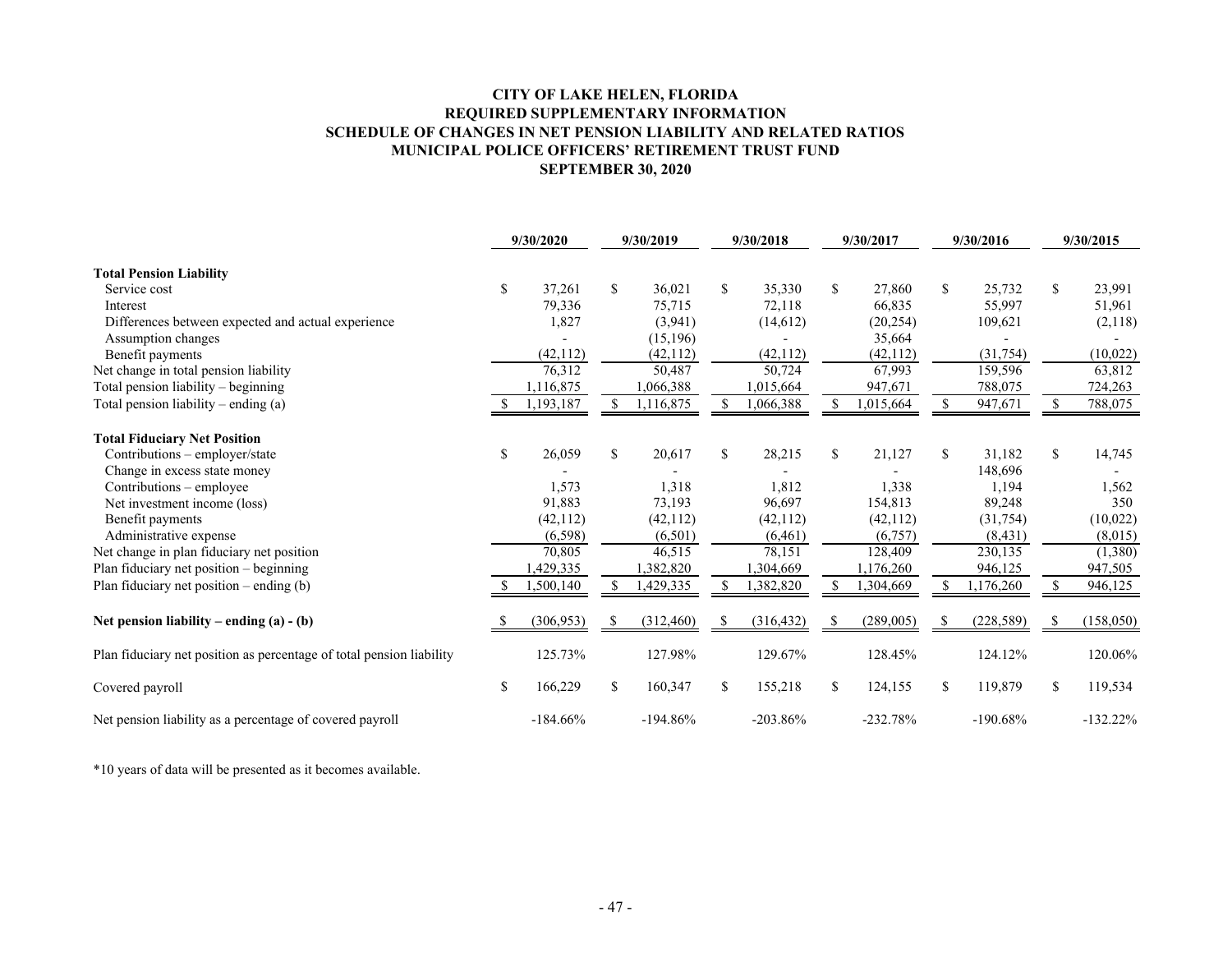### **CITY OF LAKE HELEN, FLORIDA REQUIRED SUPPLEMENTARY INFORMATION SCHEDULE OF CHANGES IN NET PENSION LIABILITY AND RELATED RATIOS MUNICIPAL POLICE OFFICERS' RETIREMENT TRUST FUND SEPTEMBER 30, 2020**

|                                                                      | 9/30/2020     |    | 9/30/2019  |              | 9/30/2018  |     | 9/30/2017  | 9/30/2016     |              | 9/30/2015  |
|----------------------------------------------------------------------|---------------|----|------------|--------------|------------|-----|------------|---------------|--------------|------------|
| <b>Total Pension Liability</b>                                       |               |    |            |              |            |     |            |               |              |            |
| Service cost                                                         | \$<br>37,261  | \$ | 36,021     | \$.          | 35,330     | \$. | 27,860     | \$<br>25,732  | S.           | 23,991     |
| Interest                                                             | 79,336        |    | 75,715     |              | 72,118     |     | 66,835     | 55,997        |              | 51,961     |
| Differences between expected and actual experience                   | 1,827         |    | (3,941)    |              | (14,612)   |     | (20, 254)  | 109,621       |              | (2,118)    |
| Assumption changes                                                   |               |    | (15, 196)  |              |            |     | 35,664     |               |              |            |
| Benefit payments                                                     | (42, 112)     |    | (42, 112)  |              | (42, 112)  |     | (42, 112)  | (31, 754)     |              | (10,022)   |
| Net change in total pension liability                                | 76,312        |    | 50,487     |              | 50,724     |     | 67,993     | 159,596       |              | 63,812     |
| Total pension liability - beginning                                  | 1,116,875     |    | 1,066,388  |              | 1,015,664  |     | 947,671    | 788,075       |              | 724,263    |
| Total pension liability – ending (a)                                 | 1,193,187     | \$ | 1,116,875  | <sup>8</sup> | 1,066,388  | S   | 1,015,664  | 947,671       | <sup>8</sup> | 788,075    |
| <b>Total Fiduciary Net Position</b>                                  |               |    |            |              |            |     |            |               |              |            |
| Contributions – employer/state                                       | \$<br>26,059  | \$ | 20,617     | \$           | 28,215     | S   | 21,127     | \$<br>31.182  | S.           | 14,745     |
| Change in excess state money                                         |               |    |            |              |            |     |            | 148,696       |              |            |
| Contributions - employee                                             | 1,573         |    | 1,318      |              | 1,812      |     | 1,338      | 1,194         |              | 1,562      |
| Net investment income (loss)                                         | 91,883        |    | 73,193     |              | 96,697     |     | 154,813    | 89,248        |              | 350        |
| Benefit payments                                                     | (42, 112)     |    | (42, 112)  |              | (42, 112)  |     | (42, 112)  | (31,754)      |              | (10,022)   |
| Administrative expense                                               | (6, 598)      |    | (6,501)    |              | (6, 461)   |     | (6,757)    | (8, 431)      |              | (8,015)    |
| Net change in plan fiduciary net position                            | 70,805        |    | 46,515     |              | 78,151     |     | 128,409    | 230,135       |              | (1,380)    |
| Plan fiduciary net position – beginning                              | 1,429,335     |    | 1,382,820  |              | 1,304,669  |     | 1,176,260  | 946,125       |              | 947,505    |
| Plan fiduciary net position - ending (b)                             | 1,500,140     | S. | 1,429,335  | S.           | 1,382,820  | S   | 1,304,669  | 1,176,260     |              | 946,125    |
| Net pension liability – ending $(a) - (b)$                           | (306, 953)    |    | (312,460)  |              | (316, 432) |     | (289,005)  | (228, 589)    |              | (158,050)  |
| Plan fiduciary net position as percentage of total pension liability | 125.73%       |    | 127.98%    |              | 129.67%    |     | 128.45%    | 124.12%       |              | 120.06%    |
| Covered payroll                                                      | \$<br>166,229 | \$ | 160,347    | \$           | 155,218    | \$  | 124,155    | \$<br>119,879 | S.           | 119,534    |
| Net pension liability as a percentage of covered payroll             | $-184.66%$    |    | $-194.86%$ |              | $-203.86%$ |     | $-232.78%$ | $-190.68%$    |              | $-132.22%$ |

\*10 years of data will be presented as it becomes available.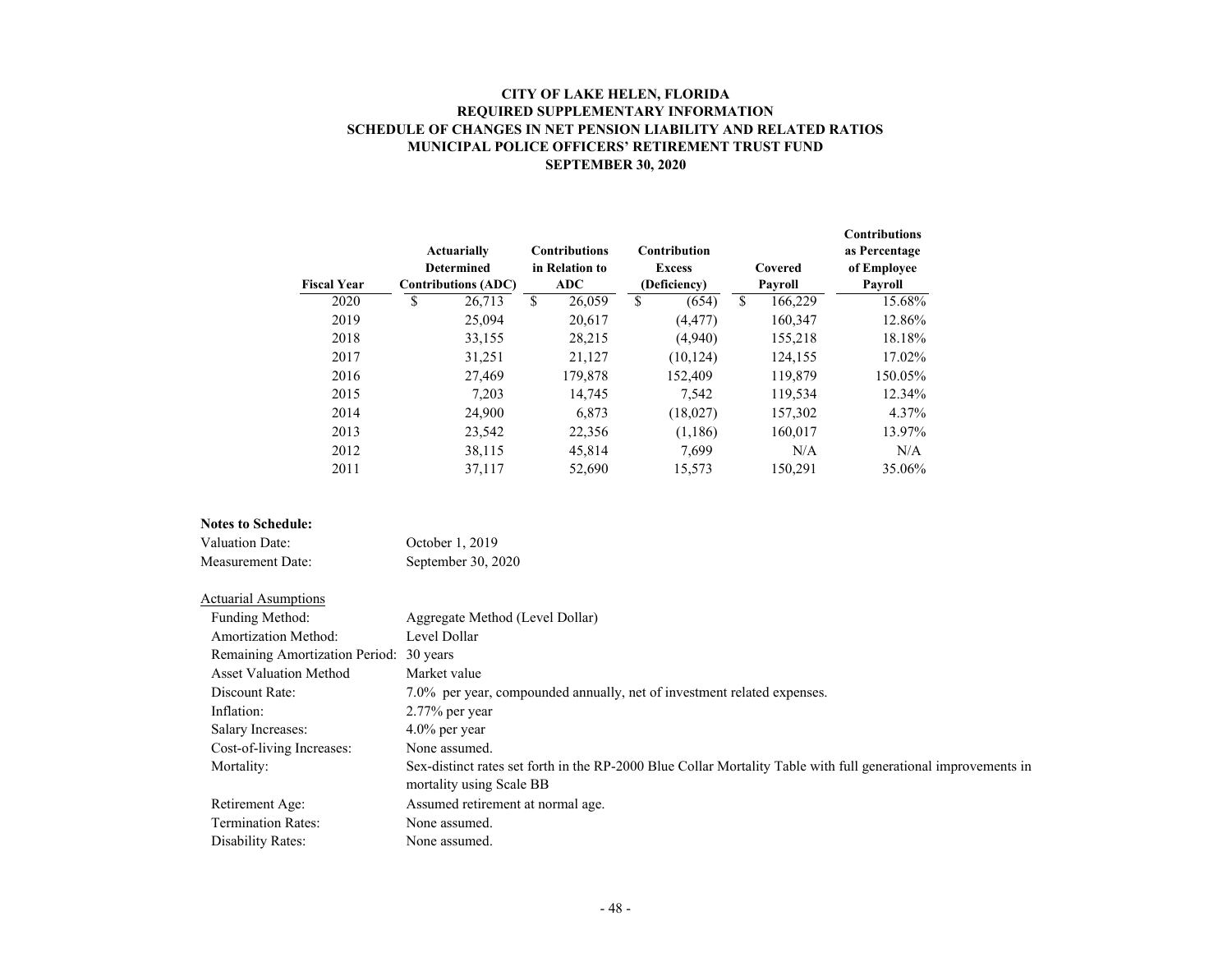#### **CITY OF LAKE HELEN, FLORIDA REQUIRED SUPPLEMENTARY INFORMATION SCHEDULE OF CHANGES IN NET PENSION LIABILITY AND RELATED RATIOS MUNICIPAL POLICE OFFICERS' RETIREMENT TRUST FUNDSEPTEMBER 30, 2020**

| <b>Fiscal Year</b> | <b>Actuarially</b><br><b>Determined</b><br><b>Contributions (ADC)</b> |        | <b>Contributions</b><br>in Relation to<br><b>ADC</b> | Contribution<br><b>Excess</b><br>(Deficiency) | Covered<br>Payroll | <b>Contributions</b><br>as Percentage<br>of Employee<br>Payroll |
|--------------------|-----------------------------------------------------------------------|--------|------------------------------------------------------|-----------------------------------------------|--------------------|-----------------------------------------------------------------|
| 2020               | \$                                                                    | 26,713 | \$<br>26,059                                         | \$<br>(654)                                   | \$<br>166,229      | 15.68%                                                          |
| 2019               |                                                                       | 25,094 | 20,617                                               | (4, 477)                                      | 160,347            | 12.86%                                                          |
| 2018               |                                                                       | 33,155 | 28,215                                               | (4,940)                                       | 155,218            | 18.18%                                                          |
| 2017               |                                                                       | 31,251 | 21,127                                               | (10, 124)                                     | 124,155            | 17.02%                                                          |
| 2016               |                                                                       | 27,469 | 179,878                                              | 152,409                                       | 119,879            | 150.05%                                                         |
| 2015               |                                                                       | 7,203  | 14,745                                               | 7,542                                         | 119,534            | 12.34%                                                          |
| 2014               |                                                                       | 24,900 | 6,873                                                | (18,027)                                      | 157,302            | 4.37%                                                           |
| 2013               |                                                                       | 23,542 | 22,356                                               | (1,186)                                       | 160,017            | 13.97%                                                          |
| 2012               |                                                                       | 38,115 | 45,814                                               | 7.699                                         | N/A                | N/A                                                             |
| 2011               |                                                                       | 37.117 | 52,690                                               | 15,573                                        | 150.291            | 35.06%                                                          |

#### **Notes to Schedule:**

| Valuation Date:   | October 1, 2019    |
|-------------------|--------------------|
| Measurement Date: | September 30, 2020 |

### Actuarial Asumptions

| Funding Method:                         | Aggregate Method (Level Dollar)                                                                                                            |
|-----------------------------------------|--------------------------------------------------------------------------------------------------------------------------------------------|
| Amortization Method:                    | Level Dollar                                                                                                                               |
| Remaining Amortization Period: 30 years |                                                                                                                                            |
| <b>Asset Valuation Method</b>           | Market value                                                                                                                               |
| Discount Rate:                          | 7.0% per year, compounded annually, net of investment related expenses.                                                                    |
| Inflation:                              | $2.77\%$ per year                                                                                                                          |
| Salary Increases:                       | $4.0\%$ per year                                                                                                                           |
| Cost-of-living Increases:               | None assumed.                                                                                                                              |
| Mortality:                              | Sex-distinct rates set forth in the RP-2000 Blue Collar Mortality Table with full generational improvements in<br>mortality using Scale BB |
| Retirement Age:                         | Assumed retirement at normal age.                                                                                                          |
| <b>Termination Rates:</b>               | None assumed.                                                                                                                              |
| Disability Rates:                       | None assumed.                                                                                                                              |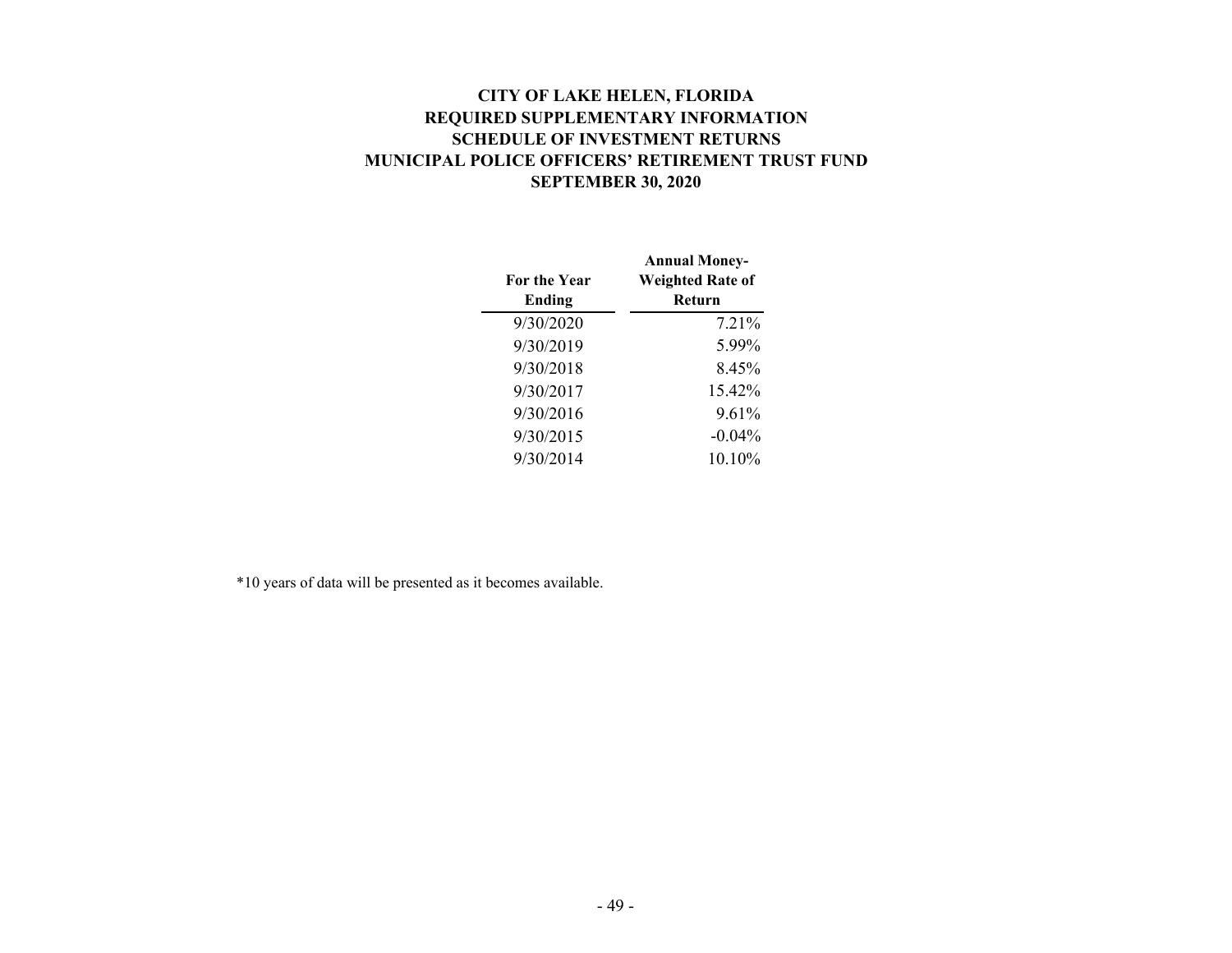# **CITY OF LAKE HELEN, FLORIDA REQUIRED SUPPLEMENTARY INFORMATION SCHEDULE OF INVESTMENT RETURNS MUNICIPAL POLICE OFFICERS' RETIREMENT TRUST FUND SEPTEMBER 30, 2020**

| <b>For the Year</b> | <b>Annual Money-</b><br><b>Weighted Rate of</b> |
|---------------------|-------------------------------------------------|
| Ending              | <b>Return</b>                                   |
| 9/30/2020           | 7.21%                                           |
| 9/30/2019           | 5.99%                                           |
| 9/30/2018           | 8.45%                                           |
| 9/30/2017           | 15.42%                                          |
| 9/30/2016           | $9.61\%$                                        |
| 9/30/2015           | $-0.04\%$                                       |
| 9/30/2014           | 10.10%                                          |

\*10 years of data will be presented as it becomes available.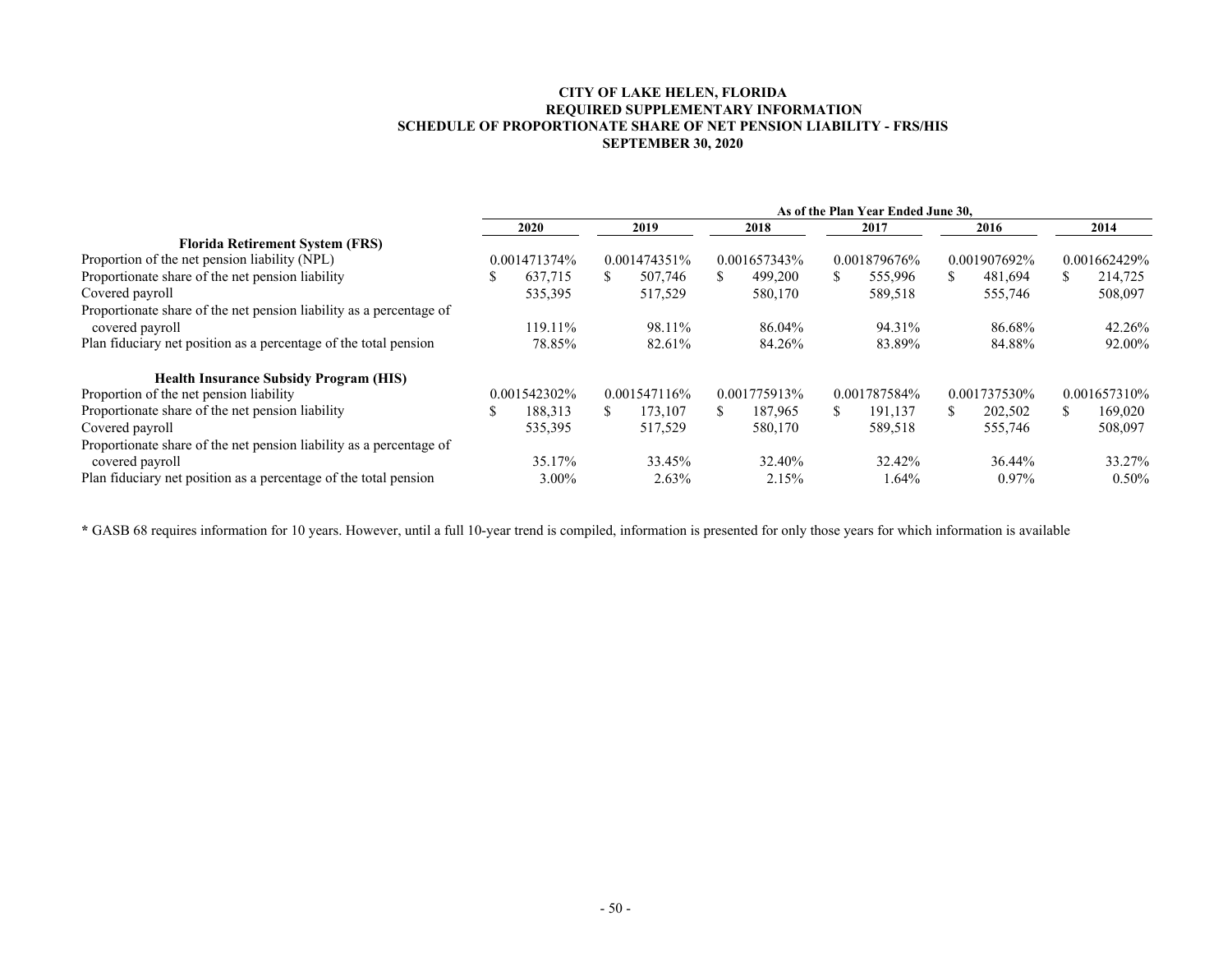#### **CITY OF LAKE HELEN, FLORIDA REQUIRED SUPPLEMENTARY INFORMATION SCHEDULE OF PROPORTIONATE SHARE OF NET PENSION LIABILITY - FRS/HIS SEPTEMBER 30, 2020**

|                                                                     | As of the Plan Year Ended June 30. |              |  |              |  |              |  |              |              |              |              |               |  |  |  |
|---------------------------------------------------------------------|------------------------------------|--------------|--|--------------|--|--------------|--|--------------|--------------|--------------|--------------|---------------|--|--|--|
|                                                                     |                                    | 2020         |  | 2019         |  | 2018         |  | 2017         |              | 2016         |              | 2014          |  |  |  |
| <b>Florida Retirement System (FRS)</b>                              |                                    |              |  |              |  |              |  |              |              |              |              |               |  |  |  |
| Proportion of the net pension liability (NPL)                       |                                    | 0.001471374% |  | 0.001474351% |  | 0.001657343% |  | 0.001879676% | 0.001907692% |              | 0.001662429% |               |  |  |  |
| Proportionate share of the net pension liability                    |                                    | 637.715      |  | 507,746      |  | 499,200      |  | 555,996      |              | 481.694      |              | 214,725       |  |  |  |
| Covered payroll                                                     |                                    | 535,395      |  | 517,529      |  | 580,170      |  | 589,518      |              | 555,746      |              | 508,097       |  |  |  |
| Proportionate share of the net pension liability as a percentage of |                                    |              |  |              |  |              |  |              |              |              |              |               |  |  |  |
| covered payroll                                                     |                                    | 119.11%      |  | 98.11%       |  | 86.04%       |  | 94.31%       |              | 86.68%       |              | 42.26%        |  |  |  |
| Plan fiduciary net position as a percentage of the total pension    |                                    | 78.85%       |  | 82.61%       |  | 84.26%       |  | 83.89%       |              | 84.88%       |              | 92.00%        |  |  |  |
| <b>Health Insurance Subsidy Program (HIS)</b>                       |                                    |              |  |              |  |              |  |              |              |              |              |               |  |  |  |
| Proportion of the net pension liability                             |                                    | 0.001542302% |  | 0.001547116% |  | 0.001775913% |  | 0.001787584% |              | 0.001737530% |              | 0.001657310\% |  |  |  |
| Proportionate share of the net pension liability                    |                                    | 188.313      |  | 173.107      |  | 187,965      |  | 191.137      |              | 202,502      |              | 169,020       |  |  |  |
| Covered payroll                                                     |                                    | 535,395      |  | 517,529      |  | 580,170      |  | 589,518      |              | 555,746      |              | 508,097       |  |  |  |
| Proportionate share of the net pension liability as a percentage of |                                    |              |  |              |  |              |  |              |              |              |              |               |  |  |  |
| covered payroll                                                     |                                    | 35.17%       |  | 33.45%       |  | 32.40%       |  | 32.42%       |              | 36.44%       |              | 33.27%        |  |  |  |
| Plan fiduciary net position as a percentage of the total pension    |                                    | $3.00\%$     |  | $2.63\%$     |  | 2.15%        |  | 1.64%        |              | 0.97%        |              | 0.50%         |  |  |  |

**\*** GASB 68 requires information for 10 years. However, until a full 10-year trend is compiled, information is presented for only those years for which information is available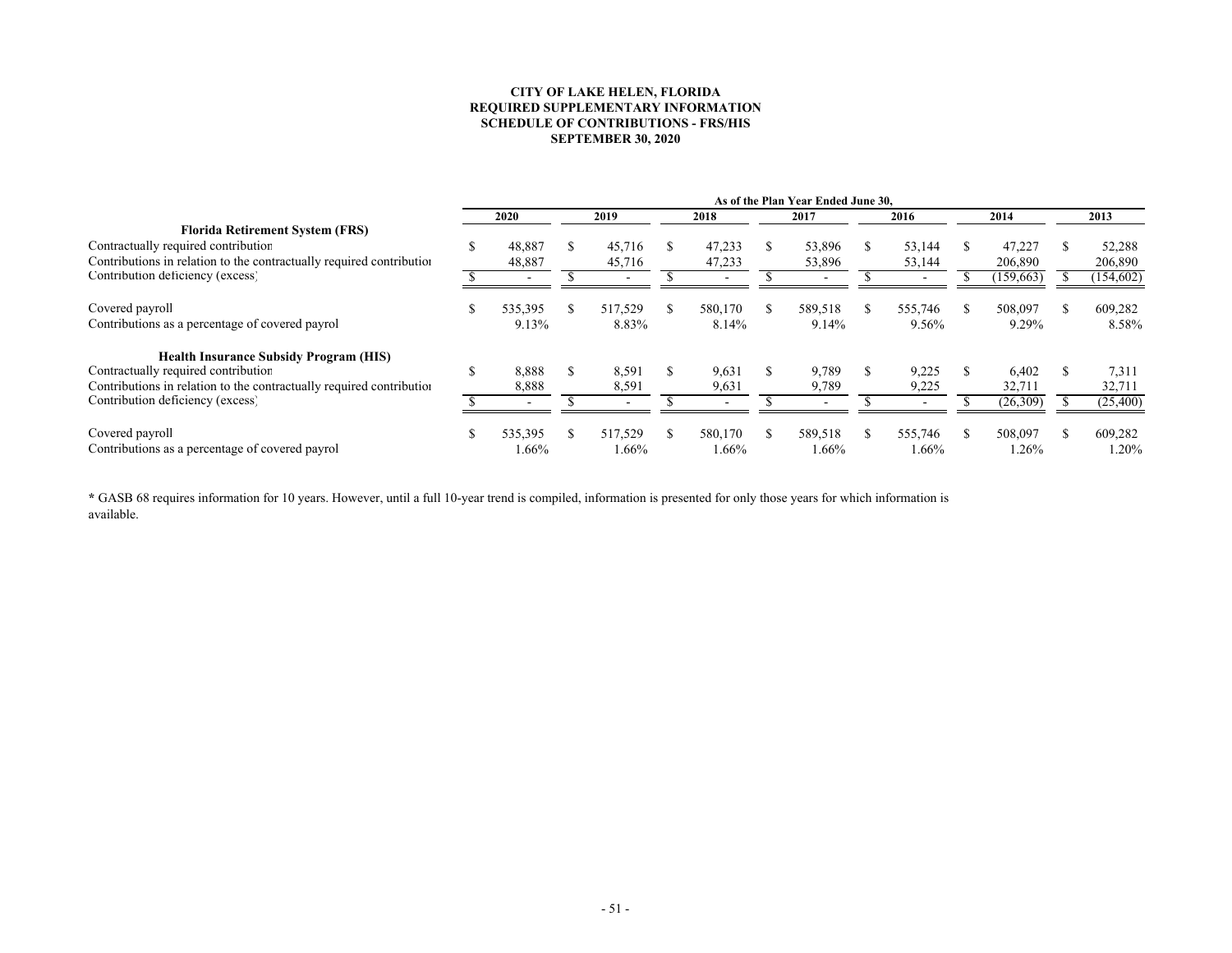#### **CITY OF LAKE HELEN, FLORIDA REQUIRED SUPPLEMENTARY INFORMATION SCHEDULE OF CONTRIBUTIONS - FRS/HIS SEPTEMBER 30, 2020**

| As of the Plan Year Ended June 30,                                   |  |         |  |         |  |         |      |         |      |         |      |            |      |            |
|----------------------------------------------------------------------|--|---------|--|---------|--|---------|------|---------|------|---------|------|------------|------|------------|
|                                                                      |  | 2020    |  | 2019    |  | 2018    | 2017 |         | 2016 |         | 2014 |            | 2013 |            |
| <b>Florida Retirement System (FRS)</b>                               |  |         |  |         |  |         |      |         |      |         |      |            |      |            |
| Contractually required contribution                                  |  | 48,887  |  | 45,716  |  | 47,233  |      | 53,896  |      | 53,144  |      | 47,227     |      | 52,288     |
| Contributions in relation to the contractually required contribution |  | 48,887  |  | 45,716  |  | 47,233  |      | 53,896  |      | 53,144  |      | 206,890    |      | 206,890    |
| Contribution deficiency (excess)                                     |  |         |  |         |  |         |      |         |      |         |      | (159, 663) |      | (154, 602) |
| Covered payroll                                                      |  | 535.395 |  | 517,529 |  | 580,170 |      | 589,518 |      | 555,746 |      | 508,097    |      | 609,282    |
| Contributions as a percentage of covered payrol                      |  | 9.13%   |  | 8.83%   |  | 8.14%   |      | 9.14%   |      | 9.56%   |      | 9.29%      |      | 8.58%      |
| <b>Health Insurance Subsidy Program (HIS)</b>                        |  |         |  |         |  |         |      |         |      |         |      |            |      |            |
| Contractually required contribution                                  |  | 8.888   |  | 8,591   |  | 9,631   |      | 9,789   |      | 9,225   |      | 6,402      |      | 7,311      |
| Contributions in relation to the contractually required contribution |  | 8,888   |  | 8,591   |  | 9,631   |      | 9,789   |      | 9,225   |      | 32,711     |      | 32,711     |
| Contribution deficiency (excess)                                     |  |         |  |         |  |         |      |         |      |         |      | (26,309)   |      | (25, 400)  |
| Covered payroll                                                      |  | 535,395 |  | 517,529 |  | 580,170 |      | 589.518 |      | 555,746 |      | 508,097    |      | 609.282    |
| Contributions as a percentage of covered payrol                      |  | 1.66%   |  | 1.66%   |  | 1.66%   |      | 1.66%   |      | 1.66%   |      | .26%       |      | 1.20%      |

**\*** GASB 68 requires information for 10 years. However, until a full 10-year trend is compiled, information is presented for only those years for which information is available.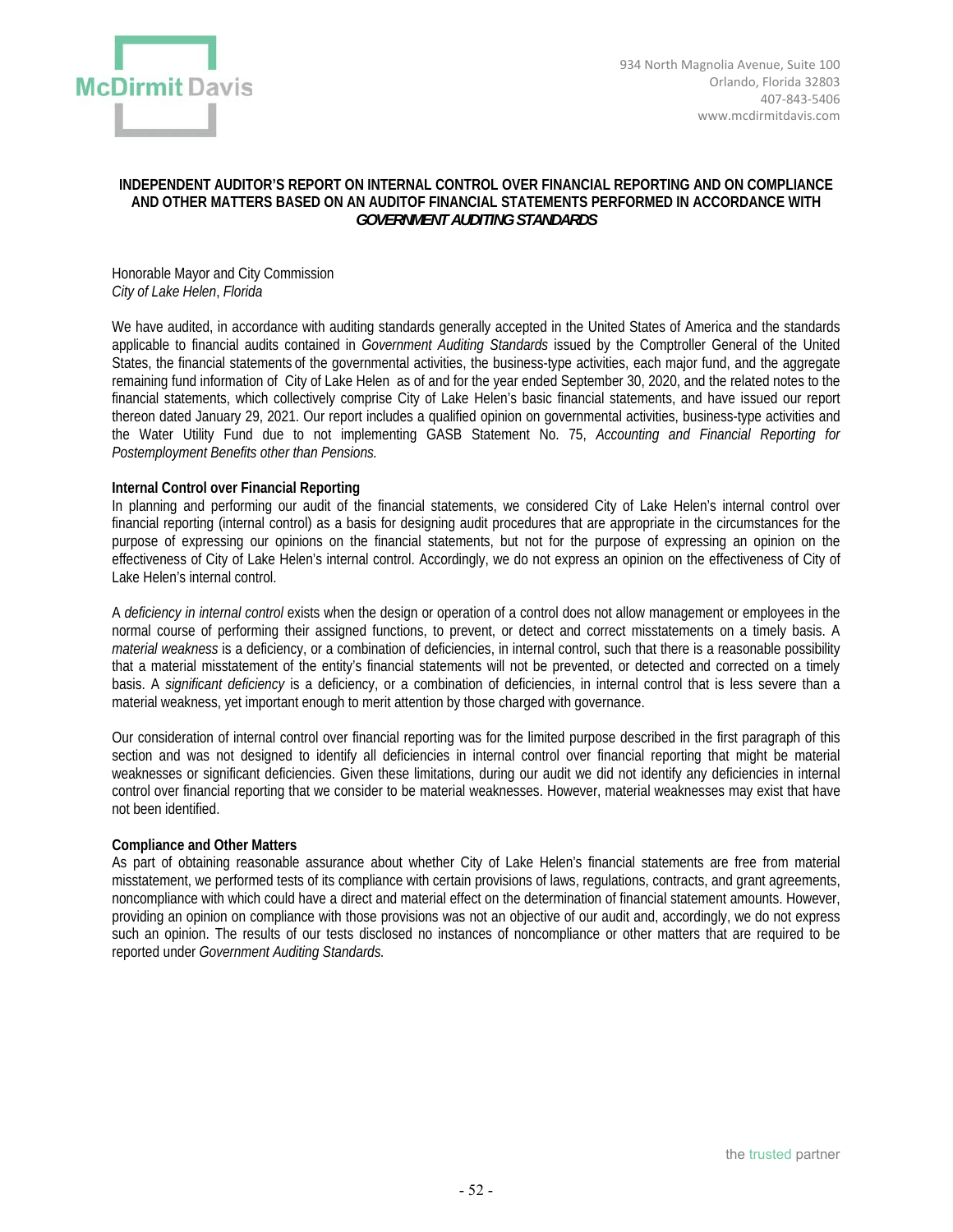

#### **INDEPENDENT AUDITOR'S REPORT ON INTERNAL CONTROL OVER FINANCIAL REPORTING AND ON COMPLIANCE AND OTHER MATTERS BASED ON AN AUDITOF FINANCIAL STATEMENTS PERFORMED IN ACCORDANCE WITH**  *GOVERNMENT AUDITING STANDARDS*

Honorable Mayor and City Commission *City of Lake Helen*, *Florida*

We have audited, in accordance with auditing standards generally accepted in the United States of America and the standards applicable to financial audits contained in *Government Auditing Standards* issued by the Comptroller General of the United States, the financial statements of the governmental activities, the business-type activities, each major fund, and the aggregate remaining fund information of City of Lake Helen as of and for the year ended September 30, 2020, and the related notes to the financial statements, which collectively comprise City of Lake Helen's basic financial statements, and have issued our report thereon dated January 29, 2021. Our report includes a qualified opinion on governmental activities, business-type activities and the Water Utility Fund due to not implementing GASB Statement No. 75, *Accounting and Financial Reporting for Postemployment Benefits other than Pensions.* 

#### **Internal Control over Financial Reporting**

In planning and performing our audit of the financial statements, we considered City of Lake Helen's internal control over financial reporting (internal control) as a basis for designing audit procedures that are appropriate in the circumstances for the purpose of expressing our opinions on the financial statements, but not for the purpose of expressing an opinion on the effectiveness of City of Lake Helen's internal control. Accordingly, we do not express an opinion on the effectiveness of City of Lake Helen's internal control.

A *deficiency in internal control* exists when the design or operation of a control does not allow management or employees in the normal course of performing their assigned functions, to prevent, or detect and correct misstatements on a timely basis. A *material weakness* is a deficiency, or a combination of deficiencies, in internal control, such that there is a reasonable possibility that a material misstatement of the entity's financial statements will not be prevented, or detected and corrected on a timely basis. A *significant deficiency* is a deficiency, or a combination of deficiencies, in internal control that is less severe than a material weakness, yet important enough to merit attention by those charged with governance.

Our consideration of internal control over financial reporting was for the limited purpose described in the first paragraph of this section and was not designed to identify all deficiencies in internal control over financial reporting that might be material weaknesses or significant deficiencies. Given these limitations, during our audit we did not identify any deficiencies in internal control over financial reporting that we consider to be material weaknesses. However, material weaknesses may exist that have not been identified.

#### **Compliance and Other Matters**

As part of obtaining reasonable assurance about whether City of Lake Helen's financial statements are free from material misstatement, we performed tests of its compliance with certain provisions of laws, regulations, contracts, and grant agreements, noncompliance with which could have a direct and material effect on the determination of financial statement amounts. However, providing an opinion on compliance with those provisions was not an objective of our audit and, accordingly, we do not express such an opinion. The results of our tests disclosed no instances of noncompliance or other matters that are required to be reported under *Government Auditing Standards.*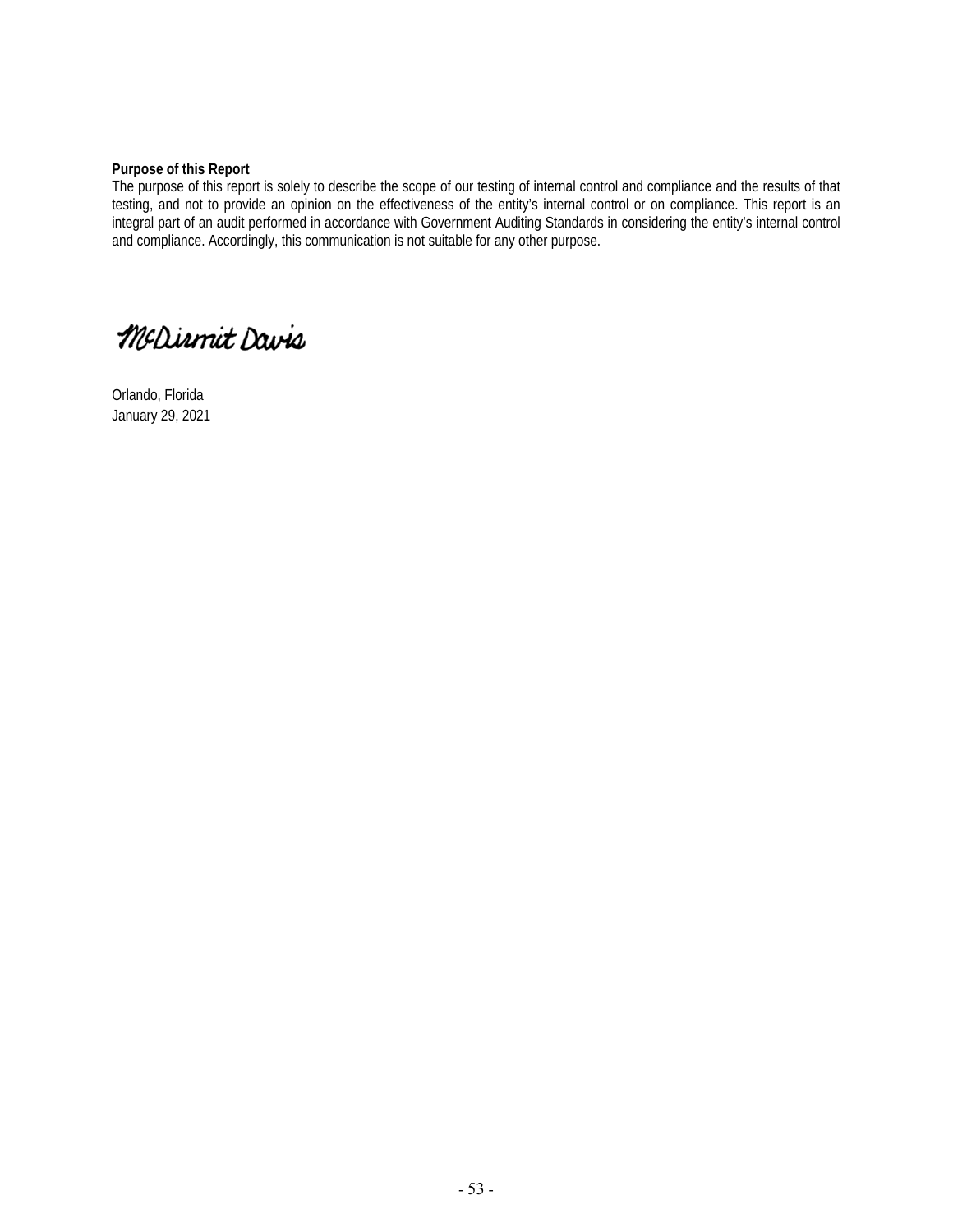#### **Purpose of this Report**

The purpose of this report is solely to describe the scope of our testing of internal control and compliance and the results of that testing, and not to provide an opinion on the effectiveness of the entity's internal control or on compliance. This report is an integral part of an audit performed in accordance with Government Auditing Standards in considering the entity's internal control and compliance. Accordingly, this communication is not suitable for any other purpose.

McDirmit Davis

Orlando, Florida January 29, 2021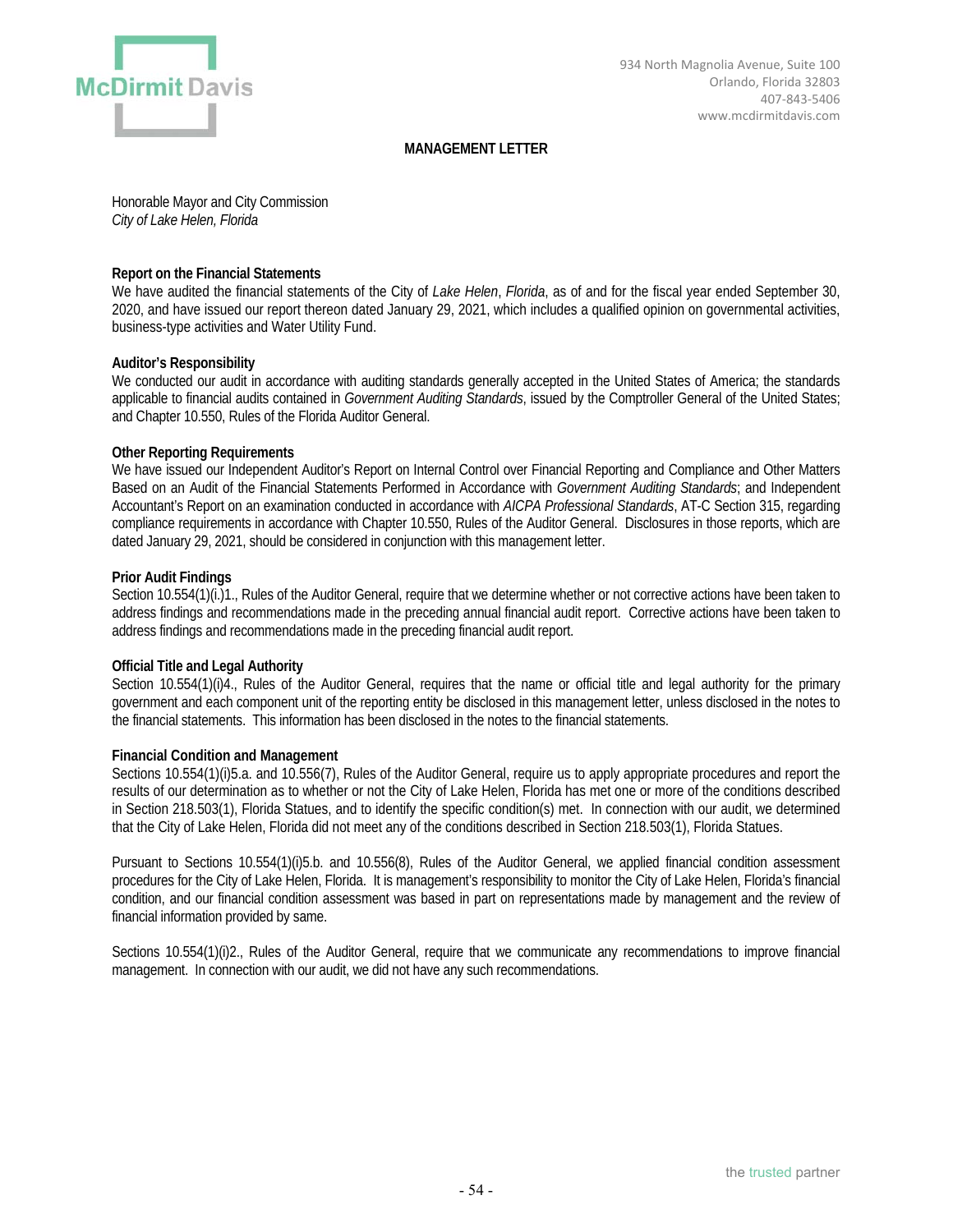

#### **MANAGEMENT LETTER**

Honorable Mayor and City Commission *City of Lake Helen, Florida* 

#### **Report on the Financial Statements**

We have audited the financial statements of the City of *Lake Helen*, *Florida*, as of and for the fiscal year ended September 30, 2020, and have issued our report thereon dated January 29, 2021, which includes a qualified opinion on governmental activities, business-type activities and Water Utility Fund.

#### **Auditor's Responsibility**

We conducted our audit in accordance with auditing standards generally accepted in the United States of America; the standards applicable to financial audits contained in *Government Auditing Standards*, issued by the Comptroller General of the United States; and Chapter 10.550, Rules of the Florida Auditor General.

#### **Other Reporting Requirements**

We have issued our Independent Auditor's Report on Internal Control over Financial Reporting and Compliance and Other Matters Based on an Audit of the Financial Statements Performed in Accordance with *Government Auditing Standards*; and Independent Accountant's Report on an examination conducted in accordance with *AICPA Professional Standards*, AT-C Section 315, regarding compliance requirements in accordance with Chapter 10.550, Rules of the Auditor General. Disclosures in those reports, which are dated January 29, 2021, should be considered in conjunction with this management letter.

#### **Prior Audit Findings**

Section 10.554(1)(i.)1., Rules of the Auditor General, require that we determine whether or not corrective actions have been taken to address findings and recommendations made in the preceding annual financial audit report. Corrective actions have been taken to address findings and recommendations made in the preceding financial audit report.

#### **Official Title and Legal Authority**

Section 10.554(1)(i)4., Rules of the Auditor General, requires that the name or official title and legal authority for the primary government and each component unit of the reporting entity be disclosed in this management letter, unless disclosed in the notes to the financial statements. This information has been disclosed in the notes to the financial statements.

#### **Financial Condition and Management**

Sections 10.554(1)(i)5.a. and 10.556(7), Rules of the Auditor General, require us to apply appropriate procedures and report the results of our determination as to whether or not the City of Lake Helen, Florida has met one or more of the conditions described in Section 218.503(1), Florida Statues, and to identify the specific condition(s) met. In connection with our audit, we determined that the City of Lake Helen, Florida did not meet any of the conditions described in Section 218.503(1), Florida Statues.

Pursuant to Sections 10.554(1)(i)5.b. and 10.556(8), Rules of the Auditor General, we applied financial condition assessment procedures for the City of Lake Helen, Florida. It is management's responsibility to monitor the City of Lake Helen, Florida's financial condition, and our financial condition assessment was based in part on representations made by management and the review of financial information provided by same.

Sections 10.554(1)(i)2., Rules of the Auditor General, require that we communicate any recommendations to improve financial management. In connection with our audit, we did not have any such recommendations.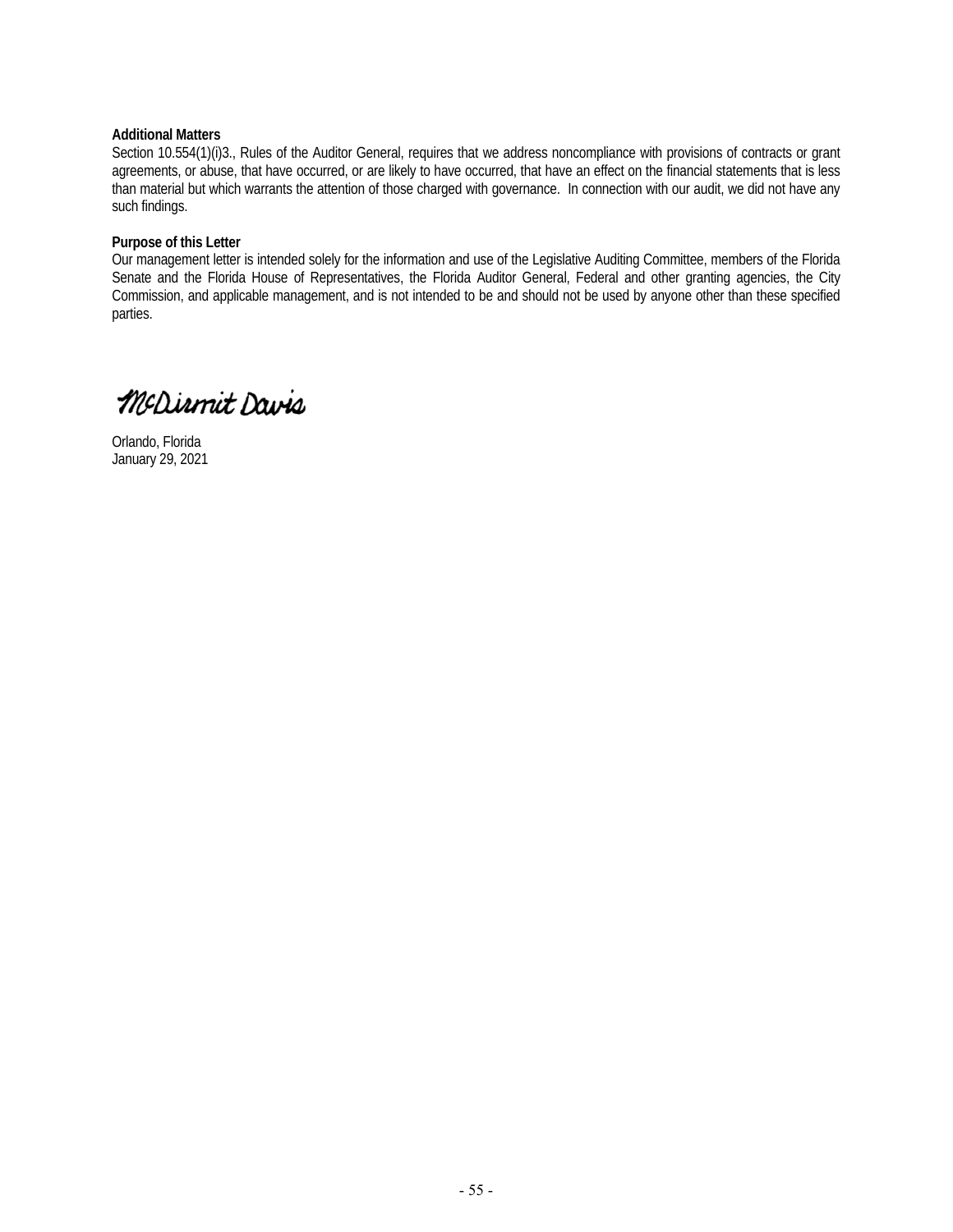#### **Additional Matters**

Section 10.554(1)(i)3., Rules of the Auditor General, requires that we address noncompliance with provisions of contracts or grant agreements, or abuse, that have occurred, or are likely to have occurred, that have an effect on the financial statements that is less than material but which warrants the attention of those charged with governance. In connection with our audit, we did not have any such findings.

#### **Purpose of this Letter**

Our management letter is intended solely for the information and use of the Legislative Auditing Committee, members of the Florida Senate and the Florida House of Representatives, the Florida Auditor General, Federal and other granting agencies, the City Commission, and applicable management, and is not intended to be and should not be used by anyone other than these specified parties.

McDirmit Davis

Orlando, Florida January 29, 2021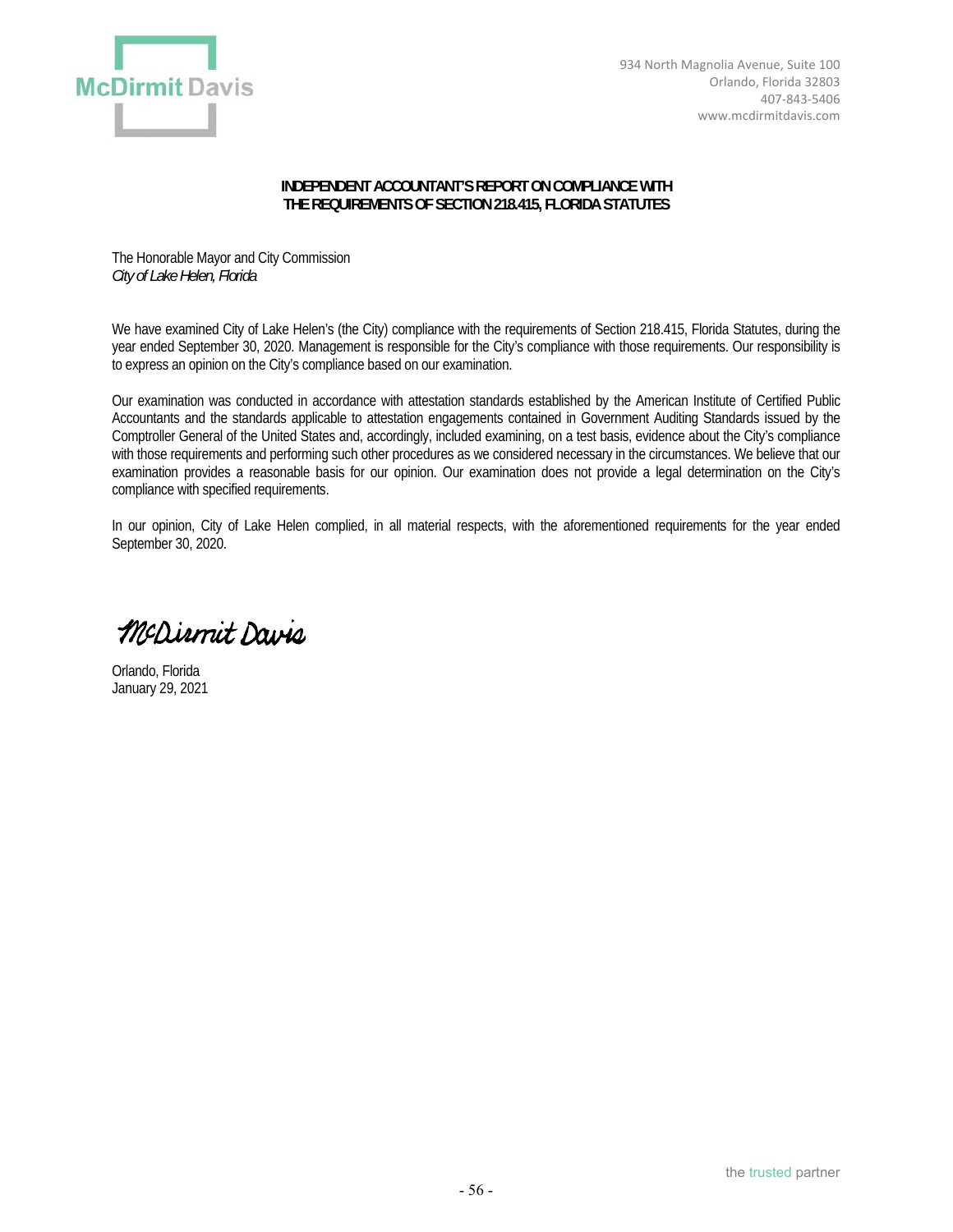

### **INDEPENDENT ACCOUNTANT'S REPORT ON COMPLIANCE WITH THE REQUIREMENTS OF SECTION 218.415, FLORIDA STATUTES**

The Honorable Mayor and City Commission *City of Lake Helen, Florida* 

We have examined City of Lake Helen's (the City) compliance with the requirements of Section 218.415, Florida Statutes, during the year ended September 30, 2020. Management is responsible for the City's compliance with those requirements. Our responsibility is to express an opinion on the City's compliance based on our examination.

Our examination was conducted in accordance with attestation standards established by the American Institute of Certified Public Accountants and the standards applicable to attestation engagements contained in Government Auditing Standards issued by the Comptroller General of the United States and, accordingly, included examining, on a test basis, evidence about the City's compliance with those requirements and performing such other procedures as we considered necessary in the circumstances. We believe that our examination provides a reasonable basis for our opinion. Our examination does not provide a legal determination on the City's compliance with specified requirements.

In our opinion, City of Lake Helen complied, in all material respects, with the aforementioned requirements for the year ended September 30, 2020.

McDirmit Davis

Orlando, Florida January 29, 2021